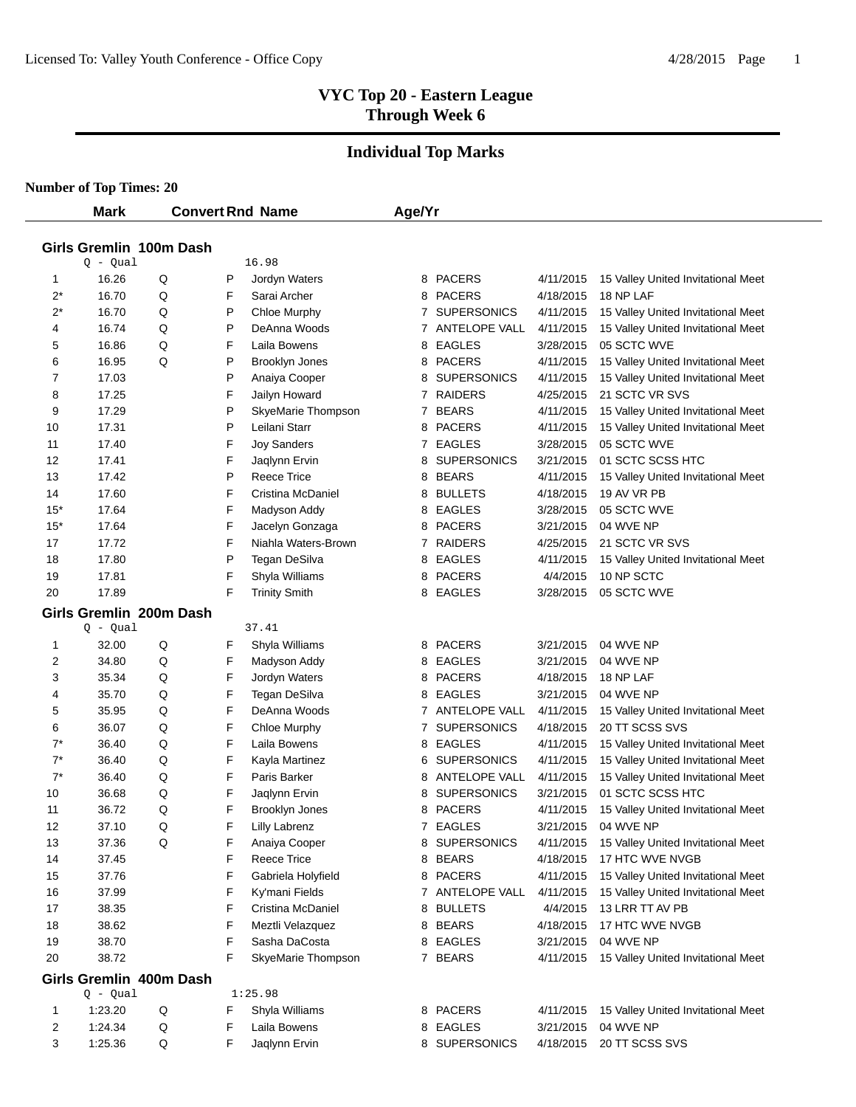# **Individual Top Marks**

|       | <b>Mark</b> |                         |   | <b>Convert Rnd Name</b> | Age/Yr |                    |           |                                    |
|-------|-------------|-------------------------|---|-------------------------|--------|--------------------|-----------|------------------------------------|
|       |             | Girls Gremlin 100m Dash |   |                         |        |                    |           |                                    |
|       | Q - Qual    |                         |   | 16.98                   |        |                    |           |                                    |
| 1     | 16.26       | Q                       | P | Jordyn Waters           |        | 8 PACERS           | 4/11/2015 | 15 Valley United Invitational Meet |
| $2^*$ | 16.70       | Q                       | F | Sarai Archer            | 8      | <b>PACERS</b>      | 4/18/2015 | 18 NP LAF                          |
| $2^*$ | 16.70       | Q                       | P | Chloe Murphy            | 7      | <b>SUPERSONICS</b> | 4/11/2015 | 15 Valley United Invitational Meet |
| 4     | 16.74       | Q                       | P | DeAnna Woods            |        | 7 ANTELOPE VALL    | 4/11/2015 | 15 Valley United Invitational Meet |
| 5     | 16.86       | Q                       | F | Laila Bowens            | 8      | <b>EAGLES</b>      | 3/28/2015 | 05 SCTC WVE                        |
| 6     | 16.95       | Q                       | P | Brooklyn Jones          | 8      | PACERS             | 4/11/2015 | 15 Valley United Invitational Meet |
| 7     | 17.03       |                         | P | Anaiya Cooper           | 8      | <b>SUPERSONICS</b> | 4/11/2015 | 15 Valley United Invitational Meet |
| 8     | 17.25       |                         | F | Jailyn Howard           | 7      | <b>RAIDERS</b>     | 4/25/2015 | 21 SCTC VR SVS                     |
| 9     | 17.29       |                         | P | SkyeMarie Thompson      | 7      | <b>BEARS</b>       | 4/11/2015 | 15 Valley United Invitational Meet |
| 10    | 17.31       |                         | P | Leilani Starr           | 8      | <b>PACERS</b>      | 4/11/2015 | 15 Valley United Invitational Meet |
| 11    | 17.40       |                         | F | <b>Joy Sanders</b>      | 7      | EAGLES             | 3/28/2015 | 05 SCTC WVE                        |
| 12    | 17.41       |                         | F | Jaqlynn Ervin           | 8      | <b>SUPERSONICS</b> | 3/21/2015 | 01 SCTC SCSS HTC                   |
| 13    | 17.42       |                         | P | <b>Reece Trice</b>      | 8      | <b>BEARS</b>       | 4/11/2015 | 15 Valley United Invitational Meet |
| 14    | 17.60       |                         | F | Cristina McDaniel       | 8      | <b>BULLETS</b>     | 4/18/2015 | 19 AV VR PB                        |
| $15*$ | 17.64       |                         | F | Madyson Addy            | 8      | EAGLES             | 3/28/2015 | 05 SCTC WVE                        |
| $15*$ | 17.64       |                         | F | Jacelyn Gonzaga         | 8      | <b>PACERS</b>      | 3/21/2015 | 04 WVE NP                          |
| 17    | 17.72       |                         | F | Niahla Waters-Brown     | 7      | <b>RAIDERS</b>     | 4/25/2015 | 21 SCTC VR SVS                     |
| 18    | 17.80       |                         | P | Tegan DeSilva           | 8      | <b>EAGLES</b>      | 4/11/2015 | 15 Valley United Invitational Meet |
| 19    | 17.81       |                         | F | Shyla Williams          | 8      | <b>PACERS</b>      | 4/4/2015  | 10 NP SCTC                         |
| 20    | 17.89       |                         | F | <b>Trinity Smith</b>    |        | 8 EAGLES           | 3/28/2015 | 05 SCTC WVE                        |
|       |             | Girls Gremlin 200m Dash |   |                         |        |                    |           |                                    |
|       | Q - Qual    |                         |   | 37.41                   |        |                    |           |                                    |
| 1     | 32.00       | Q                       | F | Shyla Williams          | 8      | <b>PACERS</b>      | 3/21/2015 | 04 WVE NP                          |
| 2     | 34.80       | Q                       | F | Madyson Addy            | 8      | <b>EAGLES</b>      | 3/21/2015 | 04 WVE NP                          |
| 3     | 35.34       | Q                       | F | Jordyn Waters           | 8      | <b>PACERS</b>      | 4/18/2015 | 18 NP LAF                          |
| 4     | 35.70       | Q                       | F | Tegan DeSilva           | 8      | EAGLES             | 3/21/2015 | 04 WVE NP                          |
| 5     | 35.95       | Q                       | F | DeAnna Woods            |        | 7 ANTELOPE VALL    | 4/11/2015 | 15 Valley United Invitational Meet |
| 6     | 36.07       | Q                       | F | Chloe Murphy            | 7      | <b>SUPERSONICS</b> | 4/18/2015 | 20 TT SCSS SVS                     |
| $7^*$ | 36.40       | Q                       | F | Laila Bowens            | 8      | <b>EAGLES</b>      | 4/11/2015 | 15 Valley United Invitational Meet |
| $7^*$ | 36.40       | Q                       | F | Kayla Martinez          | 6      | <b>SUPERSONICS</b> | 4/11/2015 | 15 Valley United Invitational Meet |
| $7^*$ | 36.40       | Q                       | F | Paris Barker            | 8      | ANTELOPE VALL      | 4/11/2015 | 15 Valley United Invitational Meet |
| 10    | 36.68       | Q                       | F | Jaqlynn Ervin           | 8      | <b>SUPERSONICS</b> | 3/21/2015 | 01 SCTC SCSS HTC                   |
| 11    | 36.72       | Q                       | F | <b>Brooklyn Jones</b>   |        | 8 PACERS           | 4/11/2015 | 15 Valley United Invitational Meet |
| 12    | 37.10       | Q                       | F | Lilly Labrenz           |        | 7 EAGLES           | 3/21/2015 | 04 WVE NP                          |
| 13    | 37.36       | Q                       | F | Anaiya Cooper           |        | 8 SUPERSONICS      | 4/11/2015 | 15 Valley United Invitational Meet |
| 14    | 37.45       |                         | F | Reece Trice             |        | 8 BEARS            | 4/18/2015 | 17 HTC WVE NVGB                    |
| 15    | 37.76       |                         | F | Gabriela Holyfield      |        | 8 PACERS           | 4/11/2015 | 15 Valley United Invitational Meet |
| 16    | 37.99       |                         | F | Ky'mani Fields          |        | 7 ANTELOPE VALL    | 4/11/2015 | 15 Valley United Invitational Meet |
| 17    | 38.35       |                         | F | Cristina McDaniel       |        | 8 BULLETS          | 4/4/2015  | 13 LRR TT AV PB                    |
| 18    | 38.62       |                         | F | Meztli Velazquez        |        | 8 BEARS            | 4/18/2015 | 17 HTC WVE NVGB                    |
| 19    | 38.70       |                         | F | Sasha DaCosta           |        | 8 EAGLES           | 3/21/2015 | 04 WVE NP                          |
| 20    | 38.72       |                         | F | SkyeMarie Thompson      |        | 7 BEARS            | 4/11/2015 | 15 Valley United Invitational Meet |
|       |             | Girls Gremlin 400m Dash |   |                         |        |                    |           |                                    |
|       | $Q - Qual$  |                         |   | 1:25.98                 |        |                    |           |                                    |
| 1     | 1:23.20     | Q                       | F | Shyla Williams          |        | 8 PACERS           | 4/11/2015 | 15 Valley United Invitational Meet |
| 2     | 1:24.34     | Q                       | F | Laila Bowens            |        | 8 EAGLES           | 3/21/2015 | 04 WVE NP                          |
| 3     | 1:25.36     | Q                       | F | Jaqlynn Ervin           |        | 8 SUPERSONICS      |           | 4/18/2015 20 TT SCSS SVS           |
|       |             |                         |   |                         |        |                    |           |                                    |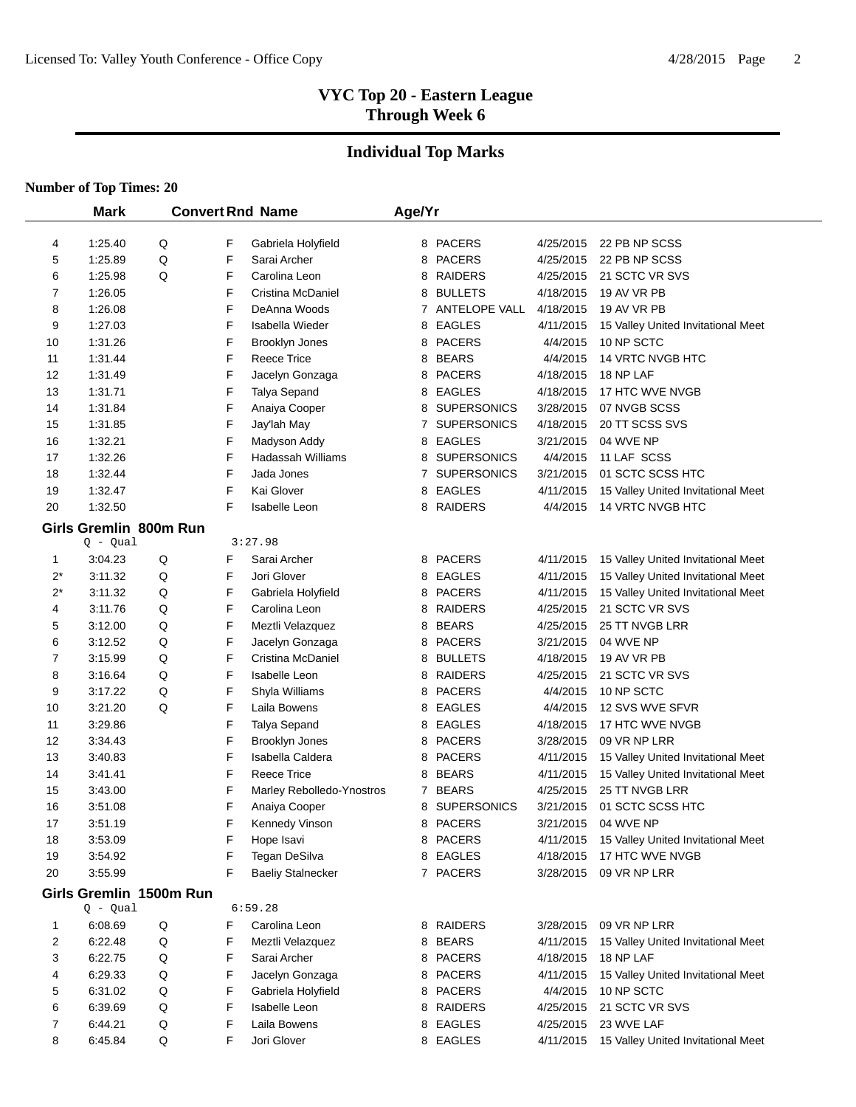# **Individual Top Marks**

|       | <b>Mark</b>             |   |   | <b>Convert Rnd Name</b>   | Age/Yr |                    |           |                                    |
|-------|-------------------------|---|---|---------------------------|--------|--------------------|-----------|------------------------------------|
|       |                         |   |   |                           |        |                    |           |                                    |
| 4     | 1:25.40                 | Q | F | Gabriela Holyfield        |        | 8 PACERS           | 4/25/2015 | 22 PB NP SCSS                      |
| 5     | 1:25.89                 | Q | F | Sarai Archer              |        | 8 PACERS           | 4/25/2015 | 22 PB NP SCSS                      |
| 6     | 1:25.98                 | Q | F | Carolina Leon             |        | 8 RAIDERS          | 4/25/2015 | 21 SCTC VR SVS                     |
| 7     | 1:26.05                 |   | F | Cristina McDaniel         |        | 8 BULLETS          | 4/18/2015 | 19 AV VR PB                        |
| 8     | 1:26.08                 |   | F | DeAnna Woods              |        | 7 ANTELOPE VALL    | 4/18/2015 | 19 AV VR PB                        |
| 9     | 1:27.03                 |   | F | Isabella Wieder           |        | 8 EAGLES           | 4/11/2015 | 15 Valley United Invitational Meet |
| 10    | 1:31.26                 |   | F | Brooklyn Jones            |        | 8 PACERS           | 4/4/2015  | 10 NP SCTC                         |
| 11    | 1:31.44                 |   | F | <b>Reece Trice</b>        |        | 8 BEARS            | 4/4/2015  | <b>14 VRTC NVGB HTC</b>            |
| 12    | 1:31.49                 |   | F | Jacelyn Gonzaga           | 8      | PACERS             | 4/18/2015 | 18 NP LAF                          |
| 13    | 1:31.71                 |   | F | Talya Sepand              | 8      | <b>EAGLES</b>      | 4/18/2015 | 17 HTC WVE NVGB                    |
| 14    | 1:31.84                 |   | F | Anaiya Cooper             |        | 8 SUPERSONICS      | 3/28/2015 | 07 NVGB SCSS                       |
| 15    | 1:31.85                 |   | F | Jay'lah May               |        | 7 SUPERSONICS      | 4/18/2015 | 20 TT SCSS SVS                     |
| 16    | 1:32.21                 |   | F | Madyson Addy              |        | 8 EAGLES           | 3/21/2015 | 04 WVE NP                          |
| 17    | 1:32.26                 |   | F | <b>Hadassah Williams</b>  | 8      | <b>SUPERSONICS</b> | 4/4/2015  | 11 LAF SCSS                        |
| 18    | 1:32.44                 |   | F | Jada Jones                |        | 7 SUPERSONICS      | 3/21/2015 | 01 SCTC SCSS HTC                   |
| 19    | 1:32.47                 |   | F | Kai Glover                |        | 8 EAGLES           | 4/11/2015 | 15 Valley United Invitational Meet |
| 20    | 1:32.50                 |   | F | <b>Isabelle Leon</b>      |        | 8 RAIDERS          | 4/4/2015  | 14 VRTC NVGB HTC                   |
|       | Girls Gremlin 800m Run  |   |   |                           |        |                    |           |                                    |
|       | Q - Qual                |   |   | 3:27.98                   |        |                    |           |                                    |
| 1     | 3:04.23                 | Q | F | Sarai Archer              |        | 8 PACERS           | 4/11/2015 | 15 Valley United Invitational Meet |
| $2^*$ | 3:11.32                 | Q | F | Jori Glover               | 8      | <b>EAGLES</b>      | 4/11/2015 | 15 Valley United Invitational Meet |
| $2^*$ | 3:11.32                 | Q | F | Gabriela Holyfield        |        | 8 PACERS           | 4/11/2015 | 15 Valley United Invitational Meet |
| 4     | 3:11.76                 | Q | F | Carolina Leon             | 8      | <b>RAIDERS</b>     | 4/25/2015 | 21 SCTC VR SVS                     |
| 5     | 3:12.00                 | Q | F | Meztli Velazquez          | 8      | <b>BEARS</b>       | 4/25/2015 | 25 TT NVGB LRR                     |
| 6     | 3:12.52                 | Q | F | Jacelyn Gonzaga           |        | 8 PACERS           | 3/21/2015 | 04 WVE NP                          |
| 7     | 3:15.99                 | Q | F | Cristina McDaniel         |        | 8 BULLETS          | 4/18/2015 | 19 AV VR PB                        |
| 8     | 3:16.64                 | Q | F | Isabelle Leon             |        | 8 RAIDERS          | 4/25/2015 | 21 SCTC VR SVS                     |
| 9     | 3:17.22                 | Q | F | Shyla Williams            |        | 8 PACERS           | 4/4/2015  | 10 NP SCTC                         |
| 10    | 3:21.20                 | Q | F | Laila Bowens              |        | 8 EAGLES           | 4/4/2015  | 12 SVS WVE SFVR                    |
| 11    | 3:29.86                 |   | F | Talya Sepand              |        | 8 EAGLES           | 4/18/2015 | 17 HTC WVE NVGB                    |
| 12    | 3:34.43                 |   | F | Brooklyn Jones            |        | 8 PACERS           | 3/28/2015 | 09 VR NP LRR                       |
| 13    | 3:40.83                 |   | F | Isabella Caldera          |        | 8 PACERS           | 4/11/2015 | 15 Valley United Invitational Meet |
| 14    | 3:41.41                 |   | F | <b>Reece Trice</b>        |        | 8 BEARS            | 4/11/2015 | 15 Valley United Invitational Meet |
| 15    | 3:43.00                 |   | F | Marley Rebolledo-Ynostros |        | 7 BEARS            | 4/25/2015 | 25 TT NVGB LRR                     |
| 16    | 3:51.08                 |   | F | Anaiya Cooper             |        | 8 SUPERSONICS      | 3/21/2015 | 01 SCTC SCSS HTC                   |
| 17    | 3:51.19                 |   | F | Kennedy Vinson            |        | 8 PACERS           | 3/21/2015 | 04 WVE NP                          |
| 18    | 3:53.09                 |   | F | Hope Isavi                |        | 8 PACERS           | 4/11/2015 | 15 Valley United Invitational Meet |
| 19    | 3:54.92                 |   | F | Tegan DeSilva             |        | 8 EAGLES           | 4/18/2015 | 17 HTC WVE NVGB                    |
| 20    | 3:55.99                 |   | F | <b>Baeliy Stalnecker</b>  |        | 7 PACERS           | 3/28/2015 | 09 VR NP LRR                       |
|       | Girls Gremlin 1500m Run |   |   |                           |        |                    |           |                                    |
|       | $Q - Qual$              |   |   | 6:59.28                   |        |                    |           |                                    |
| 1     | 6:08.69                 | Q | F | Carolina Leon             |        | 8 RAIDERS          | 3/28/2015 | 09 VR NP LRR                       |
| 2     | 6:22.48                 | Q | F | Meztli Velazquez          |        | 8 BEARS            | 4/11/2015 | 15 Valley United Invitational Meet |
| 3     | 6:22.75                 | Q | F | Sarai Archer              |        | 8 PACERS           | 4/18/2015 | 18 NP LAF                          |
| 4     | 6:29.33                 | Q | F | Jacelyn Gonzaga           |        | 8 PACERS           | 4/11/2015 | 15 Valley United Invitational Meet |
| 5     | 6:31.02                 | Q | F | Gabriela Holyfield        |        | 8 PACERS           | 4/4/2015  | 10 NP SCTC                         |
| 6     | 6:39.69                 | Q | F | Isabelle Leon             |        | 8 RAIDERS          | 4/25/2015 | 21 SCTC VR SVS                     |
| 7     | 6:44.21                 | Q | F | Laila Bowens              |        | 8 EAGLES           | 4/25/2015 | 23 WVE LAF                         |
| 8     | 6:45.84                 | Q | F | Jori Glover               |        | 8 EAGLES           | 4/11/2015 | 15 Valley United Invitational Meet |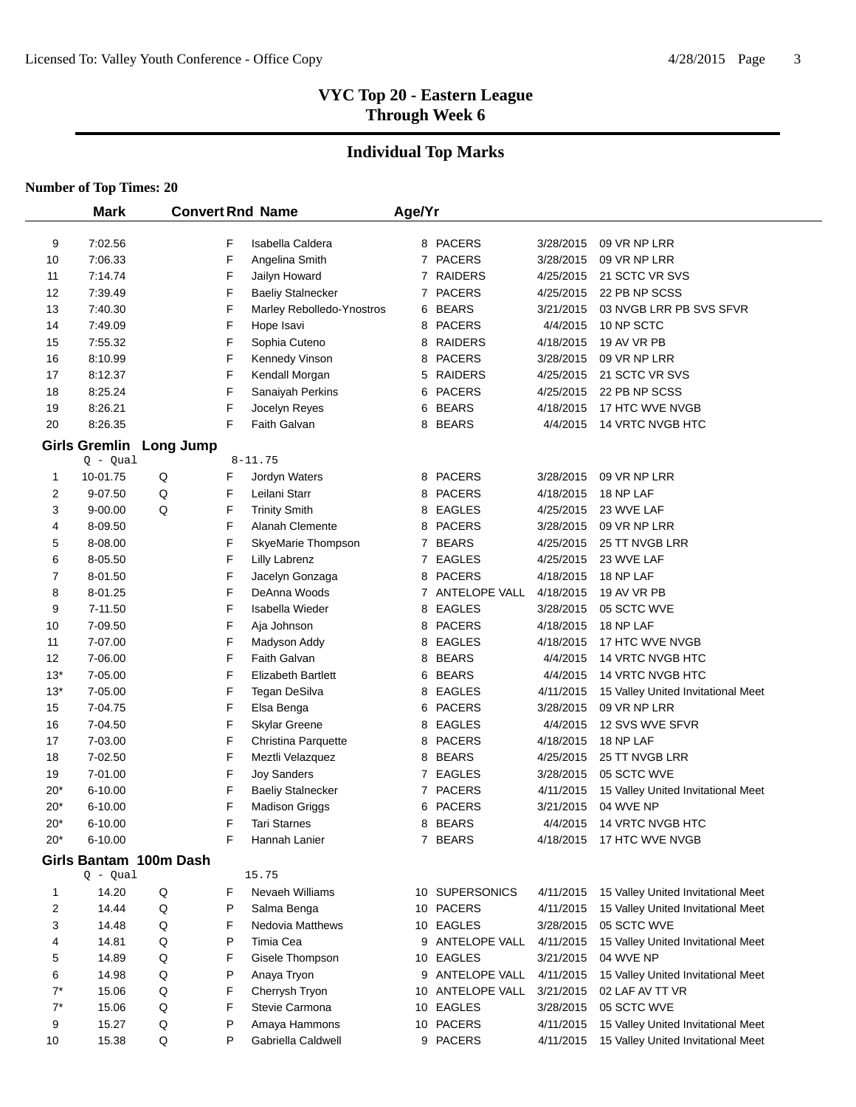# **Individual Top Marks**

|       | <b>Mark</b>                        |           | <b>Convert Rnd Name</b>   | Age/Yr       |                  |           |                                    |
|-------|------------------------------------|-----------|---------------------------|--------------|------------------|-----------|------------------------------------|
| 9     | 7:02.56                            | F         | Isabella Caldera          |              | 8 PACERS         | 3/28/2015 | 09 VR NP LRR                       |
| 10    | 7:06.33                            | F         | Angelina Smith            |              | 7 PACERS         | 3/28/2015 | 09 VR NP LRR                       |
| 11    | 7:14.74                            | F         | Jailyn Howard             | 7            | <b>RAIDERS</b>   | 4/25/2015 | 21 SCTC VR SVS                     |
| 12    | 7:39.49                            | F         | <b>Baeliy Stalnecker</b>  | $\mathbf{7}$ | <b>PACERS</b>    | 4/25/2015 | 22 PB NP SCSS                      |
| 13    | 7:40.30                            | F         | Marley Rebolledo-Ynostros | 6            | <b>BEARS</b>     | 3/21/2015 | 03 NVGB LRR PB SVS SFVR            |
| 14    | 7:49.09                            | F         | Hope Isavi                | 8            | <b>PACERS</b>    | 4/4/2015  | 10 NP SCTC                         |
| 15    | 7:55.32                            | F         | Sophia Cuteno             | 8            | <b>RAIDERS</b>   | 4/18/2015 | 19 AV VR PB                        |
| 16    | 8:10.99                            | F         | Kennedy Vinson            | 8            | <b>PACERS</b>    | 3/28/2015 | 09 VR NP LRR                       |
| 17    | 8:12.37                            | F         | Kendall Morgan            | 5            | <b>RAIDERS</b>   | 4/25/2015 | 21 SCTC VR SVS                     |
| 18    | 8:25.24                            | F         | Sanaiyah Perkins          | 6            | <b>PACERS</b>    | 4/25/2015 | 22 PB NP SCSS                      |
| 19    | 8:26.21                            | F         | Jocelyn Reyes             | 6            | <b>BEARS</b>     | 4/18/2015 | 17 HTC WVE NVGB                    |
| 20    | 8:26.35                            | F         | Faith Galvan              | 8            | <b>BEARS</b>     | 4/4/2015  | 14 VRTC NVGB HTC                   |
|       |                                    |           |                           |              |                  |           |                                    |
|       | <b>Girls Gremlin</b><br>$Q - Qual$ | Long Jump | $8 - 11.75$               |              |                  |           |                                    |
| 1     | 10-01.75                           | Q<br>F    | Jordyn Waters             |              | 8 PACERS         | 3/28/2015 | 09 VR NP LRR                       |
| 2     | 9-07.50                            | Q<br>F    | Leilani Starr             | 8            | <b>PACERS</b>    | 4/18/2015 | 18 NP LAF                          |
| 3     | 9-00.00                            | Q<br>F    | <b>Trinity Smith</b>      | 8            | <b>EAGLES</b>    | 4/25/2015 | 23 WVE LAF                         |
| 4     | 8-09.50                            | F         | <b>Alanah Clemente</b>    | 8            | <b>PACERS</b>    | 3/28/2015 | 09 VR NP LRR                       |
| 5     | 8-08.00                            | F         | SkyeMarie Thompson        |              | 7 BEARS          | 4/25/2015 | 25 TT NVGB LRR                     |
| 6     | 8-05.50                            | F         | Lilly Labrenz             | 7            | <b>EAGLES</b>    | 4/25/2015 | 23 WVE LAF                         |
| 7     | 8-01.50                            | F         | Jacelyn Gonzaga           | 8            | <b>PACERS</b>    | 4/18/2015 | 18 NP LAF                          |
| 8     | 8-01.25                            | F         | DeAnna Woods              |              | 7 ANTELOPE VALL  | 4/18/2015 | 19 AV VR PB                        |
| 9     | 7-11.50                            | F         | Isabella Wieder           | 8            | EAGLES           | 3/28/2015 | 05 SCTC WVE                        |
| 10    | 7-09.50                            | F         | Aja Johnson               | 8            | <b>PACERS</b>    | 4/18/2015 | 18 NP LAF                          |
| 11    | 7-07.00                            | F         | Madyson Addy              | 8            | EAGLES           | 4/18/2015 | 17 HTC WVE NVGB                    |
| 12    | 7-06.00                            | F         | Faith Galvan              | 8            | <b>BEARS</b>     | 4/4/2015  | 14 VRTC NVGB HTC                   |
| $13*$ | 7-05.00                            | F         | <b>Elizabeth Bartlett</b> | 6            | <b>BEARS</b>     | 4/4/2015  | 14 VRTC NVGB HTC                   |
| $13*$ | 7-05.00                            | F         | Tegan DeSilva             | 8            | EAGLES           | 4/11/2015 | 15 Valley United Invitational Meet |
| 15    | 7-04.75                            | F         | Elsa Benga                | 6            | <b>PACERS</b>    | 3/28/2015 | 09 VR NP LRR                       |
| 16    | 7-04.50                            | F         | <b>Skylar Greene</b>      | 8            | EAGLES           | 4/4/2015  | 12 SVS WVE SFVR                    |
| 17    | 7-03.00                            | F         | Christina Parquette       | 8            | <b>PACERS</b>    | 4/18/2015 | 18 NP LAF                          |
| 18    | 7-02.50                            | F         | Meztli Velazquez          | 8            | <b>BEARS</b>     | 4/25/2015 | 25 TT NVGB LRR                     |
| 19    | 7-01.00                            | F         | <b>Joy Sanders</b>        | $\mathbf{7}$ | EAGLES           | 3/28/2015 | 05 SCTC WVE                        |
| 20*   | 6-10.00                            | F         | <b>Baeliy Stalnecker</b>  | 7            | <b>PACERS</b>    | 4/11/2015 | 15 Valley United Invitational Meet |
| $20*$ | 6-10.00                            | F         | <b>Madison Griggs</b>     | 6            | <b>PACERS</b>    | 3/21/2015 | 04 WVE NP                          |
| $20*$ | 6-10.00                            | F         | Tari Starnes              |              | 8 BEARS          | 4/4/2015  | <b>14 VRTC NVGB HTC</b>            |
| $20*$ | 6-10.00                            | F         | Hannah Lanier             |              | 7 BEARS          |           | 4/18/2015 17 HTC WVE NVGB          |
|       | Girls Bantam 100m Dash             |           |                           |              |                  |           |                                    |
|       | $Q - Qual$                         |           | 15.75                     |              |                  |           |                                    |
| 1     | 14.20                              | Q<br>F    | Nevaeh Williams           |              | 10 SUPERSONICS   | 4/11/2015 | 15 Valley United Invitational Meet |
| 2     | 14.44                              | Q<br>P    | Salma Benga               |              | 10 PACERS        | 4/11/2015 | 15 Valley United Invitational Meet |
| 3     | 14.48                              | Q<br>F    | <b>Nedovia Matthews</b>   |              | 10 EAGLES        | 3/28/2015 | 05 SCTC WVE                        |
| 4     | 14.81                              | P<br>Q    | Timia Cea                 |              | 9 ANTELOPE VALL  | 4/11/2015 | 15 Valley United Invitational Meet |
| 5     | 14.89                              | F<br>Q    | Gisele Thompson           |              | 10 EAGLES        | 3/21/2015 | 04 WVE NP                          |
| 6     | 14.98                              | P<br>Q    | Anaya Tryon               |              | 9 ANTELOPE VALL  | 4/11/2015 | 15 Valley United Invitational Meet |
| $7^*$ | 15.06                              | F<br>Q    | Cherrysh Tryon            |              | 10 ANTELOPE VALL | 3/21/2015 | 02 LAF AV TT VR                    |
| $7^*$ | 15.06                              | F<br>Q    | Stevie Carmona            |              | 10 EAGLES        | 3/28/2015 | 05 SCTC WVE                        |
| 9     | 15.27                              | P<br>Q    | Amaya Hammons             |              | 10 PACERS        | 4/11/2015 | 15 Valley United Invitational Meet |
| 10    | 15.38                              | P<br>Q    | Gabriella Caldwell        |              | 9 PACERS         | 4/11/2015 | 15 Valley United Invitational Meet |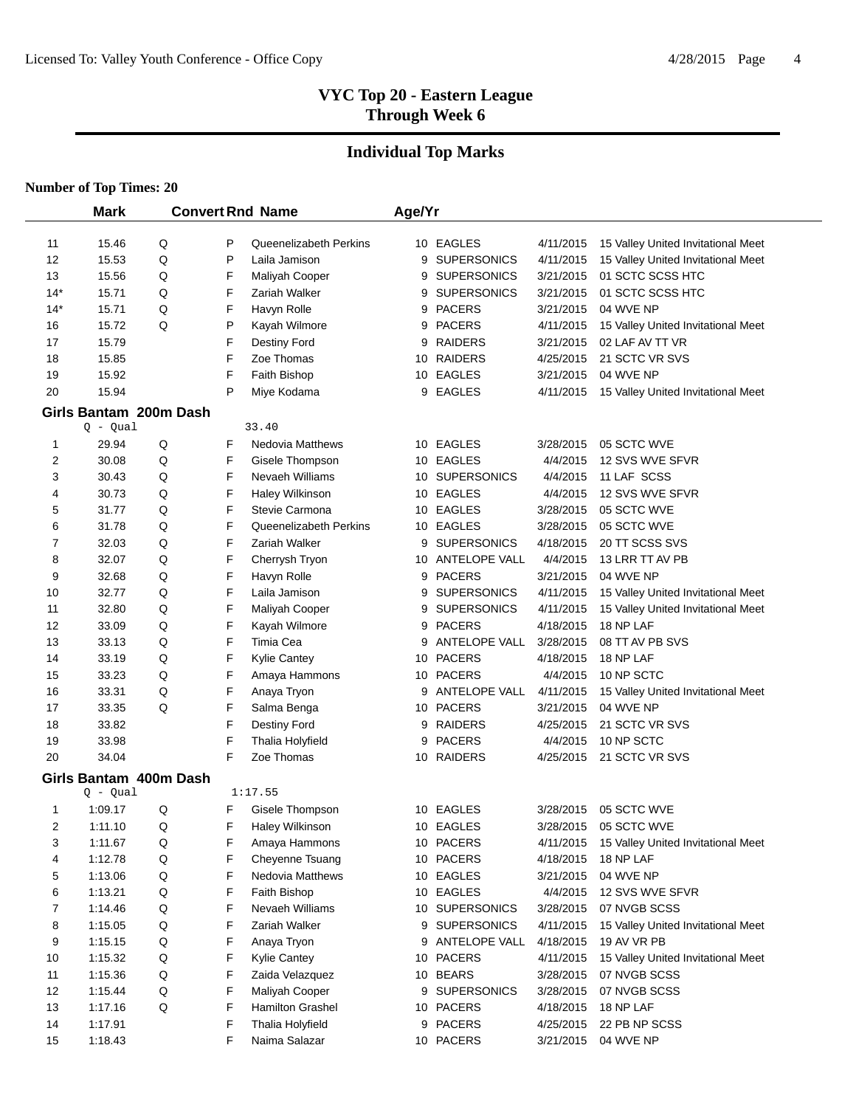# **Individual Top Marks**

| <b>Mark</b>    |                        | <b>Convert Rnd Name</b> |   | Age/Yr                  |    |                    |           |                                    |
|----------------|------------------------|-------------------------|---|-------------------------|----|--------------------|-----------|------------------------------------|
| 11             | 15.46                  | Q                       | P | Queenelizabeth Perkins  |    | 10 EAGLES          | 4/11/2015 | 15 Valley United Invitational Meet |
| 12             | 15.53                  | Q                       | P | Laila Jamison           | 9  | <b>SUPERSONICS</b> | 4/11/2015 | 15 Valley United Invitational Meet |
| 13             | 15.56                  | Q                       | F | Maliyah Cooper          | 9  | <b>SUPERSONICS</b> | 3/21/2015 | 01 SCTC SCSS HTC                   |
| $14*$          | 15.71                  | Q                       | F | Zariah Walker           | 9  | <b>SUPERSONICS</b> | 3/21/2015 | 01 SCTC SCSS HTC                   |
| $14*$          | 15.71                  | Q                       | F | Havyn Rolle             | 9  | <b>PACERS</b>      | 3/21/2015 | 04 WVE NP                          |
| 16             | 15.72                  | Q                       | P | Kayah Wilmore           | 9  | <b>PACERS</b>      | 4/11/2015 | 15 Valley United Invitational Meet |
| 17             | 15.79                  |                         | F | Destiny Ford            | 9  | <b>RAIDERS</b>     | 3/21/2015 | 02 LAF AV TT VR                    |
| 18             | 15.85                  |                         | F | Zoe Thomas              | 10 | <b>RAIDERS</b>     | 4/25/2015 | 21 SCTC VR SVS                     |
| 19             | 15.92                  |                         | F | Faith Bishop            | 10 | <b>EAGLES</b>      | 3/21/2015 | 04 WVE NP                          |
| 20             | 15.94                  |                         | P | Miye Kodama             | 9  | <b>EAGLES</b>      | 4/11/2015 | 15 Valley United Invitational Meet |
|                | Girls Bantam 200m Dash |                         |   |                         |    |                    |           |                                    |
|                | $Q - Qual$             |                         |   | 33.40                   |    |                    |           |                                    |
| 1              | 29.94                  | Q                       | F | <b>Nedovia Matthews</b> |    | 10 EAGLES          | 3/28/2015 | 05 SCTC WVE                        |
| 2              | 30.08                  | Q                       | F | Gisele Thompson         |    | 10 EAGLES          | 4/4/2015  | 12 SVS WVE SFVR                    |
| 3              | 30.43                  | Q                       | F | Nevaeh Williams         |    | 10 SUPERSONICS     | 4/4/2015  | 11 LAF SCSS                        |
| 4              | 30.73                  | Q                       | F | Haley Wilkinson         |    | 10 EAGLES          | 4/4/2015  | 12 SVS WVE SFVR                    |
| 5              | 31.77                  | Q                       | F | Stevie Carmona          |    | 10 EAGLES          | 3/28/2015 | 05 SCTC WVE                        |
| 6              | 31.78                  | Q                       | F | Queenelizabeth Perkins  |    | 10 EAGLES          | 3/28/2015 | 05 SCTC WVE                        |
| 7              | 32.03                  | Q                       | F | Zariah Walker           | 9  | <b>SUPERSONICS</b> | 4/18/2015 | 20 TT SCSS SVS                     |
| 8              | 32.07                  | Q                       | F | Cherrysh Tryon          | 10 | ANTELOPE VALL      | 4/4/2015  | 13 LRR TT AV PB                    |
| 9              | 32.68                  | Q                       | F | Havyn Rolle             | 9  | <b>PACERS</b>      | 3/21/2015 | 04 WVE NP                          |
| 10             | 32.77                  | Q                       | F | Laila Jamison           | 9  | <b>SUPERSONICS</b> | 4/11/2015 | 15 Valley United Invitational Meet |
| 11             | 32.80                  | Q                       | F | Maliyah Cooper          | 9  | <b>SUPERSONICS</b> | 4/11/2015 | 15 Valley United Invitational Meet |
| 12             | 33.09                  | Q                       | F | Kayah Wilmore           | 9  | <b>PACERS</b>      | 4/18/2015 | 18 NP LAF                          |
| 13             | 33.13                  | Q                       | F | Timia Cea               | 9  | ANTELOPE VALL      | 3/28/2015 | 08 TT AV PB SVS                    |
| 14             | 33.19                  | Q                       | F | <b>Kylie Cantey</b>     | 10 | <b>PACERS</b>      | 4/18/2015 | 18 NP LAF                          |
| 15             | 33.23                  | Q                       | F | Amaya Hammons           |    | 10 PACERS          | 4/4/2015  | 10 NP SCTC                         |
| 16             | 33.31                  | Q                       | F | Anaya Tryon             | 9  | ANTELOPE VALL      | 4/11/2015 | 15 Valley United Invitational Meet |
| 17             | 33.35                  | Q                       | F | Salma Benga             | 10 | <b>PACERS</b>      | 3/21/2015 | 04 WVE NP                          |
| 18             | 33.82                  |                         | F | Destiny Ford            | 9  | <b>RAIDERS</b>     | 4/25/2015 | 21 SCTC VR SVS                     |
| 19             | 33.98                  |                         | F | Thalia Holyfield        | 9  | <b>PACERS</b>      | 4/4/2015  | 10 NP SCTC                         |
| 20             | 34.04                  |                         | F | Zoe Thomas              | 10 | RAIDERS            | 4/25/2015 | 21 SCTC VR SVS                     |
|                | Girls Bantam 400m Dash |                         |   |                         |    |                    |           |                                    |
|                | $Q - Qual$             |                         |   | 1:17.55                 |    |                    |           |                                    |
| 1              | 1:09.17                | Q                       | F | Gisele Thompson         |    | 10 EAGLES          | 3/28/2015 | 05 SCTC WVE                        |
| $\overline{2}$ | 1:11.10                | Q                       | F | Haley Wilkinson         |    | 10 EAGLES          | 3/28/2015 | 05 SCTC WVE                        |
| 3              | 1:11.67                | Q                       | F | Amaya Hammons           |    | 10 PACERS          | 4/11/2015 | 15 Valley United Invitational Meet |
| 4              | 1:12.78                | Q                       | F | Cheyenne Tsuang         |    | 10 PACERS          | 4/18/2015 | 18 NP LAF                          |
| 5              | 1:13.06                | Q                       | F | Nedovia Matthews        |    | 10 EAGLES          | 3/21/2015 | 04 WVE NP                          |
| 6              | 1:13.21                | Q                       | F | Faith Bishop            |    | 10 EAGLES          | 4/4/2015  | 12 SVS WVE SFVR                    |
| 7              | 1:14.46                | Q                       | F | Nevaeh Williams         |    | 10 SUPERSONICS     | 3/28/2015 | 07 NVGB SCSS                       |
| 8              | 1:15.05                | Q                       | F | Zariah Walker           |    | 9 SUPERSONICS      | 4/11/2015 | 15 Valley United Invitational Meet |
| 9              | 1:15.15                | Q                       | F | Anaya Tryon             |    | 9 ANTELOPE VALL    | 4/18/2015 | 19 AV VR PB                        |
| 10             | 1:15.32                | Q                       | F | Kylie Cantey            | 10 | <b>PACERS</b>      | 4/11/2015 | 15 Valley United Invitational Meet |
| 11             | 1:15.36                | Q                       | F | Zaida Velazquez         | 10 | <b>BEARS</b>       | 3/28/2015 | 07 NVGB SCSS                       |
| 12             | 1:15.44                | Q                       | F | Maliyah Cooper          | 9  | <b>SUPERSONICS</b> | 3/28/2015 | 07 NVGB SCSS                       |
| 13             | 1:17.16                | Q                       | F | Hamilton Grashel        |    | 10 PACERS          | 4/18/2015 | 18 NP LAF                          |
| 14             | 1:17.91                |                         | F | Thalia Holyfield        |    | 9 PACERS           | 4/25/2015 | 22 PB NP SCSS                      |
| 15             | 1:18.43                |                         | F | Naima Salazar           |    | 10 PACERS          | 3/21/2015 | 04 WVE NP                          |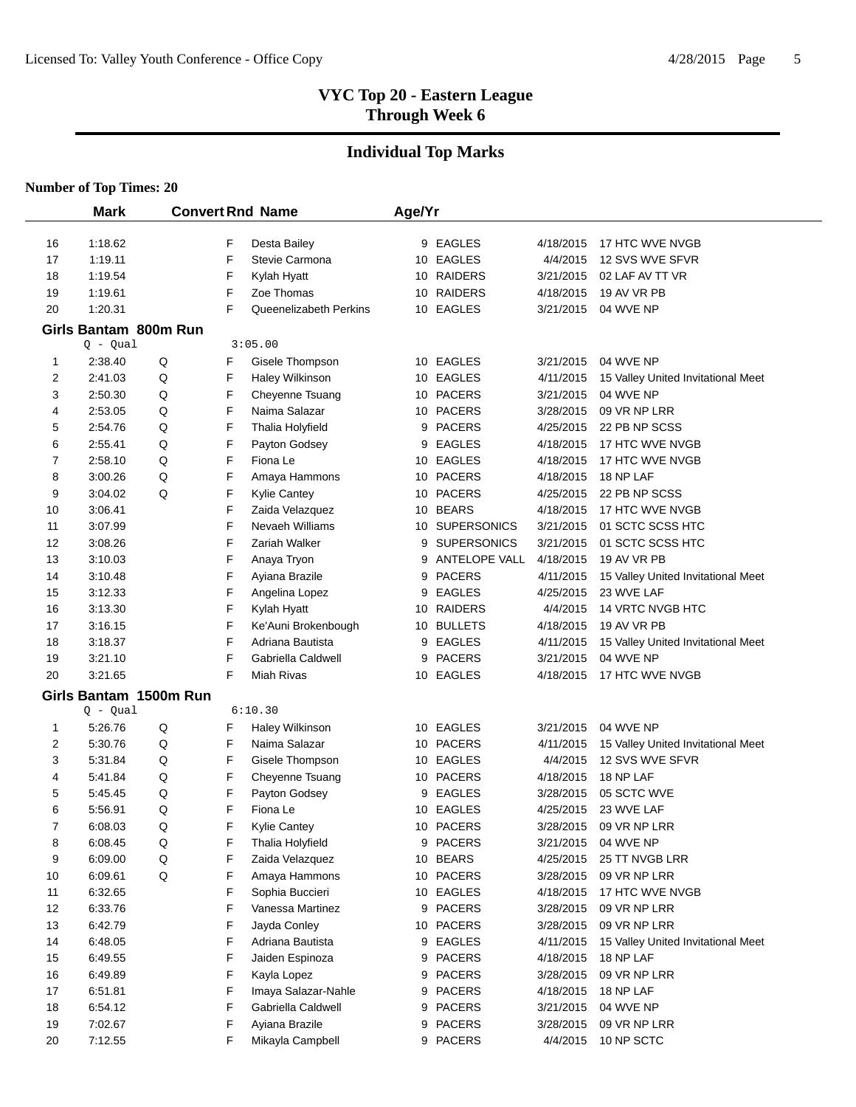# **Individual Top Marks**

|                | <b>Mark</b>            |   |   | <b>Convert Rnd Name</b> | Age/Yr |                    |           |                                    |
|----------------|------------------------|---|---|-------------------------|--------|--------------------|-----------|------------------------------------|
| 16             | 1:18.62                |   | F | Desta Bailey            |        | 9 EAGLES           | 4/18/2015 | 17 HTC WVE NVGB                    |
| 17             | 1:19.11                |   | F | Stevie Carmona          |        | 10 EAGLES          | 4/4/2015  | 12 SVS WVE SFVR                    |
| 18             | 1:19.54                |   | F | Kylah Hyatt             |        | 10 RAIDERS         | 3/21/2015 | 02 LAF AV TT VR                    |
| 19             | 1:19.61                |   | F | Zoe Thomas              |        | 10 RAIDERS         | 4/18/2015 | 19 AV VR PB                        |
| 20             | 1:20.31                |   | F | Queenelizabeth Perkins  |        | 10 EAGLES          | 3/21/2015 | 04 WVE NP                          |
|                | Girls Bantam 800m Run  |   |   |                         |        |                    |           |                                    |
|                | $Q - Qual$             |   |   | 3:05.00                 |        |                    |           |                                    |
| 1              | 2:38.40                | Q | F | Gisele Thompson         |        | 10 EAGLES          | 3/21/2015 | 04 WVE NP                          |
| 2              | 2:41.03                | Q | F | Haley Wilkinson         |        | 10 EAGLES          | 4/11/2015 | 15 Valley United Invitational Meet |
| 3              | 2:50.30                | Q | F | Cheyenne Tsuang         |        | 10 PACERS          | 3/21/2015 | 04 WVE NP                          |
| 4              | 2:53.05                | Q | F | Naima Salazar           |        | 10 PACERS          | 3/28/2015 | 09 VR NP LRR                       |
| 5              | 2:54.76                | Q | F | Thalia Holyfield        | 9      | <b>PACERS</b>      | 4/25/2015 | 22 PB NP SCSS                      |
| 6              | 2:55.41                | Q | F | Payton Godsey           | 9      | <b>EAGLES</b>      | 4/18/2015 | 17 HTC WVE NVGB                    |
| 7              | 2:58.10                | Q | F | Fiona Le                |        | 10 EAGLES          | 4/18/2015 | 17 HTC WVE NVGB                    |
| 8              | 3:00.26                | Q | F | Amaya Hammons           |        | 10 PACERS          | 4/18/2015 | 18 NP LAF                          |
| 9              | 3:04.02                | Q | F | <b>Kylie Cantey</b>     |        | 10 PACERS          | 4/25/2015 | 22 PB NP SCSS                      |
| 10             | 3:06.41                |   | F | Zaida Velazquez         |        | 10 BEARS           | 4/18/2015 | 17 HTC WVE NVGB                    |
| 11             | 3:07.99                |   | F | Nevaeh Williams         |        | 10 SUPERSONICS     | 3/21/2015 | 01 SCTC SCSS HTC                   |
| 12             | 3:08.26                |   | F | Zariah Walker           | 9      | <b>SUPERSONICS</b> | 3/21/2015 | 01 SCTC SCSS HTC                   |
| 13             | 3:10.03                |   | F | Anaya Tryon             | 9      | ANTELOPE VALL      | 4/18/2015 | 19 AV VR PB                        |
| 14             | 3:10.48                |   | F | Ayiana Brazile          | 9      | <b>PACERS</b>      | 4/11/2015 | 15 Valley United Invitational Meet |
| 15             | 3:12.33                |   | F | Angelina Lopez          | 9      | <b>EAGLES</b>      | 4/25/2015 | 23 WVE LAF                         |
| 16             | 3:13.30                |   | F | Kylah Hyatt             |        | 10 RAIDERS         | 4/4/2015  | 14 VRTC NVGB HTC                   |
| 17             | 3:16.15                |   | F | Ke'Auni Brokenbough     | 10     | <b>BULLETS</b>     | 4/18/2015 | 19 AV VR PB                        |
| 18             | 3:18.37                |   | F | Adriana Bautista        | 9      | EAGLES             | 4/11/2015 | 15 Valley United Invitational Meet |
| 19             | 3:21.10                |   | F | Gabriella Caldwell      | 9      | <b>PACERS</b>      | 3/21/2015 | 04 WVE NP                          |
| 20             | 3:21.65                |   | F | Miah Rivas              |        | 10 EAGLES          | 4/18/2015 | 17 HTC WVE NVGB                    |
|                | Girls Bantam 1500m Run |   |   |                         |        |                    |           |                                    |
|                | $Q - Qual$             |   |   | 6:10.30                 |        |                    |           |                                    |
| 1              | 5:26.76                | Q | F | Haley Wilkinson         |        | 10 EAGLES          | 3/21/2015 | 04 WVE NP                          |
| 2              | 5:30.76                | Q | F | Naima Salazar           |        | 10 PACERS          | 4/11/2015 | 15 Valley United Invitational Meet |
| 3              | 5:31.84                | Q | F | Gisele Thompson         |        | 10 EAGLES          | 4/4/2015  | 12 SVS WVE SFVR                    |
| 4              | 5:41.84                | Q | F | Cheyenne Tsuang         |        | 10 PACERS          | 4/18/2015 | 18 NP LAF                          |
| 5              | 5:45.45                | Q | F | Payton Godsey           | 9      | EAGLES             | 3/28/2015 | 05 SCTC WVE                        |
| 6              | 5:56.91                | Q | F | Fiona Le                |        | 10 EAGLES          | 4/25/2015 | 23 WVE LAF                         |
| $\overline{7}$ | 6:08.03                | Q | F | Kylie Cantey            |        | 10 PACERS          | 3/28/2015 | 09 VR NP LRR                       |
| 8              | 6:08.45                | Q | F | Thalia Holyfield        |        | 9 PACERS           | 3/21/2015 | 04 WVE NP                          |
| 9              | 6:09.00                | Q | F | Zaida Velazquez         |        | 10 BEARS           | 4/25/2015 | 25 TT NVGB LRR                     |
| 10             | 6:09.61                | Q | F | Amaya Hammons           |        | 10 PACERS          | 3/28/2015 | 09 VR NP LRR                       |
| 11             | 6:32.65                |   | F | Sophia Buccieri         |        | 10 EAGLES          | 4/18/2015 | 17 HTC WVE NVGB                    |
| 12             | 6:33.76                |   | F | Vanessa Martinez        |        | 9 PACERS           | 3/28/2015 | 09 VR NP LRR                       |
| 13             | 6:42.79                |   | F | Jayda Conley            |        | 10 PACERS          | 3/28/2015 | 09 VR NP LRR                       |
| 14             | 6:48.05                |   | F | Adriana Bautista        | 9      | EAGLES             | 4/11/2015 | 15 Valley United Invitational Meet |
| 15             | 6:49.55                |   | F | Jaiden Espinoza         | 9      | <b>PACERS</b>      | 4/18/2015 | 18 NP LAF                          |
| 16             | 6:49.89                |   | F | Kayla Lopez             | 9      | <b>PACERS</b>      | 3/28/2015 | 09 VR NP LRR                       |
| 17             | 6:51.81                |   | F | Imaya Salazar-Nahle     | 9      | <b>PACERS</b>      | 4/18/2015 | 18 NP LAF                          |
| 18             | 6:54.12                |   | F | Gabriella Caldwell      | 9      | <b>PACERS</b>      | 3/21/2015 | 04 WVE NP                          |
| 19             | 7:02.67                |   | F | Ayiana Brazile          | 9      | <b>PACERS</b>      | 3/28/2015 | 09 VR NP LRR                       |
| 20             | 7:12.55                |   | F | Mikayla Campbell        |        | 9 PACERS           | 4/4/2015  | 10 NP SCTC                         |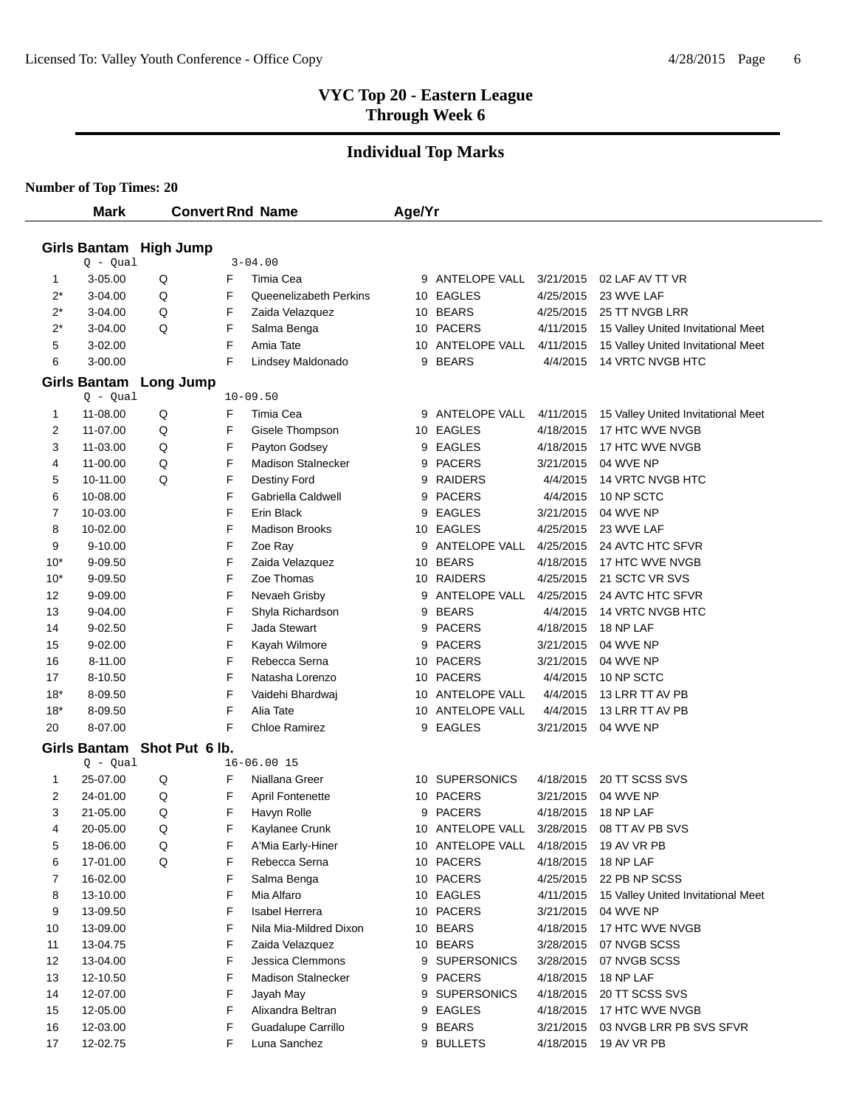# **Individual Top Marks**

|       | <b>Mark</b>                 |           | <b>Convert Rnd Name</b> |                           | Age/Yr |                      |           |                                    |
|-------|-----------------------------|-----------|-------------------------|---------------------------|--------|----------------------|-----------|------------------------------------|
|       |                             |           |                         |                           |        |                      |           |                                    |
|       | Girls Bantam High Jump      |           |                         |                           |        |                      |           |                                    |
|       | $Q - Qual$                  |           |                         | $3 - 04.00$               |        |                      |           |                                    |
| 1     | 3-05.00                     | Q         | F                       | Timia Cea                 | 9      | ANTELOPE VALL        | 3/21/2015 | 02 LAF AV TT VR                    |
| $2^*$ | $3 - 04.00$                 | Q         | F                       | Queenelizabeth Perkins    |        | 10 EAGLES            | 4/25/2015 | 23 WVE LAF                         |
| $2^*$ | 3-04.00                     | Q         | F                       | Zaida Velazquez           |        | 10 BEARS             | 4/25/2015 | 25 TT NVGB LRR                     |
| $2^*$ | 3-04.00                     | Q         | F                       | Salma Benga               |        | 10 PACERS            | 4/11/2015 | 15 Valley United Invitational Meet |
| 5     | 3-02.00                     |           | F                       | Amia Tate                 |        | 10 ANTELOPE VALL     | 4/11/2015 | 15 Valley United Invitational Meet |
| 6     | $3 - 00.00$                 |           | F                       | Lindsey Maldonado         |        | 9 BEARS              | 4/4/2015  | <b>14 VRTC NVGB HTC</b>            |
|       | Girls Bantam                | Long Jump |                         |                           |        |                      |           |                                    |
|       | Q - Qual                    |           |                         | $10 - 09.50$              |        |                      |           |                                    |
| 1     | 11-08.00                    | Q         | F                       | Timia Cea                 | 9      | ANTELOPE VALL        | 4/11/2015 | 15 Valley United Invitational Meet |
| 2     | 11-07.00                    | Q         | F                       | Gisele Thompson           |        | 10 EAGLES            | 4/18/2015 | 17 HTC WVE NVGB                    |
| 3     | 11-03.00                    | Q         | F                       | Payton Godsey             | 9      | <b>EAGLES</b>        | 4/18/2015 | 17 HTC WVE NVGB                    |
| 4     | 11-00.00                    | Q         | F                       | Madison Stalnecker        | 9      | <b>PACERS</b>        | 3/21/2015 | 04 WVE NP                          |
| 5     | 10-11.00                    | Q         | F                       | Destiny Ford              | 9      | <b>RAIDERS</b>       | 4/4/2015  | 14 VRTC NVGB HTC                   |
| 6     | 10-08.00                    |           | F                       | Gabriella Caldwell        | 9      | <b>PACERS</b>        | 4/4/2015  | 10 NP SCTC                         |
| 7     | 10-03.00                    |           | F                       | Erin Black                | 9      | <b>EAGLES</b>        | 3/21/2015 | 04 WVE NP                          |
| 8     | 10-02.00                    |           | F                       | <b>Madison Brooks</b>     |        | 10 EAGLES            | 4/25/2015 | 23 WVE LAF                         |
| 9     | $9 - 10.00$                 |           | F                       | Zoe Ray                   | 9      | <b>ANTELOPE VALL</b> | 4/25/2015 | 24 AVTC HTC SFVR                   |
| $10*$ | 9-09.50                     |           | F                       | Zaida Velazquez           |        | 10 BEARS             | 4/18/2015 | 17 HTC WVE NVGB                    |
| $10*$ | 9-09.50                     |           | F                       | Zoe Thomas                |        | 10 RAIDERS           | 4/25/2015 | 21 SCTC VR SVS                     |
| 12    | 9-09.00                     |           | F                       | Nevaeh Grisby             | 9      | <b>ANTELOPE VALL</b> | 4/25/2015 | 24 AVTC HTC SFVR                   |
| 13    | 9-04.00                     |           | F                       | Shyla Richardson          | 9      | <b>BEARS</b>         | 4/4/2015  | 14 VRTC NVGB HTC                   |
| 14    | $9 - 02.50$                 |           | F                       | Jada Stewart              | 9      | <b>PACERS</b>        | 4/18/2015 | 18 NP LAF                          |
| 15    | $9 - 02.00$                 |           | F                       | Kayah Wilmore             | 9      | <b>PACERS</b>        | 3/21/2015 | 04 WVE NP                          |
| 16    | 8-11.00                     |           | F                       | Rebecca Serna             |        | 10 PACERS            | 3/21/2015 | 04 WVE NP                          |
| 17    | 8-10.50                     |           | F                       | Natasha Lorenzo           |        | 10 PACERS            | 4/4/2015  | 10 NP SCTC                         |
| $18*$ | 8-09.50                     |           | F                       | Vaidehi Bhardwaj          |        | 10 ANTELOPE VALL     | 4/4/2015  | 13 LRR TT AV PB                    |
| $18*$ | 8-09.50                     |           | F                       | Alia Tate                 | 10     | ANTELOPE VALL        | 4/4/2015  | 13 LRR TT AV PB                    |
| 20    | 8-07.00                     |           | F                       | <b>Chloe Ramirez</b>      | 9      | <b>EAGLES</b>        | 3/21/2015 | 04 WVE NP                          |
|       | Girls Bantam Shot Put 6 lb. |           |                         |                           |        |                      |           |                                    |
|       | Q - Qual                    |           |                         | $16 - 06.0015$            |        |                      |           |                                    |
| 1     | 25-07.00                    | Q         | F                       | Niallana Greer            |        | 10 SUPERSONICS       | 4/18/2015 | 20 TT SCSS SVS                     |
| 2     | 24-01.00                    | Q         | F                       | <b>April Fontenette</b>   |        | 10 PACERS            | 3/21/2015 | 04 WVE NP                          |
| 3     | 21-05.00                    | Q         | F                       | Havyn Rolle               | 9      | <b>PACERS</b>        | 4/18/2015 | 18 NP LAF                          |
| 4     | 20-05.00                    | Q         | F                       | Kaylanee Crunk            |        | 10 ANTELOPE VALL     | 3/28/2015 | 08 TT AV PB SVS                    |
| 5     | 18-06.00                    | Q         | F                       | A'Mia Early-Hiner         |        | 10 ANTELOPE VALL     | 4/18/2015 | 19 AV VR PB                        |
| 6     | 17-01.00                    | Q         | F                       | Rebecca Serna             |        | 10 PACERS            | 4/18/2015 | 18 NP LAF                          |
| 7     | 16-02.00                    |           | F                       | Salma Benga               |        | 10 PACERS            | 4/25/2015 | 22 PB NP SCSS                      |
| 8     | 13-10.00                    |           | F                       | Mia Alfaro                |        | 10 EAGLES            | 4/11/2015 | 15 Valley United Invitational Meet |
| 9     | 13-09.50                    |           | F                       | Isabel Herrera            |        | 10 PACERS            | 3/21/2015 | 04 WVE NP                          |
| 10    | 13-09.00                    |           | F                       | Nila Mia-Mildred Dixon    |        | 10 BEARS             | 4/18/2015 | 17 HTC WVE NVGB                    |
| 11    | 13-04.75                    |           | F                       | Zaida Velazquez           |        | 10 BEARS             | 3/28/2015 | 07 NVGB SCSS                       |
| 12    | 13-04.00                    |           | F                       | Jessica Clemmons          | 9      | <b>SUPERSONICS</b>   | 3/28/2015 | 07 NVGB SCSS                       |
| 13    | 12-10.50                    |           | F                       | <b>Madison Stalnecker</b> | 9      | <b>PACERS</b>        | 4/18/2015 | 18 NP LAF                          |
| 14    | 12-07.00                    |           | F                       | Jayah May                 | 9      | <b>SUPERSONICS</b>   | 4/18/2015 | 20 TT SCSS SVS                     |
| 15    | 12-05.00                    |           | F                       | Alixandra Beltran         | 9      | <b>EAGLES</b>        | 4/18/2015 | 17 HTC WVE NVGB                    |
| 16    | 12-03.00                    |           | F                       | Guadalupe Carrillo        | 9      | <b>BEARS</b>         | 3/21/2015 | 03 NVGB LRR PB SVS SFVR            |
| 17    | 12-02.75                    |           | F                       | Luna Sanchez              |        | 9 BULLETS            | 4/18/2015 | 19 AV VR PB                        |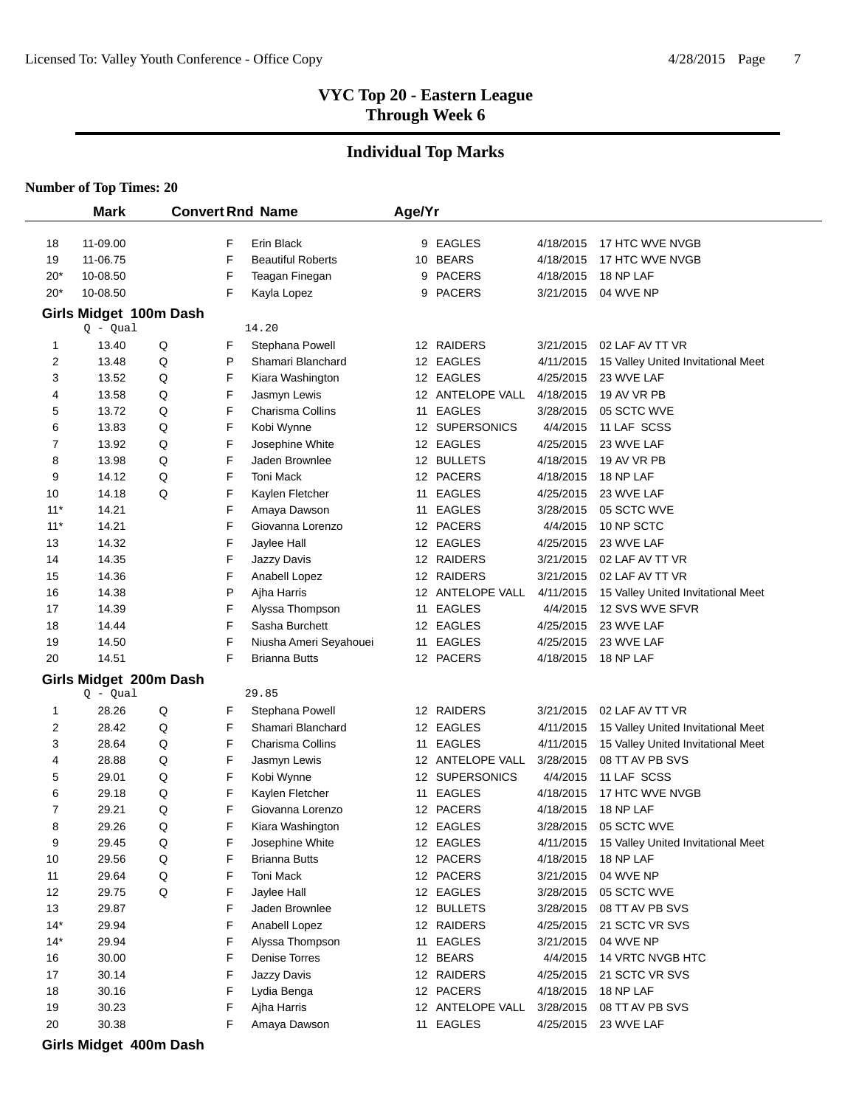#### **Individual Top Marks**

#### **Number of Top Times: 20**

 $\overline{a}$ 

|                | <b>Mark</b>            |   |        | <b>Convert Rnd Name</b>          | Age/Yr |                             |                        |                                    |
|----------------|------------------------|---|--------|----------------------------------|--------|-----------------------------|------------------------|------------------------------------|
| 18             | 11-09.00               |   | F      | Erin Black                       |        | 9 EAGLES                    | 4/18/2015              | 17 HTC WVE NVGB                    |
| 19             | 11-06.75               |   | F      | <b>Beautiful Roberts</b>         |        | 10 BEARS                    | 4/18/2015              | 17 HTC WVE NVGB                    |
| $20*$          | 10-08.50               |   | F      | Teagan Finegan                   | 9      | <b>PACERS</b>               | 4/18/2015              | 18 NP LAF                          |
| $20*$          | 10-08.50               |   | F      | Kayla Lopez                      | 9      | <b>PACERS</b>               | 3/21/2015              | 04 WVE NP                          |
|                | Girls Midget 100m Dash |   |        |                                  |        |                             |                        |                                    |
|                | $Q - Qual$             |   |        | 14.20                            |        |                             |                        |                                    |
| 1              | 13.40                  | Q | F      | Stephana Powell                  |        | 12 RAIDERS                  | 3/21/2015              | 02 LAF AV TT VR                    |
| 2              | 13.48                  | Q | Ρ      | Shamari Blanchard                |        | 12 EAGLES                   | 4/11/2015              | 15 Valley United Invitational Meet |
| 3              | 13.52                  | Q | F      | Kiara Washington                 |        | 12 EAGLES                   | 4/25/2015              | 23 WVE LAF                         |
| 4              | 13.58                  | Q | F      | Jasmyn Lewis                     |        | 12 ANTELOPE VALL            | 4/18/2015              | 19 AV VR PB                        |
| 5              | 13.72                  | Q | F      | Charisma Collins                 | 11     | <b>EAGLES</b>               | 3/28/2015              | 05 SCTC WVE                        |
| 6              | 13.83                  | Q | F      | Kobi Wynne                       |        | 12 SUPERSONICS              | 4/4/2015               | 11 LAF SCSS                        |
| 7              | 13.92                  | Q | F      | Josephine White                  |        | 12 EAGLES                   | 4/25/2015              | 23 WVE LAF                         |
| 8              | 13.98                  | Q | F      | Jaden Brownlee                   |        | 12 BULLETS                  | 4/18/2015              | 19 AV VR PB                        |
| 9              | 14.12                  | Q | F      | Toni Mack                        |        | 12 PACERS                   | 4/18/2015              | 18 NP LAF                          |
| 10             | 14.18                  | Q | F      | Kaylen Fletcher                  | 11     | <b>EAGLES</b>               | 4/25/2015              | 23 WVE LAF                         |
| $11*$          | 14.21                  |   | F      | Amaya Dawson                     | 11     | <b>EAGLES</b>               | 3/28/2015              | 05 SCTC WVE                        |
| $11*$          | 14.21                  |   | F      | Giovanna Lorenzo                 |        | 12 PACERS                   | 4/4/2015               | 10 NP SCTC                         |
| 13             | 14.32                  |   | F      | Jaylee Hall                      |        | 12 EAGLES                   | 4/25/2015              | 23 WVE LAF                         |
| 14             | 14.35                  |   | F      | Jazzy Davis                      |        | 12 RAIDERS                  | 3/21/2015              | 02 LAF AV TT VR                    |
| 15             | 14.36                  |   | F      | Anabell Lopez                    |        | 12 RAIDERS                  | 3/21/2015              | 02 LAF AV TT VR                    |
| 16             | 14.38                  |   | Ρ      | Ajha Harris                      |        | 12 ANTELOPE VALL            | 4/11/2015              | 15 Valley United Invitational Meet |
| 17             | 14.39                  |   | F      | Alyssa Thompson                  | 11     | <b>EAGLES</b>               | 4/4/2015               | 12 SVS WVE SFVR                    |
| 18             | 14.44                  |   | F      | Sasha Burchett                   |        | 12 EAGLES                   | 4/25/2015              | 23 WVE LAF                         |
| 19             | 14.50                  |   | F      | Niusha Ameri Seyahouei           | 11     | <b>EAGLES</b>               | 4/25/2015              | 23 WVE LAF                         |
| 20             | 14.51                  |   | F      | Brianna Butts                    |        | 12 PACERS                   | 4/18/2015              | 18 NP LAF                          |
|                | Girls Midget 200m Dash |   |        |                                  |        |                             |                        |                                    |
|                | $Q - Qual$             |   |        | 29.85                            |        |                             |                        |                                    |
| 1              | 28.26                  | Q | F      | Stephana Powell                  |        | 12 RAIDERS                  | 3/21/2015              | 02 LAF AV TT VR                    |
| 2              | 28.42                  | Q | F      | Shamari Blanchard                |        | 12 EAGLES                   | 4/11/2015              | 15 Valley United Invitational Meet |
| 3              | 28.64                  | Q | F      | Charisma Collins                 | 11     | <b>EAGLES</b>               | 4/11/2015              | 15 Valley United Invitational Meet |
| 4              | 28.88                  | Q | F      | Jasmyn Lewis                     |        | 12 ANTELOPE VALL            | 3/28/2015              | 08 TT AV PB SVS                    |
| 5              | 29.01                  | Q | F      | Kobi Wynne                       |        | 12 SUPERSONICS              | 4/4/2015               | 11 LAF SCSS                        |
| 6              | 29.18                  | Q | F      | Kaylen Fletcher                  | 11     | <b>EAGLES</b>               | 4/18/2015              | 17 HTC WVE NVGB                    |
| 7              | 29.21                  | Q | F      | Giovanna Lorenzo                 |        | 12 PACERS                   | 4/18/2015              | 18 NP LAF                          |
| 8              | 29.26                  | Q | F      | Kiara Washington                 |        | 12 EAGLES                   | 3/28/2015              | 05 SCTC WVE                        |
| 9              | 29.45                  | Q | F      | Josephine White                  |        | 12 EAGLES                   | 4/11/2015              | 15 Valley United Invitational Meet |
| 10             | 29.56                  | Q | F      | <b>Brianna Butts</b>             |        | 12 PACERS                   | 4/18/2015              | 18 NP LAF                          |
| 11             | 29.64                  | Q | F      | Toni Mack                        |        | 12 PACERS                   | 3/21/2015              | 04 WVE NP                          |
| 12             | 29.75                  | Q | F      | Jaylee Hall                      |        | 12 EAGLES                   | 3/28/2015              | 05 SCTC WVE                        |
| 13             | 29.87                  |   | F      | Jaden Brownlee                   |        | 12 BULLETS                  | 3/28/2015              | 08 TT AV PB SVS                    |
| $14*$<br>$14*$ | 29.94<br>29.94         |   | F<br>F | Anabell Lopez<br>Alyssa Thompson | 11     | 12 RAIDERS<br><b>EAGLES</b> | 4/25/2015<br>3/21/2015 | 21 SCTC VR SVS<br>04 WVE NP        |
| 16             | 30.00                  |   | F      | Denise Torres                    |        | 12 BEARS                    | 4/4/2015               | 14 VRTC NVGB HTC                   |
| 17             | 30.14                  |   | F      | Jazzy Davis                      |        | 12 RAIDERS                  | 4/25/2015              | 21 SCTC VR SVS                     |
| 18             | 30.16                  |   | F      | Lydia Benga                      |        | 12 PACERS                   | 4/18/2015              | 18 NP LAF                          |
| 19             | 30.23                  |   | F      | Ajha Harris                      |        | 12 ANTELOPE VALL            | 3/28/2015              | 08 TT AV PB SVS                    |
| 20             | 30.38                  |   | F      | Amaya Dawson                     |        | 11 EAGLES                   | 4/25/2015              | 23 WVE LAF                         |
|                |                        |   |        |                                  |        |                             |                        |                                    |
|                | Girls Midget 400m Dash |   |        |                                  |        |                             |                        |                                    |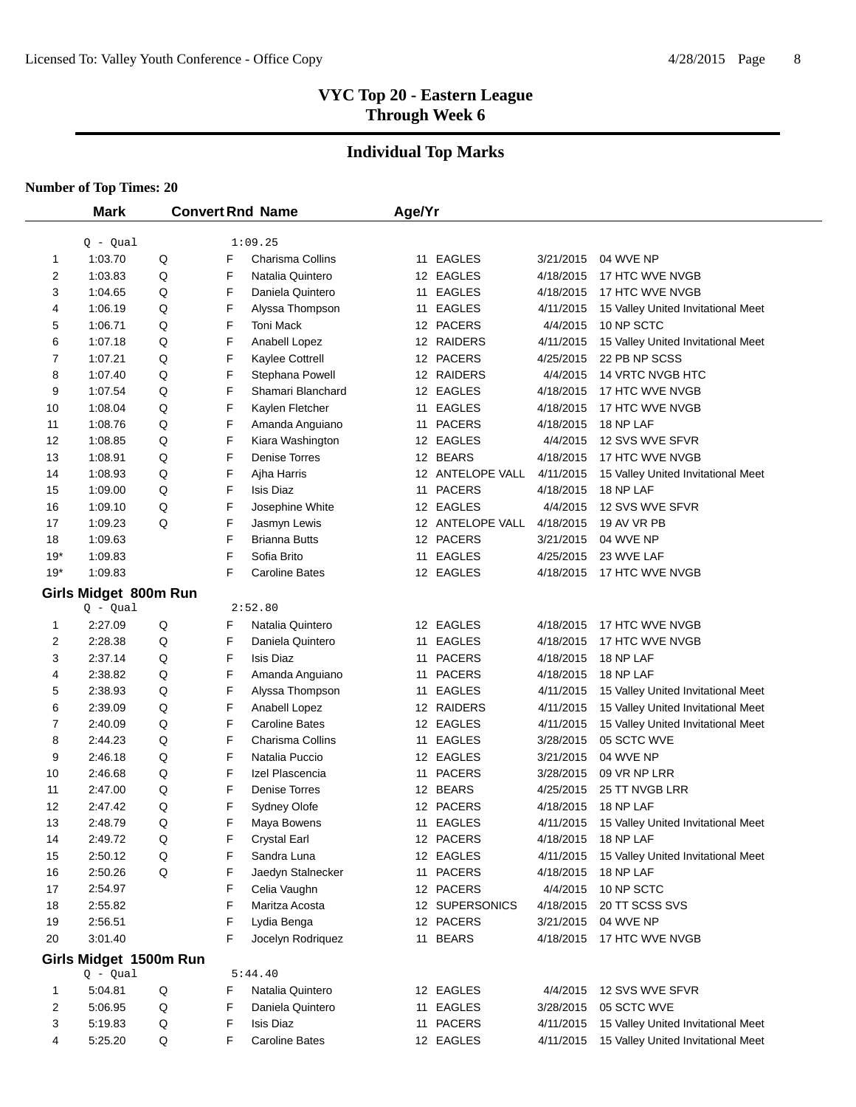### **Individual Top Marks**

|             | <b>Mark</b>            |   |   | <b>Convert Rnd Name</b> | Age/Yr |                  |           |                                    |
|-------------|------------------------|---|---|-------------------------|--------|------------------|-----------|------------------------------------|
|             | $Q - Qual$             |   |   | 1:09.25                 |        |                  |           |                                    |
| $\mathbf 1$ | 1:03.70                | Q | F | Charisma Collins        |        | 11 EAGLES        | 3/21/2015 | 04 WVE NP                          |
| 2           | 1:03.83                | Q | F | Natalia Quintero        |        | 12 EAGLES        | 4/18/2015 | 17 HTC WVE NVGB                    |
| 3           | 1:04.65                | Q | F | Daniela Quintero        |        | 11 EAGLES        | 4/18/2015 | 17 HTC WVE NVGB                    |
| 4           | 1:06.19                | Q | F | Alyssa Thompson         |        | 11 EAGLES        | 4/11/2015 | 15 Valley United Invitational Meet |
| 5           | 1:06.71                | Q | F | Toni Mack               |        | 12 PACERS        | 4/4/2015  | 10 NP SCTC                         |
| 6           | 1:07.18                | Q | F | Anabell Lopez           |        | 12 RAIDERS       | 4/11/2015 | 15 Valley United Invitational Meet |
| 7           | 1:07.21                | Q | F | Kaylee Cottrell         |        | 12 PACERS        | 4/25/2015 | 22 PB NP SCSS                      |
| 8           | 1:07.40                | Q | F | Stephana Powell         |        | 12 RAIDERS       | 4/4/2015  | 14 VRTC NVGB HTC                   |
| 9           | 1:07.54                | Q | F | Shamari Blanchard       |        | 12 EAGLES        | 4/18/2015 | 17 HTC WVE NVGB                    |
| 10          | 1:08.04                | Q | F | Kaylen Fletcher         |        | 11 EAGLES        | 4/18/2015 | 17 HTC WVE NVGB                    |
| 11          | 1:08.76                | Q | F | Amanda Anguiano         |        | 11 PACERS        | 4/18/2015 | 18 NP LAF                          |
| 12          | 1:08.85                | Q | F | Kiara Washington        |        | 12 EAGLES        | 4/4/2015  | 12 SVS WVE SFVR                    |
| 13          | 1:08.91                | Q | F | <b>Denise Torres</b>    |        | 12 BEARS         | 4/18/2015 | 17 HTC WVE NVGB                    |
| 14          | 1:08.93                | Q | F | Ajha Harris             |        | 12 ANTELOPE VALL | 4/11/2015 | 15 Valley United Invitational Meet |
| 15          | 1:09.00                | Q | F | <b>Isis Diaz</b>        |        | 11 PACERS        | 4/18/2015 | 18 NP LAF                          |
| 16          | 1:09.10                | Q | F | Josephine White         |        | 12 EAGLES        | 4/4/2015  | 12 SVS WVE SFVR                    |
| 17          | 1:09.23                | Q | F | Jasmyn Lewis            |        | 12 ANTELOPE VALL | 4/18/2015 | 19 AV VR PB                        |
| 18          | 1:09.63                |   | F | <b>Brianna Butts</b>    |        | 12 PACERS        | 3/21/2015 | 04 WVE NP                          |
| $19*$       | 1:09.83                |   | F | Sofia Brito             |        | 11 EAGLES        | 4/25/2015 | 23 WVE LAF                         |
| $19*$       | 1:09.83                |   | F | <b>Caroline Bates</b>   |        | 12 EAGLES        | 4/18/2015 | 17 HTC WVE NVGB                    |
|             | Girls Midget 800m Run  |   |   |                         |        |                  |           |                                    |
|             | $Q - Qual$             |   |   | 2:52.80                 |        |                  |           |                                    |
| 1           | 2:27.09                | Q | F | Natalia Quintero        |        | 12 EAGLES        | 4/18/2015 | 17 HTC WVE NVGB                    |
| 2           | 2:28.38                | Q | F | Daniela Quintero        |        | 11 EAGLES        | 4/18/2015 | 17 HTC WVE NVGB                    |
| 3           | 2:37.14                | Q | F | <b>Isis Diaz</b>        | 11     | <b>PACERS</b>    | 4/18/2015 | 18 NP LAF                          |
| 4           | 2:38.82                | Q | F | Amanda Anguiano         | 11     | <b>PACERS</b>    | 4/18/2015 | 18 NP LAF                          |
| 5           | 2:38.93                | Q | F | Alyssa Thompson         | 11     | <b>EAGLES</b>    | 4/11/2015 | 15 Valley United Invitational Meet |
| 6           | 2:39.09                | Q | F | Anabell Lopez           |        | 12 RAIDERS       | 4/11/2015 | 15 Valley United Invitational Meet |
| 7           | 2:40.09                | Q | F | <b>Caroline Bates</b>   |        | 12 EAGLES        | 4/11/2015 | 15 Valley United Invitational Meet |
| 8           | 2:44.23                | Q | F | Charisma Collins        |        | 11 EAGLES        | 3/28/2015 | 05 SCTC WVE                        |
| 9           | 2:46.18                | Q | F | Natalia Puccio          |        | 12 EAGLES        | 3/21/2015 | 04 WVE NP                          |
| 10          | 2:46.68                | Q | F | Izel Plascencia         |        | 11 PACERS        | 3/28/2015 | 09 VR NP LRR                       |
| 11          | 2:47.00                | Q | F | Denise Torres           |        | 12 BEARS         | 4/25/2015 | 25 TT NVGB LRR                     |
| 12          | 2:47.42                | Q | F | Sydney Olofe            |        | 12 PACERS        | 4/18/2015 | 18 NP LAF                          |
| 13          | 2:48.79                | Q | F | Maya Bowens             |        | 11 EAGLES        | 4/11/2015 | 15 Valley United Invitational Meet |
| 14          | 2:49.72                | Q | F | <b>Crystal Earl</b>     |        | 12 PACERS        | 4/18/2015 | 18 NP LAF                          |
| 15          | 2:50.12                | Q | F | Sandra Luna             |        | 12 EAGLES        | 4/11/2015 | 15 Valley United Invitational Meet |
| 16          | 2:50.26                | Q | F | Jaedyn Stalnecker       |        | 11 PACERS        | 4/18/2015 | 18 NP LAF                          |
| 17          | 2:54.97                |   | F | Celia Vaughn            |        | 12 PACERS        | 4/4/2015  | 10 NP SCTC                         |
| 18          | 2:55.82                |   | F | Maritza Acosta          |        | 12 SUPERSONICS   | 4/18/2015 | 20 TT SCSS SVS                     |
| 19          | 2:56.51                |   | F | Lydia Benga             |        | 12 PACERS        | 3/21/2015 | 04 WVE NP                          |
| 20          | 3:01.40                |   | F | Jocelyn Rodriguez       |        | 11 BEARS         | 4/18/2015 | 17 HTC WVE NVGB                    |
|             | Girls Midget 1500m Run |   |   |                         |        |                  |           |                                    |
|             | $Q - Qual$             |   |   | 5:44.40                 |        |                  |           |                                    |
| 1           | 5:04.81                | Q | F | Natalia Quintero        |        | 12 EAGLES        | 4/4/2015  | 12 SVS WVE SFVR                    |
| 2           | 5:06.95                | Q | F | Daniela Quintero        |        | 11 EAGLES        | 3/28/2015 | 05 SCTC WVE                        |
| 3           | 5:19.83                | Q | F | <b>Isis Diaz</b>        |        | 11 PACERS        | 4/11/2015 | 15 Valley United Invitational Meet |
| 4           | 5:25.20                | Q | F | <b>Caroline Bates</b>   |        | 12 EAGLES        | 4/11/2015 | 15 Valley United Invitational Meet |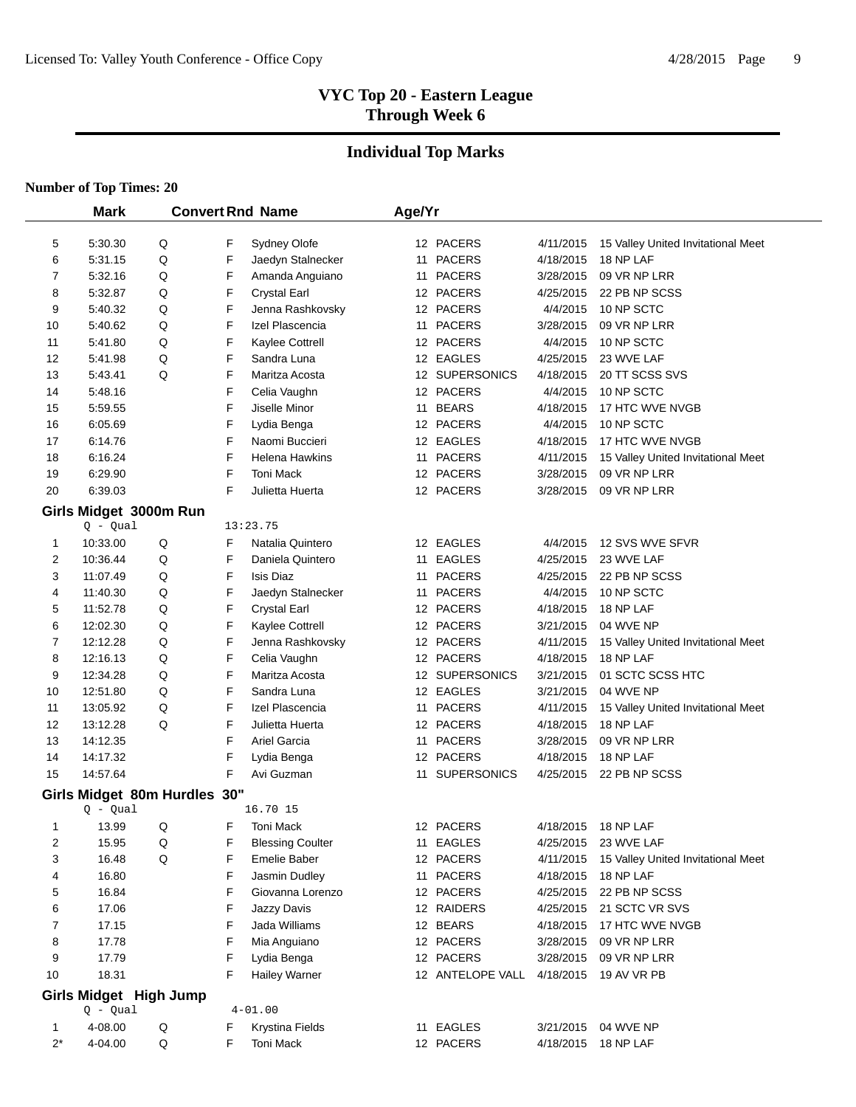### **Individual Top Marks**

|                | <b>Mark</b>                  |         |        | <b>Convert Rnd Name</b>             | Age/Yr |                        |                        |                                    |
|----------------|------------------------------|---------|--------|-------------------------------------|--------|------------------------|------------------------|------------------------------------|
| 5              | 5:30.30                      | Q       | F      | Sydney Olofe                        |        | 12 PACERS              | 4/11/2015              | 15 Valley United Invitational Meet |
| 6              | 5:31.15                      | Q       | F      | Jaedyn Stalnecker                   |        | 11 PACERS              | 4/18/2015              | 18 NP LAF                          |
| 7              | 5:32.16                      | Q       | F      | Amanda Anguiano                     |        | 11 PACERS              | 3/28/2015              | 09 VR NP LRR                       |
| 8              | 5:32.87                      | Q       | F      | <b>Crystal Earl</b>                 |        | 12 PACERS              | 4/25/2015              | 22 PB NP SCSS                      |
| 9              | 5:40.32                      | Q       | F      | Jenna Rashkovsky                    |        | 12 PACERS              | 4/4/2015               | 10 NP SCTC                         |
| 10             | 5:40.62                      | Q       | F      | Izel Plascencia                     |        | 11 PACERS              | 3/28/2015              | 09 VR NP LRR                       |
| 11             | 5:41.80                      | Q       | F      | Kaylee Cottrell                     |        | 12 PACERS              | 4/4/2015               | 10 NP SCTC                         |
| 12             | 5:41.98                      | Q       | F      | Sandra Luna                         |        | 12 EAGLES              | 4/25/2015              | 23 WVE LAF                         |
| 13             | 5:43.41                      | Q       | F      | Maritza Acosta                      |        | 12 SUPERSONICS         | 4/18/2015              | 20 TT SCSS SVS                     |
| 14             | 5:48.16                      |         | F      | Celia Vaughn                        |        | 12 PACERS              | 4/4/2015               | 10 NP SCTC                         |
| 15             | 5:59.55                      |         | F      | Jiselle Minor                       |        | 11 BEARS               | 4/18/2015              | 17 HTC WVE NVGB                    |
| 16             | 6:05.69                      |         | F      | Lydia Benga                         |        | 12 PACERS              | 4/4/2015               | 10 NP SCTC                         |
| 17             | 6:14.76                      |         | F      | Naomi Buccieri                      |        | 12 EAGLES              | 4/18/2015              | 17 HTC WVE NVGB                    |
| 18             | 6:16.24                      |         | F      | Helena Hawkins                      |        | 11 PACERS              | 4/11/2015              | 15 Valley United Invitational Meet |
| 19             | 6:29.90                      |         | F      | Toni Mack                           |        | 12 PACERS              | 3/28/2015              | 09 VR NP LRR                       |
| 20             | 6:39.03                      |         | F      | Julietta Huerta                     |        | 12 PACERS              | 3/28/2015              | 09 VR NP LRR                       |
|                | Girls Midget 3000m Run       |         |        |                                     |        |                        |                        |                                    |
|                | $Q - Qual$                   |         |        | 13:23.75                            |        |                        |                        |                                    |
| 1              | 10:33.00                     | Q       | F      | Natalia Quintero                    |        | 12 EAGLES              | 4/4/2015               | 12 SVS WVE SFVR                    |
| 2              | 10:36.44                     | Q       | F      | Daniela Quintero                    |        | 11 EAGLES              | 4/25/2015              | 23 WVE LAF                         |
| 3              | 11:07.49                     | Q       | F      | Isis Diaz                           |        | 11 PACERS              | 4/25/2015              | 22 PB NP SCSS                      |
| 4              | 11:40.30                     | Q       | F      | Jaedyn Stalnecker                   |        | 11 PACERS              | 4/4/2015               | 10 NP SCTC                         |
| 5              | 11:52.78                     | Q       | F      | <b>Crystal Earl</b>                 |        | 12 PACERS              | 4/18/2015              | 18 NP LAF                          |
| 6              | 12:02.30                     | Q       | F      | Kaylee Cottrell                     |        | 12 PACERS              | 3/21/2015              | 04 WVE NP                          |
| 7              | 12:12.28                     | Q       | F      | Jenna Rashkovsky                    |        | 12 PACERS              | 4/11/2015              | 15 Valley United Invitational Meet |
| 8              | 12:16.13                     | Q       | F      | Celia Vaughn                        |        | 12 PACERS              | 4/18/2015              | 18 NP LAF                          |
| 9              | 12:34.28                     | Q       | F      | Maritza Acosta                      |        | 12 SUPERSONICS         | 3/21/2015              | 01 SCTC SCSS HTC                   |
| 10             | 12:51.80                     | Q       | F      | Sandra Luna                         |        | 12 EAGLES              | 3/21/2015              | 04 WVE NP                          |
| 11             | 13:05.92                     | Q       | F      | Izel Plascencia                     |        | 11 PACERS              | 4/11/2015              | 15 Valley United Invitational Meet |
| 12             | 13:12.28                     | Q       | F      | Julietta Huerta                     |        | 12 PACERS              | 4/18/2015              | 18 NP LAF                          |
| 13             | 14:12.35                     |         | F      | Ariel Garcia                        |        | 11 PACERS              | 3/28/2015              | 09 VR NP LRR                       |
| 14             | 14:17.32                     |         | F      | Lydia Benga                         |        | 12 PACERS              | 4/18/2015              | 18 NP LAF                          |
| 15             | 14:57.64                     |         | F      | Avi Guzman                          |        | 11 SUPERSONICS         | 4/25/2015              | 22 PB NP SCSS                      |
|                | Girls Midget 80m Hurdles 30" |         |        |                                     |        |                        |                        |                                    |
|                | $Q - Qual$                   |         |        | 16.70 15                            |        |                        |                        |                                    |
| $\mathbf{1}$   | 13.99                        | Q       | F      | <b>Toni Mack</b>                    |        | 12 PACERS              | 4/18/2015              | 18 NP LAF                          |
| 2              | 15.95                        | $\sf Q$ | F      | <b>Blessing Coulter</b>             |        | 11 EAGLES              | 4/25/2015              | 23 WVE LAF                         |
| 3              | 16.48                        | Q       | F      | Emelie Baber                        |        | 12 PACERS              | 4/11/2015              | 15 Valley United Invitational Meet |
| 4              | 16.80                        |         | F      | Jasmin Dudley                       |        | 11 PACERS              | 4/18/2015              | 18 NP LAF                          |
| 5              | 16.84                        |         | F      | Giovanna Lorenzo                    |        | 12 PACERS              | 4/25/2015              | 22 PB NP SCSS                      |
| 6              | 17.06                        |         | F      | Jazzy Davis                         |        | 12 RAIDERS             | 4/25/2015              | 21 SCTC VR SVS                     |
| $\overline{7}$ | 17.15                        |         | F      | Jada Williams                       |        | 12 BEARS               | 4/18/2015              | 17 HTC WVE NVGB                    |
| 8              | 17.78                        |         | F      | Mia Anguiano                        |        | 12 PACERS              | 3/28/2015              | 09 VR NP LRR                       |
| 9              | 17.79                        |         | F      | Lydia Benga                         |        | 12 PACERS              | 3/28/2015              | 09 VR NP LRR                       |
| 10             | 18.31                        |         | F      | <b>Hailey Warner</b>                |        | 12 ANTELOPE VALL       | 4/18/2015              | 19 AV VR PB                        |
|                | Girls Midget High Jump       |         |        | $4 - 01.00$                         |        |                        |                        |                                    |
| 1              | $Q - Qual$<br>4-08.00        |         |        |                                     |        |                        |                        | 04 WVE NP                          |
| $2^*$          | 4-04.00                      | Q<br>Q  | F<br>F | <b>Krystina Fields</b><br>Toni Mack |        | 11 EAGLES<br>12 PACERS | 3/21/2015<br>4/18/2015 | 18 NP LAF                          |
|                |                              |         |        |                                     |        |                        |                        |                                    |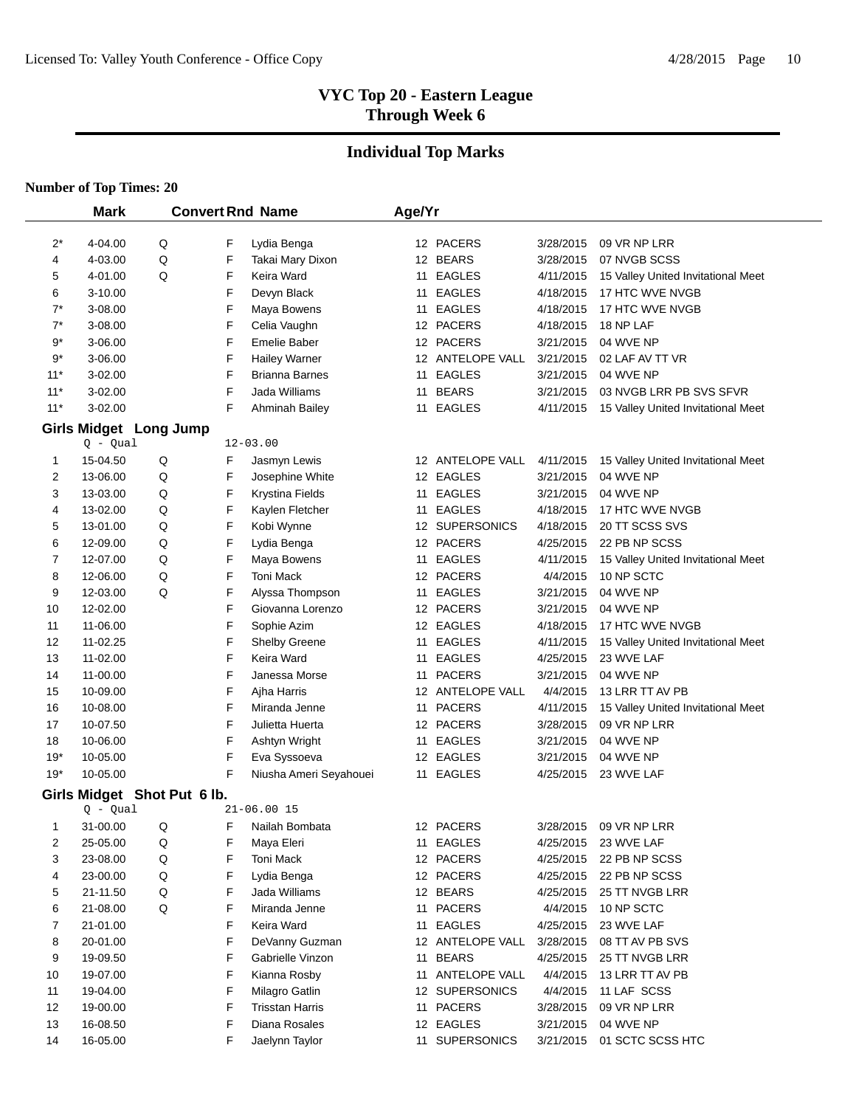# **Individual Top Marks**

|             | <b>Mark</b>        |                             |        | <b>Convert Rnd Name</b>         | Age/Yr |                       |                        |                                    |
|-------------|--------------------|-----------------------------|--------|---------------------------------|--------|-----------------------|------------------------|------------------------------------|
|             |                    |                             |        |                                 |        |                       |                        |                                    |
| $2^*$<br>4  | 4-04.00<br>4-03.00 | Q<br>Q                      | F<br>F | Lydia Benga<br>Takai Mary Dixon |        | 12 PACERS<br>12 BEARS | 3/28/2015<br>3/28/2015 | 09 VR NP LRR<br>07 NVGB SCSS       |
| 5           | 4-01.00            | Q                           | F      | Keira Ward                      |        | 11 EAGLES             | 4/11/2015              | 15 Valley United Invitational Meet |
| 6           | 3-10.00            |                             | F      | Devyn Black                     |        | 11 EAGLES             | 4/18/2015              | 17 HTC WVE NVGB                    |
| $7^*$       | 3-08.00            |                             | F      | Maya Bowens                     |        | 11 EAGLES             | 4/18/2015              | 17 HTC WVE NVGB                    |
| $7^*$       | 3-08.00            |                             | F      | Celia Vaughn                    |        | 12 PACERS             | 4/18/2015              | 18 NP LAF                          |
| $9^\star$   | 3-06.00            |                             | F      | Emelie Baber                    |        | 12 PACERS             | 3/21/2015              | 04 WVE NP                          |
| $9^\star$   | 3-06.00            |                             | F      | <b>Hailey Warner</b>            |        | 12 ANTELOPE VALL      | 3/21/2015              | 02 LAF AV TT VR                    |
| $11*$       | 3-02.00            |                             | F      | <b>Brianna Barnes</b>           |        | 11 EAGLES             | 3/21/2015              | 04 WVE NP                          |
| $11*$       | 3-02.00            |                             | F      | Jada Williams                   | 11     | <b>BEARS</b>          | 3/21/2015              | 03 NVGB LRR PB SVS SFVR            |
| $11*$       | 3-02.00            |                             | F      | Ahminah Bailey                  | 11     | <b>EAGLES</b>         | 4/11/2015              | 15 Valley United Invitational Meet |
|             |                    |                             |        |                                 |        |                       |                        |                                    |
|             | $Q - Qual$         | Girls Midget Long Jump      |        | $12 - 03.00$                    |        |                       |                        |                                    |
| 1           | 15-04.50           | Q                           | F      | Jasmyn Lewis                    |        | 12 ANTELOPE VALL      | 4/11/2015              | 15 Valley United Invitational Meet |
| 2           | 13-06.00           | Q                           | F      | Josephine White                 |        | 12 EAGLES             | 3/21/2015              | 04 WVE NP                          |
| 3           | 13-03.00           | Q                           | F      | <b>Krystina Fields</b>          |        | 11 EAGLES             | 3/21/2015              | 04 WVE NP                          |
| 4           | 13-02.00           | Q                           | F      | Kaylen Fletcher                 |        | 11 EAGLES             | 4/18/2015              | 17 HTC WVE NVGB                    |
| 5           | 13-01.00           | Q                           | F      | Kobi Wynne                      |        | 12 SUPERSONICS        | 4/18/2015              | 20 TT SCSS SVS                     |
| 6           | 12-09.00           | Q                           | F      | Lydia Benga                     |        | 12 PACERS             | 4/25/2015              | 22 PB NP SCSS                      |
| 7           | 12-07.00           | Q                           | F      | Maya Bowens                     | 11     | <b>EAGLES</b>         | 4/11/2015              | 15 Valley United Invitational Meet |
| 8           | 12-06.00           | Q                           | F      | <b>Toni Mack</b>                |        | 12 PACERS             | 4/4/2015               | 10 NP SCTC                         |
| 9           | 12-03.00           | Q                           | F      | Alyssa Thompson                 | 11     | <b>EAGLES</b>         | 3/21/2015              | 04 WVE NP                          |
| 10          | 12-02.00           |                             | F      | Giovanna Lorenzo                |        | 12 PACERS             | 3/21/2015              | 04 WVE NP                          |
| 11          | 11-06.00           |                             | F      | Sophie Azim                     |        | 12 EAGLES             | 4/18/2015              | 17 HTC WVE NVGB                    |
| 12          | 11-02.25           |                             | F      | Shelby Greene                   |        | 11 EAGLES             | 4/11/2015              | 15 Valley United Invitational Meet |
| 13          | 11-02.00           |                             | F      | Keira Ward                      |        | 11 EAGLES             | 4/25/2015              | 23 WVE LAF                         |
| 14          | 11-00.00           |                             | F      | Janessa Morse                   |        | 11 PACERS             | 3/21/2015              | 04 WVE NP                          |
| 15          | 10-09.00           |                             | F      | Ajha Harris                     |        | 12 ANTELOPE VALL      | 4/4/2015               | 13 LRR TT AV PB                    |
| 16          | 10-08.00           |                             | F      | Miranda Jenne                   |        | 11 PACERS             | 4/11/2015              | 15 Valley United Invitational Meet |
| 17          | 10-07.50           |                             | F      | Julietta Huerta                 |        | 12 PACERS             | 3/28/2015              | 09 VR NP LRR                       |
| 18          | 10-06.00           |                             | F      | Ashtyn Wright                   |        | 11 EAGLES             | 3/21/2015              | 04 WVE NP                          |
| 19*         | 10-05.00           |                             | F      | Eva Syssoeva                    |        | 12 EAGLES             | 3/21/2015              | 04 WVE NP                          |
| $19*$       | 10-05.00           |                             | F      | Niusha Ameri Seyahouei          |        | 11 EAGLES             | 4/25/2015              | 23 WVE LAF                         |
|             |                    | Girls Midget Shot Put 6 lb. |        |                                 |        |                       |                        |                                    |
|             | $Q - Qual$         |                             |        | $21 - 06.0015$                  |        |                       |                        |                                    |
| $\mathbf 1$ | 31-00.00           | Q                           | F      | Nailah Bombata                  |        | 12 PACERS             | 3/28/2015              | 09 VR NP LRR                       |
| 2           | 25-05.00           | Q                           | F      | Maya Eleri                      |        | 11 EAGLES             | 4/25/2015              | 23 WVE LAF                         |
| 3           | 23-08.00           | Q                           | F      | Toni Mack                       |        | 12 PACERS             | 4/25/2015              | 22 PB NP SCSS                      |
| 4           | 23-00.00           | Q                           | F      | Lydia Benga                     |        | 12 PACERS             | 4/25/2015              | 22 PB NP SCSS                      |
| 5           | 21-11.50           | Q                           | F      | Jada Williams                   |        | 12 BEARS              | 4/25/2015              | 25 TT NVGB LRR                     |
| 6           | 21-08.00           | Q                           | F      | Miranda Jenne                   |        | 11 PACERS             | 4/4/2015               | 10 NP SCTC                         |
| 7           | 21-01.00           |                             | F      | Keira Ward                      |        | 11 EAGLES             | 4/25/2015              | 23 WVE LAF                         |
| 8           | 20-01.00           |                             | F      | DeVanny Guzman                  |        | 12 ANTELOPE VALL      | 3/28/2015              | 08 TT AV PB SVS                    |
| 9           | 19-09.50           |                             | F      | Gabrielle Vinzon                |        | 11 BEARS              | 4/25/2015              | 25 TT NVGB LRR                     |
| 10          | 19-07.00           |                             | F      | Kianna Rosby                    |        | 11 ANTELOPE VALL      | 4/4/2015               | 13 LRR TT AV PB                    |
| 11          | 19-04.00           |                             | F      | Milagro Gatlin                  |        | 12 SUPERSONICS        | 4/4/2015               | 11 LAF SCSS                        |
| 12          | 19-00.00           |                             | F      | <b>Trisstan Harris</b>          |        | 11 PACERS             | 3/28/2015              | 09 VR NP LRR                       |
| 13          | 16-08.50           |                             | F      | Diana Rosales                   |        | 12 EAGLES             | 3/21/2015              | 04 WVE NP                          |
| 14          | 16-05.00           |                             | F      | Jaelynn Taylor                  |        | 11 SUPERSONICS        | 3/21/2015              | 01 SCTC SCSS HTC                   |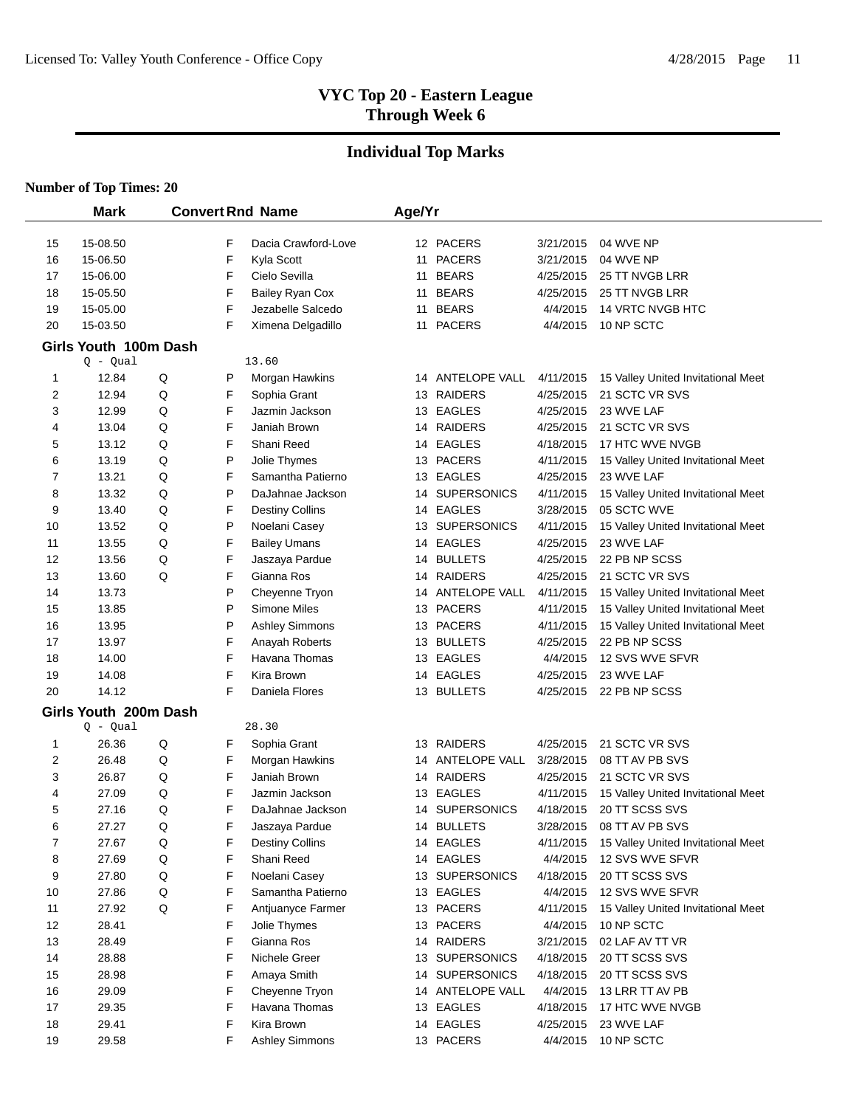# **Individual Top Marks**

|                              | <b>Mark</b>           |             |        | <b>Convert Rnd Name</b>                 | Age/Yr |                                |                        |                                                      |
|------------------------------|-----------------------|-------------|--------|-----------------------------------------|--------|--------------------------------|------------------------|------------------------------------------------------|
|                              |                       |             |        |                                         |        |                                |                        |                                                      |
| 15                           | 15-08.50<br>15-06.50  |             | F<br>F | Dacia Crawford-Love                     |        | 12 PACERS<br>11 PACERS         | 3/21/2015<br>3/21/2015 | 04 WVE NP<br>04 WVE NP                               |
| 16                           |                       |             | F      | Kyla Scott<br>Cielo Sevilla             |        |                                |                        |                                                      |
| 17                           | 15-06.00              |             | F      |                                         |        | 11 BEARS<br>11 BEARS           | 4/25/2015              | 25 TT NVGB LRR<br>25 TT NVGB LRR                     |
| 18                           | 15-05.50              |             | F      | <b>Bailey Ryan Cox</b>                  |        | 11 BEARS                       | 4/25/2015              | <b>14 VRTC NVGB HTC</b>                              |
| 19<br>20                     | 15-05.00              |             | F      | Jezabelle Salcedo                       |        | 11 PACERS                      | 4/4/2015<br>4/4/2015   | 10 NP SCTC                                           |
|                              | 15-03.50              |             |        | Ximena Delgadillo                       |        |                                |                        |                                                      |
|                              | Girls Youth 100m Dash |             |        |                                         |        |                                |                        |                                                      |
|                              | $Q - Qual$            |             |        | 13.60                                   |        |                                |                        |                                                      |
| 1<br>$\overline{\mathbf{c}}$ | 12.84<br>12.94        | Q<br>Q      | P<br>F | Morgan Hawkins<br>Sophia Grant          |        | 14 ANTELOPE VALL<br>13 RAIDERS | 4/11/2015<br>4/25/2015 | 15 Valley United Invitational Meet<br>21 SCTC VR SVS |
| 3                            | 12.99                 | Q           | F      | Jazmin Jackson                          |        | 13 EAGLES                      | 4/25/2015              | 23 WVE LAF                                           |
|                              |                       | Q           | F      |                                         |        | 14 RAIDERS                     |                        | 21 SCTC VR SVS                                       |
| 4                            | 13.04<br>13.12        | Q           | F      | Janiah Brown<br>Shani Reed              |        | 14 EAGLES                      | 4/25/2015<br>4/18/2015 | 17 HTC WVE NVGB                                      |
| 5<br>6                       | 13.19                 | Q           | P      |                                         |        | 13 PACERS                      |                        |                                                      |
| 7                            | 13.21                 | Q           | F      | Jolie Thymes<br>Samantha Patierno       |        | 13 EAGLES                      | 4/11/2015<br>4/25/2015 | 15 Valley United Invitational Meet<br>23 WVE LAF     |
| 8                            | 13.32                 | Q           | P      | DaJahnae Jackson                        |        | 14 SUPERSONICS                 | 4/11/2015              |                                                      |
| 9                            | 13.40                 | Q           | F      |                                         |        | 14 EAGLES                      |                        | 15 Valley United Invitational Meet<br>05 SCTC WVE    |
| 10                           | 13.52                 | Q           | P      | <b>Destiny Collins</b><br>Noelani Casey | 13     | <b>SUPERSONICS</b>             | 3/28/2015<br>4/11/2015 | 15 Valley United Invitational Meet                   |
|                              | 13.55                 | Q           | F      |                                         |        | 14 EAGLES                      |                        | 23 WVE LAF                                           |
| 11<br>12                     | 13.56                 | Q           | F      | <b>Bailey Umans</b><br>Jaszaya Pardue   | 14     | <b>BULLETS</b>                 | 4/25/2015<br>4/25/2015 | 22 PB NP SCSS                                        |
| 13                           | 13.60                 | Q           | F      | Gianna Ros                              |        | 14 RAIDERS                     | 4/25/2015              | 21 SCTC VR SVS                                       |
| 14                           | 13.73                 |             | P      | Cheyenne Tryon                          | 14     | ANTELOPE VALL                  | 4/11/2015              | 15 Valley United Invitational Meet                   |
| 15                           | 13.85                 |             | P      | Simone Miles                            |        | 13 PACERS                      | 4/11/2015              | 15 Valley United Invitational Meet                   |
| 16                           | 13.95                 |             | P      | <b>Ashley Simmons</b>                   |        | 13 PACERS                      | 4/11/2015              | 15 Valley United Invitational Meet                   |
| 17                           | 13.97                 |             | F      | Anayah Roberts                          |        | 13 BULLETS                     | 4/25/2015              | 22 PB NP SCSS                                        |
| 18                           | 14.00                 |             | F      | Havana Thomas                           |        | 13 EAGLES                      | 4/4/2015               | 12 SVS WVE SFVR                                      |
| 19                           | 14.08                 |             | F      | Kira Brown                              |        | 14 EAGLES                      | 4/25/2015              | 23 WVE LAF                                           |
| 20                           | 14.12                 |             | F      | Daniela Flores                          |        | 13 BULLETS                     | 4/25/2015              | 22 PB NP SCSS                                        |
|                              | Girls Youth 200m Dash |             |        |                                         |        |                                |                        |                                                      |
|                              | $Q - Qual$            |             |        | 28.30                                   |        |                                |                        |                                                      |
| 1                            | 26.36                 | Q           | F      | Sophia Grant                            | 13     | <b>RAIDERS</b>                 | 4/25/2015              | 21 SCTC VR SVS                                       |
| 2                            | 26.48                 | Q           | F      | Morgan Hawkins                          | 14     | ANTELOPE VALL                  | 3/28/2015              | 08 TT AV PB SVS                                      |
| 3                            | 26.87                 | Q           | F      | Janiah Brown                            | 14     | RAIDERS                        | 4/25/2015              | 21 SCTC VR SVS                                       |
| 4                            | 27.09                 | Q           | F      | Jazmin Jackson                          |        | 13 EAGLES                      | 4/11/2015              | 15 Valley United Invitational Meet                   |
| 5                            | 27.16                 | Q           | F      | DaJahnae Jackson                        | 14     | <b>SUPERSONICS</b>             | 4/18/2015              | 20 TT SCSS SVS                                       |
| 6                            | 27.27                 | Q           | F      | Jaszaya Pardue                          |        | 14 BULLETS                     | 3/28/2015              | 08 TT AV PB SVS                                      |
| $\overline{7}$               | 27.67                 | $\mathsf Q$ | F      | <b>Destiny Collins</b>                  |        | 14 EAGLES                      | 4/11/2015              | 15 Valley United Invitational Meet                   |
| 8                            | 27.69                 | Q           | F      | Shani Reed                              |        | 14 EAGLES                      | 4/4/2015               | 12 SVS WVE SFVR                                      |
| 9                            | 27.80                 | Q           | F      | Noelani Casey                           |        | 13 SUPERSONICS                 | 4/18/2015              | 20 TT SCSS SVS                                       |
| 10                           | 27.86                 | Q           | F      | Samantha Patierno                       |        | 13 EAGLES                      | 4/4/2015               | 12 SVS WVE SFVR                                      |
| 11                           | 27.92                 | Q           | F      | Antjuanyce Farmer                       |        | 13 PACERS                      | 4/11/2015              | 15 Valley United Invitational Meet                   |
| 12                           | 28.41                 |             | F      | Jolie Thymes                            |        | 13 PACERS                      | 4/4/2015               | 10 NP SCTC                                           |
| 13                           | 28.49                 |             | F      | Gianna Ros                              |        | 14 RAIDERS                     | 3/21/2015              | 02 LAF AV TT VR                                      |
| 14                           | 28.88                 |             | F      | Nichele Greer                           |        | 13 SUPERSONICS                 | 4/18/2015              | 20 TT SCSS SVS                                       |
| 15                           | 28.98                 |             | F      | Amaya Smith                             |        | 14 SUPERSONICS                 | 4/18/2015              | 20 TT SCSS SVS                                       |
| 16                           | 29.09                 |             | F      | Cheyenne Tryon                          |        | 14 ANTELOPE VALL               | 4/4/2015               | 13 LRR TT AV PB                                      |
| 17                           | 29.35                 |             | F      | Havana Thomas                           |        | 13 EAGLES                      | 4/18/2015              | 17 HTC WVE NVGB                                      |
| 18                           | 29.41                 |             | F      | Kira Brown                              |        | 14 EAGLES                      | 4/25/2015              | 23 WVE LAF                                           |
| 19                           | 29.58                 |             | F      | <b>Ashley Simmons</b>                   |        | 13 PACERS                      | 4/4/2015               | 10 NP SCTC                                           |
|                              |                       |             |        |                                         |        |                                |                        |                                                      |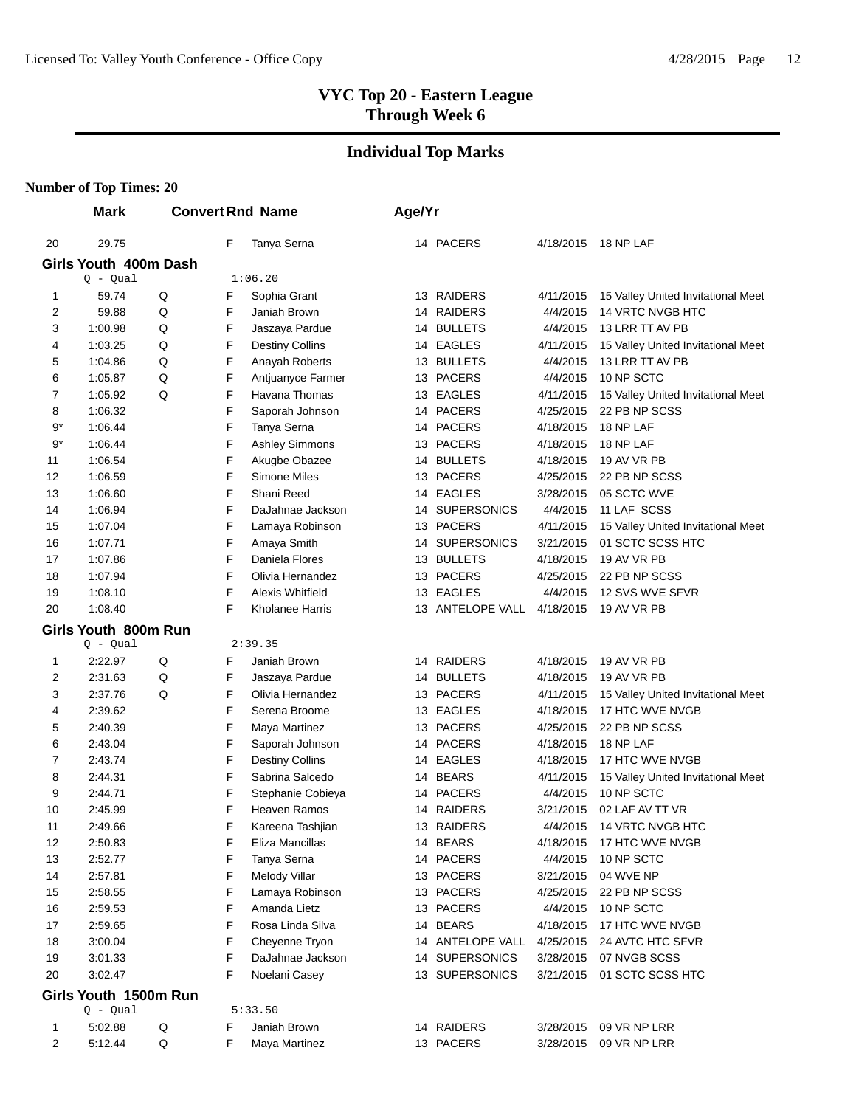# **Individual Top Marks**

|                | <b>Mark</b>                         |   |   | <b>Convert Rnd Name</b> | Age/Yr |                  |           |                                    |
|----------------|-------------------------------------|---|---|-------------------------|--------|------------------|-----------|------------------------------------|
| 20             | 29.75                               |   | F | Tanya Serna             |        | 14 PACERS        |           | 4/18/2015 18 NP LAF                |
|                | Girls Youth 400m Dash               |   |   |                         |        |                  |           |                                    |
|                | $Q - Qual$                          |   |   | 1:06.20                 |        |                  |           |                                    |
| 1              | 59.74                               | Q | F | Sophia Grant            |        | 13 RAIDERS       | 4/11/2015 | 15 Valley United Invitational Meet |
| 2              | 59.88                               | Q | F | Janiah Brown            |        | 14 RAIDERS       | 4/4/2015  | 14 VRTC NVGB HTC                   |
| 3              | 1:00.98                             | Q | F | Jaszaya Pardue          |        | 14 BULLETS       | 4/4/2015  | 13 LRR TT AV PB                    |
| 4              | 1:03.25                             | Q | F | <b>Destiny Collins</b>  |        | 14 EAGLES        | 4/11/2015 | 15 Valley United Invitational Meet |
| 5              | 1:04.86                             | Q | F | Anayah Roberts          |        | 13 BULLETS       | 4/4/2015  | 13 LRR TT AV PB                    |
| 6              | 1:05.87                             | Q | F | Antjuanyce Farmer       |        | 13 PACERS        | 4/4/2015  | 10 NP SCTC                         |
| 7              | 1:05.92                             | Q | F | Havana Thomas           |        | 13 EAGLES        | 4/11/2015 | 15 Valley United Invitational Meet |
| 8              | 1:06.32                             |   | F | Saporah Johnson         |        | 14 PACERS        | 4/25/2015 | 22 PB NP SCSS                      |
| 9*             | 1:06.44                             |   | F | Tanya Serna             |        | 14 PACERS        | 4/18/2015 | 18 NP LAF                          |
| 9*             | 1:06.44                             |   | F | <b>Ashley Simmons</b>   |        | 13 PACERS        | 4/18/2015 | 18 NP LAF                          |
| 11             | 1:06.54                             |   | F | Akugbe Obazee           |        | 14 BULLETS       | 4/18/2015 | 19 AV VR PB                        |
| 12             | 1:06.59                             |   | F | Simone Miles            |        | 13 PACERS        | 4/25/2015 | 22 PB NP SCSS                      |
| 13             | 1:06.60                             |   | F | Shani Reed              |        | 14 EAGLES        | 3/28/2015 | 05 SCTC WVE                        |
| 14             | 1:06.94                             |   | F | DaJahnae Jackson        |        | 14 SUPERSONICS   | 4/4/2015  | 11 LAF SCSS                        |
| 15             | 1:07.04                             |   | F | Lamaya Robinson         |        | 13 PACERS        | 4/11/2015 | 15 Valley United Invitational Meet |
| 16             | 1:07.71                             |   | F | Amaya Smith             |        | 14 SUPERSONICS   | 3/21/2015 | 01 SCTC SCSS HTC                   |
| 17             | 1:07.86                             |   | F | Daniela Flores          |        | 13 BULLETS       | 4/18/2015 | 19 AV VR PB                        |
| 18             | 1:07.94                             |   | F | Olivia Hernandez        |        | 13 PACERS        | 4/25/2015 | 22 PB NP SCSS                      |
| 19             | 1:08.10                             |   | F | Alexis Whitfield        |        | 13 EAGLES        | 4/4/2015  | 12 SVS WVE SFVR                    |
| 20             | 1:08.40                             |   | F | Kholanee Harris         |        | 13 ANTELOPE VALL | 4/18/2015 | 19 AV VR PB                        |
|                | Girls Youth 800m Run                |   |   |                         |        |                  |           |                                    |
|                | $Q - Qual$                          |   |   | 2:39.35                 |        |                  |           |                                    |
| 1              | 2:22.97                             | Q | F | Janiah Brown            |        | 14 RAIDERS       | 4/18/2015 | 19 AV VR PB                        |
| 2              | 2:31.63                             | Q | F | Jaszaya Pardue          |        | 14 BULLETS       | 4/18/2015 | 19 AV VR PB                        |
| 3              | 2:37.76                             | Q | F | Olivia Hernandez        |        | 13 PACERS        | 4/11/2015 | 15 Valley United Invitational Meet |
| 4              | 2:39.62                             |   | F | Serena Broome           |        | 13 EAGLES        | 4/18/2015 | 17 HTC WVE NVGB                    |
| 5              | 2:40.39                             |   | F | Maya Martinez           |        | 13 PACERS        | 4/25/2015 | 22 PB NP SCSS                      |
| 6              | 2:43.04                             |   | F | Saporah Johnson         |        | 14 PACERS        | 4/18/2015 | 18 NP LAF                          |
| 7              | 2:43.74                             |   | F | <b>Destiny Collins</b>  |        | 14 EAGLES        | 4/18/2015 | 17 HTC WVE NVGB                    |
| 8              | 2:44.31                             |   | F | Sabrina Salcedo         |        | 14 BEARS         | 4/11/2015 | 15 Valley United Invitational Meet |
| 9              | 2:44.71                             |   | F | Stephanie Cobieya       |        | 14 PACERS        | 4/4/2015  | 10 NP SCTC                         |
| 10             | 2:45.99                             |   | F | Heaven Ramos            |        | 14 RAIDERS       | 3/21/2015 | 02 LAF AV TT VR                    |
| 11             | 2:49.66                             |   | F | Kareena Tashiian        |        | 13 RAIDERS       | 4/4/2015  | 14 VRTC NVGB HTC                   |
| 12             | 2:50.83                             |   | F | Eliza Mancillas         |        | 14 BEARS         | 4/18/2015 | 17 HTC WVE NVGB                    |
| 13             | 2:52.77                             |   | F | Tanya Serna             |        | 14 PACERS        | 4/4/2015  | 10 NP SCTC                         |
| 14             | 2:57.81                             |   | F | Melody Villar           |        | 13 PACERS        | 3/21/2015 | 04 WVE NP                          |
| 15             | 2:58.55                             |   | F | Lamaya Robinson         |        | 13 PACERS        | 4/25/2015 | 22 PB NP SCSS                      |
| 16             | 2:59.53                             |   | F | Amanda Lietz            |        | 13 PACERS        | 4/4/2015  | 10 NP SCTC                         |
| 17             | 2:59.65                             |   | F | Rosa Linda Silva        |        | 14 BEARS         | 4/18/2015 | 17 HTC WVE NVGB                    |
| 18             | 3:00.04                             |   | F | Cheyenne Tryon          |        | 14 ANTELOPE VALL | 4/25/2015 | 24 AVTC HTC SFVR                   |
| 19             | 3:01.33                             |   | F | DaJahnae Jackson        |        | 14 SUPERSONICS   | 3/28/2015 | 07 NVGB SCSS                       |
| 20             | 3:02.47                             |   | F | Noelani Casey           |        | 13 SUPERSONICS   | 3/21/2015 | 01 SCTC SCSS HTC                   |
|                | Girls Youth 1500m Run<br>$Q - Qual$ |   |   | 5:33.50                 |        |                  |           |                                    |
| 1              | 5:02.88                             | Q | F | Janiah Brown            |        | 14 RAIDERS       | 3/28/2015 | 09 VR NP LRR                       |
|                | 5:12.44                             | Q | F | Maya Martinez           |        | 13 PACERS        |           | 09 VR NP LRR                       |
| $\overline{c}$ |                                     |   |   |                         |        |                  | 3/28/2015 |                                    |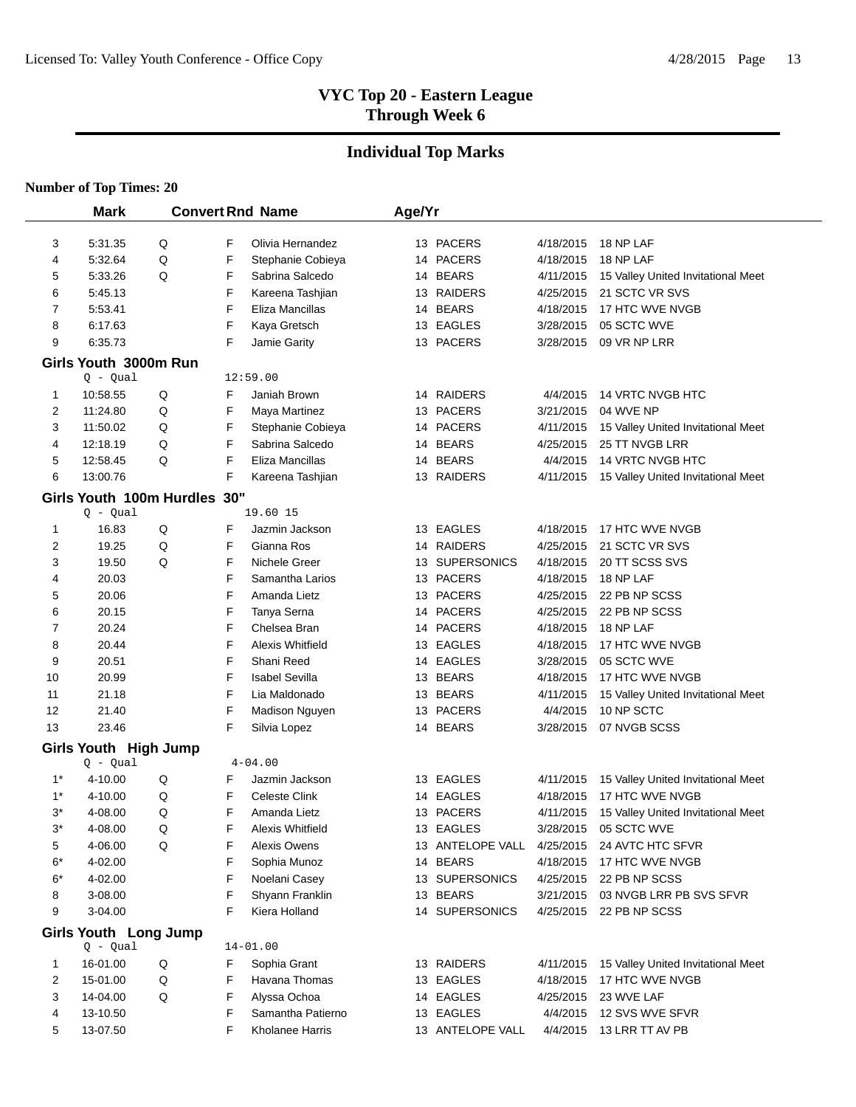# **Individual Top Marks**

|       | <b>Mark</b>                  |   |   | <b>Convert Rnd Name</b> | Age/Yr |                  |           |                                    |
|-------|------------------------------|---|---|-------------------------|--------|------------------|-----------|------------------------------------|
|       |                              |   |   |                         |        |                  |           |                                    |
| 3     | 5:31.35                      | Q | F | Olivia Hernandez        |        | 13 PACERS        | 4/18/2015 | 18 NP LAF                          |
| 4     | 5:32.64                      | Q | F | Stephanie Cobieya       |        | 14 PACERS        | 4/18/2015 | 18 NP LAF                          |
| 5     | 5:33.26                      | Q | F | Sabrina Salcedo         |        | 14 BEARS         | 4/11/2015 | 15 Valley United Invitational Meet |
| 6     | 5:45.13                      |   | F | Kareena Tashjian        |        | 13 RAIDERS       | 4/25/2015 | 21 SCTC VR SVS                     |
| 7     | 5:53.41                      |   | F | Eliza Mancillas         |        | 14 BEARS         | 4/18/2015 | 17 HTC WVE NVGB                    |
| 8     | 6:17.63                      |   | F | Kaya Gretsch            |        | 13 EAGLES        | 3/28/2015 | 05 SCTC WVE                        |
| 9     | 6:35.73                      |   | F | Jamie Garity            |        | 13 PACERS        | 3/28/2015 | 09 VR NP LRR                       |
|       | Girls Youth 3000m Run        |   |   |                         |        |                  |           |                                    |
|       | $Q - Qual$                   |   |   | 12:59.00                |        |                  |           |                                    |
| 1     | 10:58.55                     | Q | F | Janiah Brown            |        | 14 RAIDERS       | 4/4/2015  | 14 VRTC NVGB HTC                   |
| 2     | 11:24.80                     | Q | F | Maya Martinez           |        | 13 PACERS        | 3/21/2015 | 04 WVE NP                          |
| 3     | 11:50.02                     | Q | F | Stephanie Cobieya       |        | 14 PACERS        | 4/11/2015 | 15 Valley United Invitational Meet |
| 4     | 12:18.19                     | Q | F | Sabrina Salcedo         |        | 14 BEARS         | 4/25/2015 | 25 TT NVGB LRR                     |
| 5     | 12:58.45                     | Q | F | Eliza Mancillas         |        | 14 BEARS         | 4/4/2015  | 14 VRTC NVGB HTC                   |
| 6     | 13:00.76                     |   | F | Kareena Tashjian        |        | 13 RAIDERS       | 4/11/2015 | 15 Valley United Invitational Meet |
|       | Girls Youth 100m Hurdles 30" |   |   |                         |        |                  |           |                                    |
|       | $Q - Qual$                   |   |   | 19.60 15                |        |                  |           |                                    |
| 1     | 16.83                        | Q | F | Jazmin Jackson          |        | 13 EAGLES        | 4/18/2015 | 17 HTC WVE NVGB                    |
| 2     | 19.25                        | Q | F | Gianna Ros              |        | 14 RAIDERS       | 4/25/2015 | 21 SCTC VR SVS                     |
| 3     | 19.50                        | Q | F | Nichele Greer           |        | 13 SUPERSONICS   | 4/18/2015 | 20 TT SCSS SVS                     |
| 4     | 20.03                        |   | F | Samantha Larios         |        | 13 PACERS        | 4/18/2015 | 18 NP LAF                          |
| 5     | 20.06                        |   | F | Amanda Lietz            |        | 13 PACERS        | 4/25/2015 | 22 PB NP SCSS                      |
| 6     | 20.15                        |   | F | Tanya Serna             |        | 14 PACERS        | 4/25/2015 | 22 PB NP SCSS                      |
| 7     | 20.24                        |   | F | Chelsea Bran            |        | 14 PACERS        | 4/18/2015 | 18 NP LAF                          |
| 8     | 20.44                        |   | F | <b>Alexis Whitfield</b> |        | 13 EAGLES        | 4/18/2015 | 17 HTC WVE NVGB                    |
| 9     | 20.51                        |   | F | Shani Reed              |        | 14 EAGLES        | 3/28/2015 | 05 SCTC WVE                        |
| 10    | 20.99                        |   | F | <b>Isabel Sevilla</b>   |        | 13 BEARS         | 4/18/2015 | 17 HTC WVE NVGB                    |
| 11    | 21.18                        |   | F | Lia Maldonado           |        | 13 BEARS         | 4/11/2015 | 15 Valley United Invitational Meet |
| 12    | 21.40                        |   | F | Madison Nguyen          |        | 13 PACERS        | 4/4/2015  | 10 NP SCTC                         |
| 13    | 23.46                        |   | F | Silvia Lopez            |        | 14 BEARS         | 3/28/2015 | 07 NVGB SCSS                       |
|       | Girls Youth High Jump        |   |   |                         |        |                  |           |                                    |
|       | $Q - Qual$                   |   |   | $4 - 04.00$             |        |                  |           |                                    |
| $1^*$ | 4-10.00                      | Q | F | Jazmin Jackson          |        | 13 EAGLES        | 4/11/2015 | 15 Valley United Invitational Meet |
| $1^*$ | 4-10.00                      | Q | F | <b>Celeste Clink</b>    |        | 14 EAGLES        | 4/18/2015 | 17 HTC WVE NVGB                    |
| 3*    | 4-08.00                      | Q | F | Amanda Lietz            |        | 13 PACERS        | 4/11/2015 | 15 Valley United Invitational Meet |
| $3^*$ | 4-08.00                      | Q | F | Alexis Whitfield        |        | 13 EAGLES        | 3/28/2015 | 05 SCTC WVE                        |
| 5     | 4-06.00                      | Q | F | <b>Alexis Owens</b>     |        | 13 ANTELOPE VALL | 4/25/2015 | 24 AVTC HTC SFVR                   |
| $6*$  | 4-02.00                      |   | F | Sophia Munoz            |        | 14 BEARS         | 4/18/2015 | 17 HTC WVE NVGB                    |
| 6*    | 4-02.00                      |   | F | Noelani Casey           |        | 13 SUPERSONICS   | 4/25/2015 | 22 PB NP SCSS                      |
| 8     | 3-08.00                      |   | F | Shyann Franklin         |        | 13 BEARS         | 3/21/2015 | 03 NVGB LRR PB SVS SFVR            |
| 9     | 3-04.00                      |   | F | Kiera Holland           |        | 14 SUPERSONICS   | 4/25/2015 | 22 PB NP SCSS                      |
|       | Girls Youth Long Jump        |   |   |                         |        |                  |           |                                    |
|       | $Q - Qual$                   |   |   | $14 - 01.00$            |        |                  |           |                                    |
| 1     | 16-01.00                     | Q | F | Sophia Grant            |        | 13 RAIDERS       | 4/11/2015 | 15 Valley United Invitational Meet |
| 2     | 15-01.00                     | Q | F | Havana Thomas           |        | 13 EAGLES        | 4/18/2015 | 17 HTC WVE NVGB                    |
| 3     | 14-04.00                     | Q | F | Alyssa Ochoa            |        | 14 EAGLES        | 4/25/2015 | 23 WVE LAF                         |
| 4     | 13-10.50                     |   | F | Samantha Patierno       |        | 13 EAGLES        | 4/4/2015  | 12 SVS WVE SFVR                    |
| 5     | 13-07.50                     |   | F | Kholanee Harris         |        | 13 ANTELOPE VALL | 4/4/2015  | 13 LRR TT AV PB                    |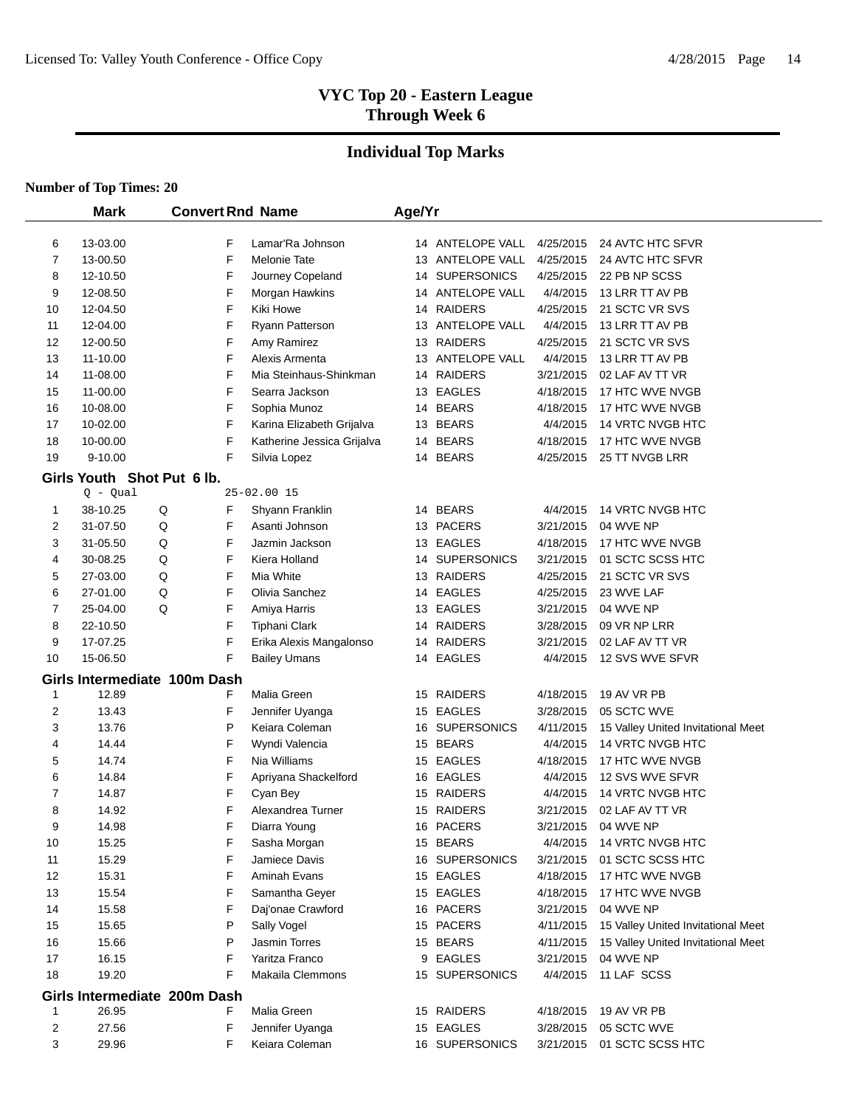# **Individual Top Marks**

|    | <b>Mark</b>                | <b>Convert Rnd Name</b>      |                            | Age/Yr |                  |           |                                    |
|----|----------------------------|------------------------------|----------------------------|--------|------------------|-----------|------------------------------------|
| 6  | 13-03.00                   | F                            | Lamar'Ra Johnson           |        | 14 ANTELOPE VALL | 4/25/2015 | 24 AVTC HTC SFVR                   |
| 7  | 13-00.50                   | F                            | <b>Melonie Tate</b>        |        | 13 ANTELOPE VALL | 4/25/2015 | 24 AVTC HTC SFVR                   |
| 8  | 12-10.50                   | F                            | Journey Copeland           |        | 14 SUPERSONICS   | 4/25/2015 | 22 PB NP SCSS                      |
| 9  | 12-08.50                   | F                            | Morgan Hawkins             |        | 14 ANTELOPE VALL | 4/4/2015  | 13 LRR TT AV PB                    |
| 10 | 12-04.50                   | F                            | Kiki Howe                  |        | 14 RAIDERS       | 4/25/2015 | 21 SCTC VR SVS                     |
| 11 | 12-04.00                   | F                            | <b>Ryann Patterson</b>     |        | 13 ANTELOPE VALL | 4/4/2015  | 13 LRR TT AV PB                    |
| 12 | 12-00.50                   | F                            | Amy Ramirez                |        | 13 RAIDERS       | 4/25/2015 | 21 SCTC VR SVS                     |
| 13 | 11-10.00                   | F                            | Alexis Armenta             |        | 13 ANTELOPE VALL | 4/4/2015  | 13 LRR TT AV PB                    |
| 14 | 11-08.00                   | F                            | Mia Steinhaus-Shinkman     |        | 14 RAIDERS       | 3/21/2015 | 02 LAF AV TT VR                    |
| 15 | 11-00.00                   | F                            | Searra Jackson             |        | 13 EAGLES        | 4/18/2015 | 17 HTC WVE NVGB                    |
| 16 | 10-08.00                   | F                            | Sophia Munoz               |        | 14 BEARS         | 4/18/2015 | 17 HTC WVE NVGB                    |
| 17 | 10-02.00                   | F                            | Karina Elizabeth Grijalva  |        | 13 BEARS         | 4/4/2015  | 14 VRTC NVGB HTC                   |
| 18 | 10-00.00                   | F                            | Katherine Jessica Grijalva |        | 14 BEARS         | 4/18/2015 | 17 HTC WVE NVGB                    |
| 19 | $9 - 10.00$                | F                            | Silvia Lopez               |        | 14 BEARS         | 4/25/2015 | 25 TT NVGB LRR                     |
|    | Girls Youth Shot Put 6 lb. |                              |                            |        |                  |           |                                    |
|    | $Q - Qual$                 |                              | 25-02.00 15                |        |                  |           |                                    |
| 1  | 38-10.25                   | Q<br>F                       | Shyann Franklin            |        | 14 BEARS         | 4/4/2015  | 14 VRTC NVGB HTC                   |
| 2  | 31-07.50                   | Q<br>F                       | Asanti Johnson             |        | 13 PACERS        | 3/21/2015 | 04 WVE NP                          |
| 3  | 31-05.50                   | Q<br>F                       | Jazmin Jackson             |        | 13 EAGLES        | 4/18/2015 | 17 HTC WVE NVGB                    |
| 4  | 30-08.25                   | Q<br>F                       | Kiera Holland              |        | 14 SUPERSONICS   | 3/21/2015 | 01 SCTC SCSS HTC                   |
| 5  | 27-03.00                   | Q<br>F                       | Mia White                  |        | 13 RAIDERS       | 4/25/2015 | 21 SCTC VR SVS                     |
| 6  | 27-01.00                   | F<br>Q                       | Olivia Sanchez             |        | 14 EAGLES        | 4/25/2015 | 23 WVE LAF                         |
| 7  | 25-04.00                   | Q<br>F                       | Amiya Harris               |        | 13 EAGLES        | 3/21/2015 | 04 WVE NP                          |
| 8  | 22-10.50                   | F                            | <b>Tiphani Clark</b>       |        | 14 RAIDERS       | 3/28/2015 | 09 VR NP LRR                       |
| 9  | 17-07.25                   | F                            | Erika Alexis Mangalonso    |        | 14 RAIDERS       | 3/21/2015 | 02 LAF AV TT VR                    |
| 10 | 15-06.50                   | F                            | <b>Bailey Umans</b>        |        | 14 EAGLES        | 4/4/2015  | 12 SVS WVE SFVR                    |
|    |                            | Girls Intermediate 100m Dash |                            |        |                  |           |                                    |
| 1  | 12.89                      | F                            | Malia Green                |        | 15 RAIDERS       | 4/18/2015 | 19 AV VR PB                        |
| 2  | 13.43                      | F                            | Jennifer Uyanga            |        | 15 EAGLES        | 3/28/2015 | 05 SCTC WVE                        |
| 3  | 13.76                      | P                            | Keiara Coleman             |        | 16 SUPERSONICS   | 4/11/2015 | 15 Valley United Invitational Meet |
| 4  | 14.44                      | F                            | Wyndi Valencia             |        | 15 BEARS         | 4/4/2015  | 14 VRTC NVGB HTC                   |
| 5  | 14.74                      | F                            | Nia Williams               |        | 15 EAGLES        | 4/18/2015 | 17 HTC WVE NVGB                    |
| 6  | 14.84                      | F                            | Apriyana Shackelford       |        | 16 EAGLES        | 4/4/2015  | 12 SVS WVE SFVR                    |
| 7  | 14.87                      | F                            | Cyan Bey                   |        | 15 RAIDERS       | 4/4/2015  | 14 VRTC NVGB HTC                   |
| 8  | 14.92                      | F                            | Alexandrea Turner          |        | 15 RAIDERS       | 3/21/2015 | 02 LAF AV TT VR                    |
| 9  | 14.98                      | F                            | Diarra Young               |        | 16 PACERS        | 3/21/2015 | 04 WVE NP                          |
| 10 | 15.25                      | F                            | Sasha Morgan               |        | 15 BEARS         |           | 4/4/2015 14 VRTC NVGB HTC          |
| 11 | 15.29                      | F                            | Jamiece Davis              |        | 16 SUPERSONICS   | 3/21/2015 | 01 SCTC SCSS HTC                   |
| 12 | 15.31                      | F                            | Aminah Evans               |        | 15 EAGLES        | 4/18/2015 | 17 HTC WVE NVGB                    |
| 13 | 15.54                      | F                            | Samantha Gever             |        | 15 EAGLES        | 4/18/2015 | 17 HTC WVE NVGB                    |
| 14 | 15.58                      | F                            | Daj'onae Crawford          |        | 16 PACERS        | 3/21/2015 | 04 WVE NP                          |
| 15 | 15.65                      | P                            | Sally Vogel                |        | 15 PACERS        | 4/11/2015 | 15 Valley United Invitational Meet |
| 16 | 15.66                      | P                            | Jasmin Torres              |        | 15 BEARS         | 4/11/2015 | 15 Valley United Invitational Meet |
| 17 | 16.15                      | F<br>F                       | Yaritza Franco             |        | 9 EAGLES         | 3/21/2015 | 04 WVE NP                          |
| 18 | 19.20                      |                              | Makaila Clemmons           |        | 15 SUPERSONICS   | 4/4/2015  | 11 LAF SCSS                        |
|    |                            | Girls Intermediate 200m Dash |                            |        |                  |           |                                    |
| 1  | 26.95                      | F                            | Malia Green                |        | 15 RAIDERS       | 4/18/2015 | 19 AV VR PB                        |
| 2  | 27.56                      | F                            | Jennifer Uyanga            |        | 15 EAGLES        | 3/28/2015 | 05 SCTC WVE                        |
| 3  | 29.96                      | F                            | Keiara Coleman             |        | 16 SUPERSONICS   | 3/21/2015 | 01 SCTC SCSS HTC                   |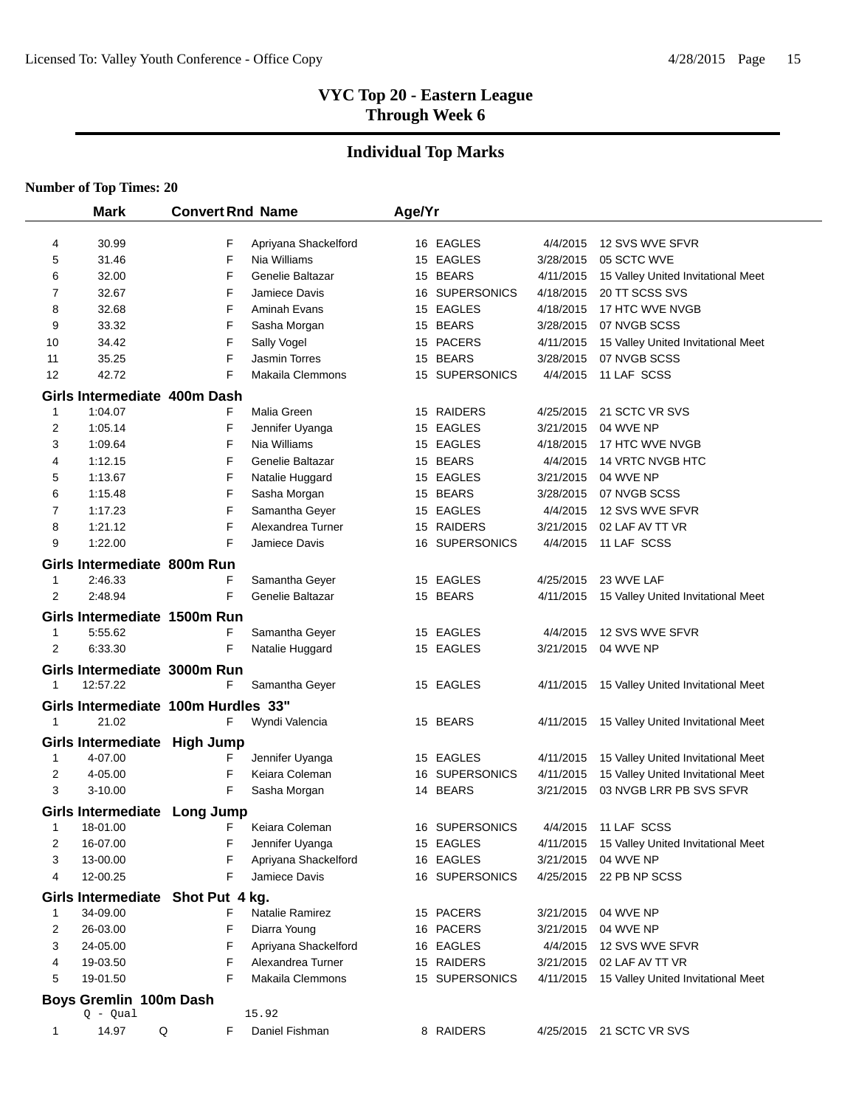# **Individual Top Marks**

|                | <b>Mark</b>                         | <b>Convert Rnd Name</b> |                      | Age/Yr |                    |                        |                                    |
|----------------|-------------------------------------|-------------------------|----------------------|--------|--------------------|------------------------|------------------------------------|
|                |                                     |                         |                      |        |                    |                        |                                    |
| 4              | 30.99                               | F                       | Apriyana Shackelford |        | 16 EAGLES          | 4/4/2015               | 12 SVS WVE SFVR                    |
| 5              | 31.46                               | F                       | Nia Williams         |        | 15 EAGLES          | 3/28/2015              | 05 SCTC WVE                        |
| 6              | 32.00                               | F                       | Genelie Baltazar     |        | 15 BEARS           | 4/11/2015              | 15 Valley United Invitational Meet |
| 7              | 32.67                               | F                       | Jamiece Davis        | 16     | <b>SUPERSONICS</b> | 4/18/2015              | 20 TT SCSS SVS                     |
| 8              | 32.68                               | F                       | Aminah Evans         |        | 15 EAGLES          | 4/18/2015              | 17 HTC WVE NVGB                    |
| 9              | 33.32                               | F                       | Sasha Morgan         |        | 15 BEARS           | 3/28/2015              | 07 NVGB SCSS                       |
| 10             | 34.42                               | F                       | Sally Vogel          |        | 15 PACERS          | 4/11/2015              | 15 Valley United Invitational Meet |
| 11             | 35.25                               | F                       | Jasmin Torres        |        | 15 BEARS           | 3/28/2015              | 07 NVGB SCSS                       |
| 12             | 42.72                               | F                       | Makaila Clemmons     |        | 15 SUPERSONICS     | 4/4/2015               | 11 LAF SCSS                        |
|                | Girls Intermediate 400m Dash        |                         |                      |        |                    |                        |                                    |
| $\mathbf 1$    | 1:04.07                             | F                       | Malia Green          |        | 15 RAIDERS         | 4/25/2015              | 21 SCTC VR SVS                     |
| 2              | 1:05.14                             | F                       | Jennifer Uyanga      |        | 15 EAGLES          | 3/21/2015              | 04 WVE NP                          |
| 3              | 1:09.64                             | F                       | Nia Williams         |        | 15 EAGLES          | 4/18/2015              | 17 HTC WVE NVGB                    |
| 4              | 1:12.15                             | F                       | Genelie Baltazar     |        | 15 BEARS           | 4/4/2015               | 14 VRTC NVGB HTC                   |
| 5              | 1:13.67                             | F                       | Natalie Huggard      |        | 15 EAGLES          | 3/21/2015              | 04 WVE NP                          |
| 6              | 1:15.48                             | F                       | Sasha Morgan         |        | 15 BEARS           | 3/28/2015              | 07 NVGB SCSS                       |
| 7              | 1:17.23                             | F                       | Samantha Geyer       |        | 15 EAGLES          | 4/4/2015               | 12 SVS WVE SFVR                    |
| 8              | 1:21.12                             | F                       | Alexandrea Turner    |        | 15 RAIDERS         | 3/21/2015              | 02 LAF AV TT VR                    |
| 9              | 1:22.00                             | F                       | Jamiece Davis        | 16     | <b>SUPERSONICS</b> | 4/4/2015               | 11 LAF SCSS                        |
|                | Girls Intermediate 800m Run         |                         |                      |        |                    |                        |                                    |
| 1              | 2:46.33                             | F                       | Samantha Geyer       |        | 15 EAGLES          | 4/25/2015              | 23 WVE LAF                         |
| 2              | 2:48.94                             | F                       | Genelie Baltazar     |        | 15 BEARS           | 4/11/2015              | 15 Valley United Invitational Meet |
|                | Girls Intermediate 1500m Run        |                         |                      |        |                    |                        |                                    |
| 1              | 5:55.62                             | F                       | Samantha Geyer       |        | 15 EAGLES          | 4/4/2015               | 12 SVS WVE SFVR                    |
| $\overline{2}$ | 6:33.30                             | F                       | Natalie Huggard      |        | 15 EAGLES          | 3/21/2015              | 04 WVE NP                          |
|                | Girls Intermediate 3000m Run        |                         |                      |        |                    |                        |                                    |
| 1              | 12:57.22                            | F                       | Samantha Geyer       |        | 15 EAGLES          | 4/11/2015              | 15 Valley United Invitational Meet |
|                | Girls Intermediate 100m Hurdles 33" |                         |                      |        |                    |                        |                                    |
| 1              | 21.02                               | F                       | Wyndi Valencia       |        | 15 BEARS           | 4/11/2015              | 15 Valley United Invitational Meet |
|                |                                     |                         |                      |        |                    |                        |                                    |
|                | Girls Intermediate High Jump        |                         |                      |        |                    |                        |                                    |
| 1              | 4-07.00                             | F                       | Jennifer Uyanga      |        | 15 EAGLES          | 4/11/2015              | 15 Valley United Invitational Meet |
| 2              | 4-05.00                             | F                       | Keiara Coleman       |        | 16 SUPERSONICS     | 4/11/2015<br>3/21/2015 | 15 Valley United Invitational Meet |
| 3              | 3-10.00                             | F                       | Sasha Morgan         |        | 14 BEARS           |                        | 03 NVGB LRR PB SVS SFVR            |
|                | Girls Intermediate Long Jump        |                         |                      |        |                    |                        |                                    |
| 1              | 18-01.00                            | F                       | Keiara Coleman       |        | 16 SUPERSONICS     | 4/4/2015               | 11 LAF SCSS                        |
| 2              | 16-07.00                            | F                       | Jennifer Uyanga      |        | 15 EAGLES          | 4/11/2015              | 15 Valley United Invitational Meet |
| 3              | 13-00.00                            | F                       | Apriyana Shackelford |        | 16 EAGLES          | 3/21/2015              | 04 WVE NP                          |
| 4              | 12-00.25                            | F                       | Jamiece Davis        |        | 16 SUPERSONICS     |                        | 4/25/2015 22 PB NP SCSS            |
|                | Girls Intermediate Shot Put 4 kg.   |                         |                      |        |                    |                        |                                    |
| 1              | 34-09.00                            | F                       | Natalie Ramirez      |        | 15 PACERS          | 3/21/2015              | 04 WVE NP                          |
| 2              | 26-03.00                            | F                       | Diarra Young         |        | 16 PACERS          | 3/21/2015              | 04 WVE NP                          |
| 3              | 24-05.00                            | F                       | Apriyana Shackelford |        | 16 EAGLES          | 4/4/2015               | 12 SVS WVE SFVR                    |
| 4              | 19-03.50                            | F                       | Alexandrea Turner    |        | 15 RAIDERS         | 3/21/2015              | 02 LAF AV TT VR                    |
| 5              | 19-01.50                            | F                       | Makaila Clemmons     |        | 15 SUPERSONICS     | 4/11/2015              | 15 Valley United Invitational Meet |
|                | Boys Gremlin 100m Dash              |                         |                      |        |                    |                        |                                    |
|                | $Q - Qual$                          |                         | 15.92                |        |                    |                        |                                    |
| $\mathbf{1}$   | 14.97                               | Q<br>F                  | Daniel Fishman       |        | 8 RAIDERS          |                        | 4/25/2015 21 SCTC VR SVS           |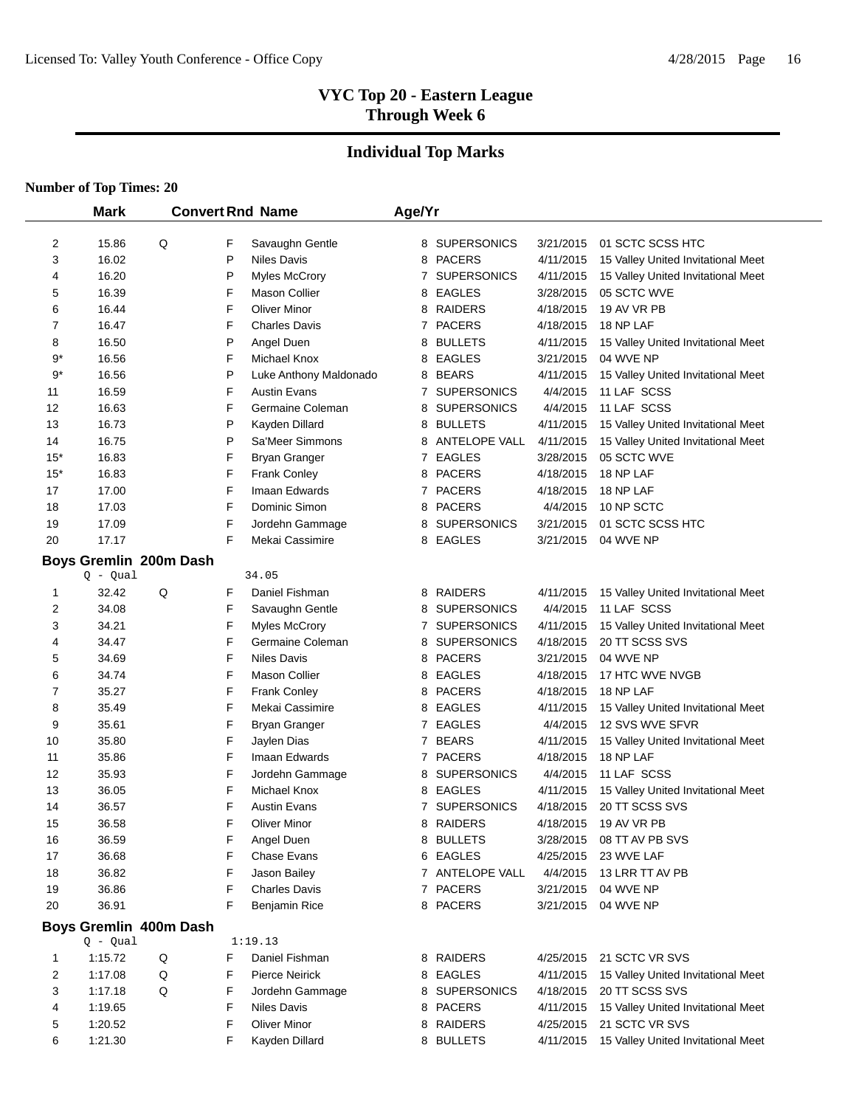# **Individual Top Marks**

|          | <b>Mark</b>    |                        |        | <b>Convert Rnd Name</b>               | Age/Yr<br>8 SUPERSONICS<br>3/21/2015<br>8 PACERS<br>4/11/2015 |                                     |                        |                                                      |
|----------|----------------|------------------------|--------|---------------------------------------|---------------------------------------------------------------|-------------------------------------|------------------------|------------------------------------------------------|
| 2        | 15.86          | Q                      | F      |                                       |                                                               |                                     |                        | 01 SCTC SCSS HTC                                     |
| 3        | 16.02          |                        | P      | Savaughn Gentle<br><b>Niles Davis</b> |                                                               |                                     |                        | 15 Valley United Invitational Meet                   |
| 4        | 16.20          |                        | P      | <b>Myles McCrory</b>                  |                                                               | 7 SUPERSONICS                       | 4/11/2015              | 15 Valley United Invitational Meet                   |
| 5        | 16.39          |                        | F      | <b>Mason Collier</b>                  |                                                               | 8 EAGLES                            | 3/28/2015              | 05 SCTC WVE                                          |
| 6        | 16.44          |                        | F      | <b>Oliver Minor</b>                   |                                                               | 8 RAIDERS                           | 4/18/2015              | 19 AV VR PB                                          |
| 7        | 16.47          |                        | F      | <b>Charles Davis</b>                  |                                                               | 7 PACERS                            | 4/18/2015              | 18 NP LAF                                            |
| 8        | 16.50          |                        | P      | Angel Duen                            | 8                                                             | <b>BULLETS</b>                      | 4/11/2015              | 15 Valley United Invitational Meet                   |
| $9*$     | 16.56          |                        | F      | Michael Knox                          | 8                                                             | <b>EAGLES</b>                       | 3/21/2015              | 04 WVE NP                                            |
| $9*$     | 16.56          |                        | P      | Luke Anthony Maldonado                | 8                                                             | <b>BEARS</b>                        | 4/11/2015              | 15 Valley United Invitational Meet                   |
| 11       | 16.59          |                        | F      | <b>Austin Evans</b>                   |                                                               | 7 SUPERSONICS                       | 4/4/2015               | 11 LAF SCSS                                          |
| 12       | 16.63          |                        | F      | Germaine Coleman                      | 8                                                             | <b>SUPERSONICS</b>                  | 4/4/2015               | 11 LAF SCSS                                          |
| 13       | 16.73          |                        | P      | Kayden Dillard                        | 8                                                             | <b>BULLETS</b>                      | 4/11/2015              | 15 Valley United Invitational Meet                   |
| 14       | 16.75          |                        | P      | Sa'Meer Simmons                       |                                                               | 8 ANTELOPE VALL                     | 4/11/2015              | 15 Valley United Invitational Meet                   |
| $15*$    | 16.83          |                        | F      | <b>Bryan Granger</b>                  |                                                               | 7 EAGLES                            | 3/28/2015              | 05 SCTC WVE                                          |
| $15*$    | 16.83          |                        | F      | <b>Frank Conley</b>                   |                                                               | 8 PACERS                            | 4/18/2015              | 18 NP LAF                                            |
| 17       | 17.00          |                        | F      | Imaan Edwards                         |                                                               | 7 PACERS                            | 4/18/2015              | 18 NP LAF                                            |
| 18       | 17.03          |                        | F      | Dominic Simon                         |                                                               | 8 PACERS                            | 4/4/2015               | 10 NP SCTC                                           |
| 19       | 17.09          |                        | F      | Jordehn Gammage                       |                                                               | 8 SUPERSONICS                       | 3/21/2015              | 01 SCTC SCSS HTC                                     |
| 20       | 17.17          |                        | F      | Mekai Cassimire                       |                                                               | 8 EAGLES                            | 3/21/2015              | 04 WVE NP                                            |
|          |                | Boys Gremlin 200m Dash |        |                                       |                                                               |                                     |                        |                                                      |
|          | $Q - Qual$     |                        |        | 34.05                                 |                                                               |                                     |                        |                                                      |
| 1        | 32.42          | Q                      | F      | Daniel Fishman                        |                                                               | 8 RAIDERS                           | 4/11/2015              | 15 Valley United Invitational Meet                   |
| 2        | 34.08          |                        | F      | Savaughn Gentle                       | 8                                                             | <b>SUPERSONICS</b>                  | 4/4/2015               | 11 LAF SCSS                                          |
| 3        | 34.21          |                        | F      | <b>Myles McCrory</b>                  |                                                               | 7 SUPERSONICS                       | 4/11/2015              | 15 Valley United Invitational Meet                   |
| 4        | 34.47          |                        | F      | Germaine Coleman                      |                                                               | 8 SUPERSONICS                       | 4/18/2015              | 20 TT SCSS SVS                                       |
| 5        | 34.69          |                        | F      | <b>Niles Davis</b>                    |                                                               | 8 PACERS                            | 3/21/2015              | 04 WVE NP                                            |
| 6        | 34.74          |                        | F      | <b>Mason Collier</b>                  |                                                               | 8 EAGLES                            | 4/18/2015              | 17 HTC WVE NVGB                                      |
| 7        | 35.27          |                        | F      | Frank Conley                          |                                                               | 8 PACERS                            | 4/18/2015              | 18 NP LAF                                            |
| 8        | 35.49          |                        | F      | Mekai Cassimire                       |                                                               | 8 EAGLES                            | 4/11/2015              | 15 Valley United Invitational Meet                   |
| 9        | 35.61          |                        | F      | <b>Bryan Granger</b>                  |                                                               | 7 EAGLES                            | 4/4/2015               | 12 SVS WVE SFVR                                      |
| 10       | 35.80          |                        | F      | Jaylen Dias                           |                                                               | 7 BEARS                             | 4/11/2015              | 15 Valley United Invitational Meet                   |
| 11       | 35.86          |                        | F      | Imaan Edwards                         |                                                               | 7 PACERS                            | 4/18/2015              | 18 NP LAF                                            |
| 12       | 35.93          |                        | F      | Jordehn Gammage                       | 8                                                             | <b>SUPERSONICS</b><br><b>EAGLES</b> | 4/4/2015               | 11 LAF SCSS                                          |
| 13<br>14 | 36.05<br>36.57 |                        | F<br>F | Michael Knox<br><b>Austin Evans</b>   | 8                                                             | 7 SUPERSONICS                       | 4/11/2015<br>4/18/2015 | 15 Valley United Invitational Meet<br>20 TT SCSS SVS |
| 15       | 36.58          |                        | F      | <b>Oliver Minor</b>                   |                                                               | 8 RAIDERS                           | 4/18/2015              | 19 AV VR PB                                          |
| 16       | 36.59          |                        | F      | Angel Duen                            |                                                               | 8 BULLETS                           | 3/28/2015              | 08 TT AV PB SVS                                      |
| 17       | 36.68          |                        | F      | Chase Evans                           |                                                               | 6 EAGLES                            | 4/25/2015              | 23 WVE LAF                                           |
| 18       | 36.82          |                        | F      | Jason Bailey                          |                                                               | 7 ANTELOPE VALL                     | 4/4/2015               | 13 LRR TT AV PB                                      |
| 19       | 36.86          |                        | F      | <b>Charles Davis</b>                  |                                                               | 7 PACERS                            | 3/21/2015              | 04 WVE NP                                            |
| 20       | 36.91          |                        | F      | <b>Benjamin Rice</b>                  |                                                               | 8 PACERS                            | 3/21/2015              | 04 WVE NP                                            |
|          |                | Boys Gremlin 400m Dash |        |                                       |                                                               |                                     |                        |                                                      |
|          | $Q - Qual$     |                        |        | 1:19.13                               |                                                               |                                     |                        |                                                      |
| 1        | 1:15.72        | Q                      | F      | Daniel Fishman                        |                                                               | 8 RAIDERS                           | 4/25/2015              | 21 SCTC VR SVS                                       |
| 2        | 1:17.08        | Q                      | F      | <b>Pierce Neirick</b>                 |                                                               | 8 EAGLES                            | 4/11/2015              | 15 Valley United Invitational Meet                   |
| 3        | 1:17.18        | Q                      | F      | Jordehn Gammage                       | 8                                                             | <b>SUPERSONICS</b>                  | 4/18/2015              | 20 TT SCSS SVS                                       |
| 4        | 1:19.65        |                        | F      | <b>Niles Davis</b>                    |                                                               | 8 PACERS                            | 4/11/2015              | 15 Valley United Invitational Meet                   |
| 5        | 1:20.52        |                        | F      | <b>Oliver Minor</b>                   |                                                               | 8 RAIDERS                           | 4/25/2015              | 21 SCTC VR SVS                                       |
| 6        | 1:21.30        |                        | F      | Kayden Dillard                        |                                                               | 8 BULLETS                           | 4/11/2015              | 15 Valley United Invitational Meet                   |
|          |                |                        |        |                                       |                                                               |                                     |                        |                                                      |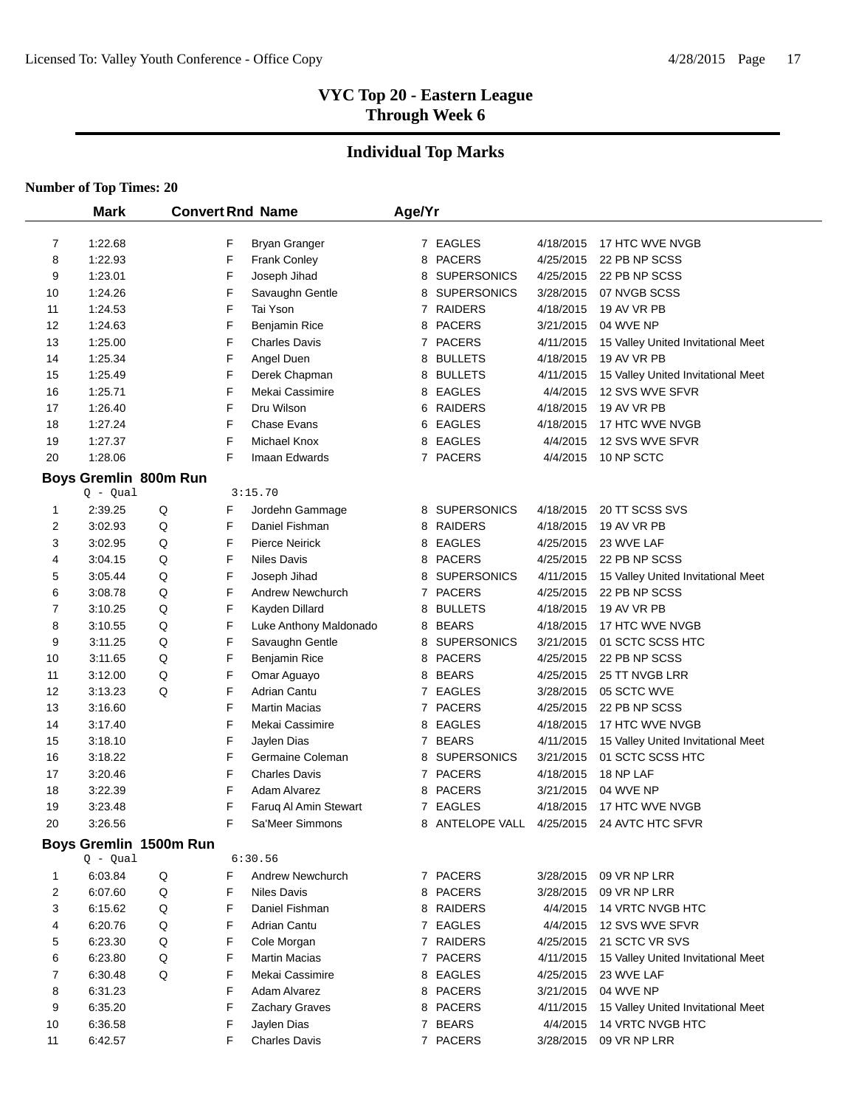# **Individual Top Marks**

|                | <b>Mark</b>                         |                        |   | <b>Convert Rnd Name</b> | Age/Yr         |                    |           |                                    |
|----------------|-------------------------------------|------------------------|---|-------------------------|----------------|--------------------|-----------|------------------------------------|
| $\overline{7}$ | 1:22.68                             |                        | F | <b>Bryan Granger</b>    |                | 7 EAGLES           | 4/18/2015 | 17 HTC WVE NVGB                    |
| 8              | 1:22.93                             |                        | F | <b>Frank Conley</b>     | 8              | <b>PACERS</b>      | 4/25/2015 | 22 PB NP SCSS                      |
| 9              | 1:23.01                             |                        | F | Joseph Jihad            | 8              | <b>SUPERSONICS</b> | 4/25/2015 | 22 PB NP SCSS                      |
| 10             | 1:24.26                             |                        | F | Savaughn Gentle         | 8              | <b>SUPERSONICS</b> | 3/28/2015 | 07 NVGB SCSS                       |
| 11             | 1:24.53                             |                        | F | Tai Yson                |                | 7 RAIDERS          | 4/18/2015 | 19 AV VR PB                        |
| 12             | 1:24.63                             |                        | F | <b>Benjamin Rice</b>    | 8              | <b>PACERS</b>      | 3/21/2015 | 04 WVE NP                          |
| 13             | 1:25.00                             |                        | F | <b>Charles Davis</b>    | 7              | <b>PACERS</b>      | 4/11/2015 | 15 Valley United Invitational Meet |
| 14             | 1:25.34                             |                        | F | Angel Duen              | 8              | <b>BULLETS</b>     | 4/18/2015 | 19 AV VR PB                        |
| 15             | 1:25.49                             |                        | F | Derek Chapman           | 8              | <b>BULLETS</b>     | 4/11/2015 | 15 Valley United Invitational Meet |
| 16             | 1:25.71                             |                        | F | Mekai Cassimire         | 8              | <b>EAGLES</b>      | 4/4/2015  | 12 SVS WVE SFVR                    |
| 17             | 1:26.40                             |                        | F | Dru Wilson              | 6              | <b>RAIDERS</b>     | 4/18/2015 | 19 AV VR PB                        |
| 18             | 1:27.24                             |                        | F | <b>Chase Evans</b>      | 6              | EAGLES             | 4/18/2015 | 17 HTC WVE NVGB                    |
| 19             | 1:27.37                             |                        | F | Michael Knox            | 8              | <b>EAGLES</b>      | 4/4/2015  | 12 SVS WVE SFVR                    |
| 20             | 1:28.06                             |                        | F | Imaan Edwards           |                | 7 PACERS           | 4/4/2015  | 10 NP SCTC                         |
|                |                                     |                        |   |                         |                |                    |           |                                    |
|                | Boys Gremlin 800m Run<br>$Q - Qual$ |                        |   | 3:15.70                 |                |                    |           |                                    |
| 1              | 2:39.25                             | Q                      | F | Jordehn Gammage         |                | 8 SUPERSONICS      | 4/18/2015 | 20 TT SCSS SVS                     |
| 2              | 3:02.93                             | Q                      | F | Daniel Fishman          |                | 8 RAIDERS          | 4/18/2015 | 19 AV VR PB                        |
| 3              | 3:02.95                             | Q                      | F | <b>Pierce Neirick</b>   |                | 8 EAGLES           | 4/25/2015 | 23 WVE LAF                         |
| 4              | 3:04.15                             | Q                      | F | <b>Niles Davis</b>      | 8              | <b>PACERS</b>      | 4/25/2015 | 22 PB NP SCSS                      |
| 5              | 3:05.44                             | Q                      | F | Joseph Jihad            | 8              | <b>SUPERSONICS</b> | 4/11/2015 | 15 Valley United Invitational Meet |
| 6              | 3:08.78                             | Q                      | F | Andrew Newchurch        |                | 7 PACERS           | 4/25/2015 | 22 PB NP SCSS                      |
| 7              | 3:10.25                             | Q                      | F | Kayden Dillard          | 8              | <b>BULLETS</b>     | 4/18/2015 | 19 AV VR PB                        |
| 8              | 3:10.55                             | Q                      | F | Luke Anthony Maldonado  | 8              | <b>BEARS</b>       | 4/18/2015 | 17 HTC WVE NVGB                    |
| 9              | 3:11.25                             | Q                      | F | Savaughn Gentle         | 8              | <b>SUPERSONICS</b> | 3/21/2015 | 01 SCTC SCSS HTC                   |
| 10             | 3:11.65                             | Q                      | F | Benjamin Rice           | 8              | <b>PACERS</b>      | 4/25/2015 | 22 PB NP SCSS                      |
| 11             | 3:12.00                             | Q                      | F | Omar Aguayo             | 8              | <b>BEARS</b>       | 4/25/2015 | 25 TT NVGB LRR                     |
| 12             | 3:13.23                             | Q                      | F | Adrian Cantu            | 7              | <b>EAGLES</b>      | 3/28/2015 | 05 SCTC WVE                        |
| 13             | 3:16.60                             |                        | F | <b>Martin Macias</b>    |                | 7 PACERS           | 4/25/2015 | 22 PB NP SCSS                      |
| 14             | 3:17.40                             |                        | F | Mekai Cassimire         | 8              | <b>EAGLES</b>      | 4/18/2015 | 17 HTC WVE NVGB                    |
| 15             | 3:18.10                             |                        | F | Jaylen Dias             | 7              | <b>BEARS</b>       | 4/11/2015 | 15 Valley United Invitational Meet |
| 16             | 3:18.22                             |                        | F | Germaine Coleman        | 8              | <b>SUPERSONICS</b> | 3/21/2015 | 01 SCTC SCSS HTC                   |
| 17             | 3:20.46                             |                        | F | <b>Charles Davis</b>    | $\overline{7}$ | <b>PACERS</b>      | 4/18/2015 | 18 NP LAF                          |
| 18             | 3:22.39                             |                        | F | Adam Alvarez            | 8              | <b>PACERS</b>      | 3/21/2015 | 04 WVE NP                          |
| 19             | 3:23.48                             |                        | F | Faruq Al Amin Stewart   | 7              | <b>EAGLES</b>      | 4/18/2015 | 17 HTC WVE NVGB                    |
| 20             | 3:26.56                             |                        | F | Sa'Meer Simmons         |                | 8 ANTELOPE VALL    | 4/25/2015 | 24 AVTC HTC SFVR                   |
|                |                                     |                        |   |                         |                |                    |           |                                    |
|                | $Q - Qual$                          | Boys Gremlin 1500m Run |   | 6:30.56                 |                |                    |           |                                    |
| 1              | 6:03.84                             | $\sf Q$                | F | <b>Andrew Newchurch</b> |                | 7 PACERS           | 3/28/2015 | 09 VR NP LRR                       |
| 2              | 6:07.60                             | Q                      | F | <b>Niles Davis</b>      |                | 8 PACERS           | 3/28/2015 | 09 VR NP LRR                       |
| 3              | 6:15.62                             | Q                      | F | Daniel Fishman          |                | 8 RAIDERS          | 4/4/2015  | 14 VRTC NVGB HTC                   |
| 4              | 6:20.76                             | Q                      | F | Adrian Cantu            |                | 7 EAGLES           | 4/4/2015  | 12 SVS WVE SFVR                    |
| 5              | 6:23.30                             | Q                      | F | Cole Morgan             |                | 7 RAIDERS          | 4/25/2015 | 21 SCTC VR SVS                     |
| 6              | 6:23.80                             | Q                      | F | <b>Martin Macias</b>    |                | 7 PACERS           | 4/11/2015 | 15 Valley United Invitational Meet |
| 7              | 6:30.48                             | Q                      | F | Mekai Cassimire         |                | 8 EAGLES           | 4/25/2015 | 23 WVE LAF                         |
| 8              | 6:31.23                             |                        | F | Adam Alvarez            |                | 8 PACERS           | 3/21/2015 | 04 WVE NP                          |
| 9              | 6:35.20                             |                        | F | Zachary Graves          |                | 8 PACERS           | 4/11/2015 | 15 Valley United Invitational Meet |
| 10             | 6:36.58                             |                        | F | Jaylen Dias             |                | 7 BEARS            | 4/4/2015  | 14 VRTC NVGB HTC                   |
| 11             | 6:42.57                             |                        | F | <b>Charles Davis</b>    |                | 7 PACERS           | 3/28/2015 | 09 VR NP LRR                       |
|                |                                     |                        |   |                         |                |                    |           |                                    |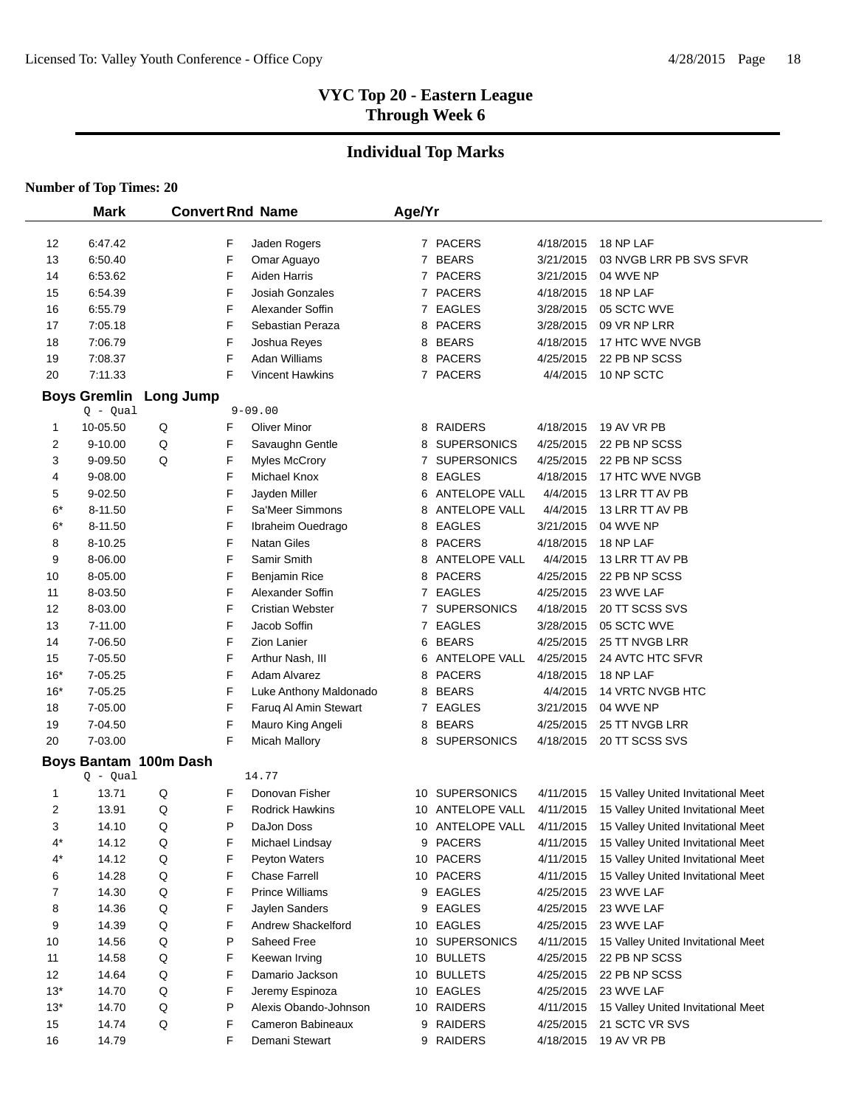# **Individual Top Marks**

|       | <b>Mark</b>                       |                       |   | <b>Convert Rnd Name</b> | Age/Yr |                    |           |                                    |
|-------|-----------------------------------|-----------------------|---|-------------------------|--------|--------------------|-----------|------------------------------------|
| 12    | 6:47.42                           |                       | F | Jaden Rogers            |        | 7 PACERS           | 4/18/2015 | 18 NP LAF                          |
| 13    | 6:50.40                           |                       | F | Omar Aguayo             |        | 7 BEARS            | 3/21/2015 | 03 NVGB LRR PB SVS SFVR            |
| 14    | 6:53.62                           |                       | F | <b>Aiden Harris</b>     |        | 7 PACERS           | 3/21/2015 | 04 WVE NP                          |
| 15    | 6:54.39                           |                       | F | <b>Josiah Gonzales</b>  |        | 7 PACERS           | 4/18/2015 | 18 NP LAF                          |
| 16    | 6:55.79                           |                       | F | Alexander Soffin        |        | 7 EAGLES           | 3/28/2015 | 05 SCTC WVE                        |
| 17    | 7:05.18                           |                       | F | Sebastian Peraza        |        | 8 PACERS           | 3/28/2015 | 09 VR NP LRR                       |
| 18    | 7:06.79                           |                       | F | Joshua Reyes            |        | 8 BEARS            | 4/18/2015 | 17 HTC WVE NVGB                    |
| 19    | 7:08.37                           |                       | F | Adan Williams           |        | 8 PACERS           | 4/25/2015 | 22 PB NP SCSS                      |
| 20    | 7:11.33                           |                       | F | <b>Vincent Hawkins</b>  |        | 7 PACERS           | 4/4/2015  | 10 NP SCTC                         |
|       |                                   |                       |   |                         |        |                    |           |                                    |
|       | <b>Boys Gremlin</b><br>$Q - Qual$ | <b>Long Jump</b>      |   | $9 - 09.00$             |        |                    |           |                                    |
| 1     | 10-05.50                          | Q                     | F | <b>Oliver Minor</b>     |        | 8 RAIDERS          | 4/18/2015 | 19 AV VR PB                        |
| 2     | $9 - 10.00$                       | Q                     | F | Savaughn Gentle         |        | 8 SUPERSONICS      | 4/25/2015 | 22 PB NP SCSS                      |
| 3     | 9-09.50                           | Q                     | F | <b>Myles McCrory</b>    |        | 7 SUPERSONICS      | 4/25/2015 | 22 PB NP SCSS                      |
| 4     | 9-08.00                           |                       | F | Michael Knox            |        | 8 EAGLES           | 4/18/2015 | 17 HTC WVE NVGB                    |
| 5     | 9-02.50                           |                       | F | Jayden Miller           | 6      | ANTELOPE VALL      | 4/4/2015  | 13 LRR TT AV PB                    |
| $6*$  | 8-11.50                           |                       | F | Sa'Meer Simmons         | 8      | ANTELOPE VALL      | 4/4/2015  | 13 LRR TT AV PB                    |
| $6*$  | 8-11.50                           |                       | F | Ibraheim Ouedrago       |        | 8 EAGLES           | 3/21/2015 | 04 WVE NP                          |
| 8     | 8-10.25                           |                       | F | Natan Giles             |        | 8 PACERS           | 4/18/2015 | 18 NP LAF                          |
| 9     | 8-06.00                           |                       | F | Samir Smith             | 8      | ANTELOPE VALL      | 4/4/2015  | 13 LRR TT AV PB                    |
| 10    | 8-05.00                           |                       | F | Benjamin Rice           |        | 8 PACERS           | 4/25/2015 | 22 PB NP SCSS                      |
| 11    | 8-03.50                           |                       | F | Alexander Soffin        | 7      | <b>EAGLES</b>      | 4/25/2015 | 23 WVE LAF                         |
| 12    | 8-03.00                           |                       | F | <b>Cristian Webster</b> | 7      | <b>SUPERSONICS</b> | 4/18/2015 | 20 TT SCSS SVS                     |
| 13    | 7-11.00                           |                       | F | Jacob Soffin            |        | 7 EAGLES           | 3/28/2015 | 05 SCTC WVE                        |
| 14    | 7-06.50                           |                       | F | Zion Lanier             |        | 6 BEARS            | 4/25/2015 | 25 TT NVGB LRR                     |
| 15    | 7-05.50                           |                       | F | Arthur Nash, III        |        | 6 ANTELOPE VALL    | 4/25/2015 | 24 AVTC HTC SFVR                   |
| $16*$ | 7-05.25                           |                       | F | <b>Adam Alvarez</b>     |        | 8 PACERS           | 4/18/2015 | 18 NP LAF                          |
| $16*$ | 7-05.25                           |                       | F | Luke Anthony Maldonado  |        | 8 BEARS            | 4/4/2015  | 14 VRTC NVGB HTC                   |
| 18    | 7-05.00                           |                       | F | Faruq Al Amin Stewart   |        | 7 EAGLES           | 3/21/2015 | 04 WVE NP                          |
| 19    | 7-04.50                           |                       | F | Mauro King Angeli       |        | 8 BEARS            | 4/25/2015 | 25 TT NVGB LRR                     |
| 20    | 7-03.00                           |                       | F | <b>Micah Mallory</b>    |        | 8 SUPERSONICS      | 4/18/2015 | 20 TT SCSS SVS                     |
|       |                                   |                       |   |                         |        |                    |           |                                    |
|       | $Q - Qual$                        | Boys Bantam 100m Dash |   | 14.77                   |        |                    |           |                                    |
| 1     | 13.71                             | Q                     | F | Donovan Fisher          |        | 10 SUPERSONICS     | 4/11/2015 | 15 Valley United Invitational Meet |
| 2     | 13.91                             | Q                     | F | <b>Rodrick Hawkins</b>  |        | 10 ANTELOPE VALL   | 4/11/2015 | 15 Valley United Invitational Meet |
| 3     | 14.10                             | Q                     | P | DaJon Doss              |        | 10 ANTELOPE VALL   | 4/11/2015 | 15 Valley United Invitational Meet |
| 4*    | 14.12                             | ${\sf Q}$             | F | Michael Lindsay         |        | 9 PACERS           | 4/11/2015 | 15 Valley United Invitational Meet |
| 4*    | 14.12                             | Q                     | F | Peyton Waters           |        | 10 PACERS          | 4/11/2015 | 15 Valley United Invitational Meet |
| 6     | 14.28                             | Q                     | F | Chase Farrell           |        | 10 PACERS          | 4/11/2015 | 15 Valley United Invitational Meet |
| 7     | 14.30                             | Q                     | F | <b>Prince Williams</b>  |        | 9 EAGLES           | 4/25/2015 | 23 WVE LAF                         |
| 8     | 14.36                             | Q                     | F | Jaylen Sanders          |        | 9 EAGLES           | 4/25/2015 | 23 WVE LAF                         |
| 9     | 14.39                             | Q                     | F | Andrew Shackelford      |        | 10 EAGLES          | 4/25/2015 | 23 WVE LAF                         |
| 10    | 14.56                             | Q                     | P | Saheed Free             |        | 10 SUPERSONICS     | 4/11/2015 | 15 Valley United Invitational Meet |
| 11    | 14.58                             | Q                     | F | Keewan Irving           |        | 10 BULLETS         | 4/25/2015 | 22 PB NP SCSS                      |
| 12    | 14.64                             | Q                     | F | Damario Jackson         |        | 10 BULLETS         | 4/25/2015 | 22 PB NP SCSS                      |
| $13*$ | 14.70                             | Q                     | F | Jeremy Espinoza         |        | 10 EAGLES          | 4/25/2015 | 23 WVE LAF                         |
| $13*$ | 14.70                             | Q                     | P | Alexis Obando-Johnson   |        | 10 RAIDERS         | 4/11/2015 | 15 Valley United Invitational Meet |
| 15    | 14.74                             | Q                     | F | Cameron Babineaux       |        | 9 RAIDERS          | 4/25/2015 | 21 SCTC VR SVS                     |
| 16    | 14.79                             |                       | F | Demani Stewart          |        | 9 RAIDERS          | 4/18/2015 | 19 AV VR PB                        |
|       |                                   |                       |   |                         |        |                    |           |                                    |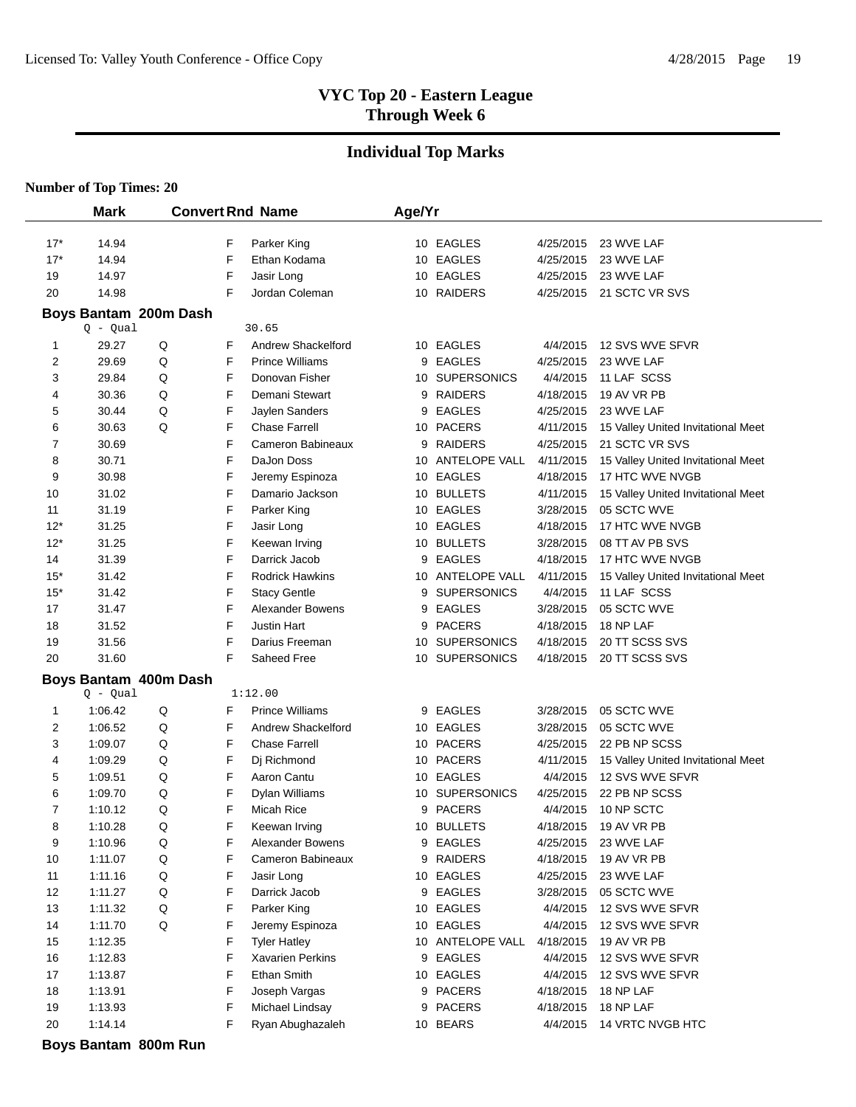#### **Individual Top Marks**

**Number of Top Times: 20**

 $\overline{a}$ 

|          | <b>Mark</b>    |                       |        | <b>Convert Rnd Name</b>   | Age/Yr |                               |                        |                                                   |
|----------|----------------|-----------------------|--------|---------------------------|--------|-------------------------------|------------------------|---------------------------------------------------|
|          |                |                       |        |                           |        |                               |                        |                                                   |
| $17*$    | 14.94          |                       | F      | Parker King               |        | 10 EAGLES                     | 4/25/2015              | 23 WVE LAF                                        |
| $17*$    | 14.94          |                       | F      | Ethan Kodama              |        | 10 EAGLES                     | 4/25/2015              | 23 WVE LAF                                        |
| 19       | 14.97          |                       | F      | Jasir Long                |        | 10 EAGLES                     | 4/25/2015              | 23 WVE LAF                                        |
| 20       | 14.98          |                       | F      | Jordan Coleman            |        | 10 RAIDERS                    | 4/25/2015              | 21 SCTC VR SVS                                    |
|          |                | Boys Bantam 200m Dash |        |                           |        |                               |                        |                                                   |
|          | $Q - Qual$     |                       |        | 30.65                     |        |                               |                        |                                                   |
| 1        | 29.27          | $\mathsf Q$           | F      | Andrew Shackelford        |        | 10 EAGLES                     | 4/4/2015               | 12 SVS WVE SFVR                                   |
| 2        | 29.69          | Q                     | F      | <b>Prince Williams</b>    | 9      | <b>EAGLES</b>                 | 4/25/2015              | 23 WVE LAF                                        |
| 3        | 29.84          | Q                     | F      | Donovan Fisher            |        | 10 SUPERSONICS                | 4/4/2015               | 11 LAF SCSS                                       |
| 4        | 30.36          | Q                     | F      | Demani Stewart            |        | 9 RAIDERS                     | 4/18/2015              | 19 AV VR PB                                       |
| 5        | 30.44          | Q                     | F      | Jaylen Sanders            |        | 9 EAGLES                      | 4/25/2015              | 23 WVE LAF                                        |
| 6        | 30.63          | Q                     | F      | <b>Chase Farrell</b>      |        | 10 PACERS                     | 4/11/2015              | 15 Valley United Invitational Meet                |
| 7        | 30.69          |                       | F      | Cameron Babineaux         |        | 9 RAIDERS                     | 4/25/2015              | 21 SCTC VR SVS                                    |
| 8        | 30.71          |                       | F      | DaJon Doss                |        | 10 ANTELOPE VALL<br>10 EAGLES | 4/11/2015              | 15 Valley United Invitational Meet                |
| 9        | 30.98<br>31.02 |                       | F<br>F | Jeremy Espinoza           |        | 10 BULLETS                    | 4/18/2015<br>4/11/2015 | 17 HTC WVE NVGB                                   |
| 10<br>11 | 31.19          |                       | F      | Damario Jackson           |        | 10 EAGLES                     | 3/28/2015              | 15 Valley United Invitational Meet<br>05 SCTC WVE |
| $12*$    | 31.25          |                       | F      | Parker King<br>Jasir Long |        | 10 EAGLES                     | 4/18/2015              | 17 HTC WVE NVGB                                   |
| $12*$    | 31.25          |                       | F      | Keewan Irving             |        | 10 BULLETS                    | 3/28/2015              | 08 TT AV PB SVS                                   |
| 14       | 31.39          |                       | F      | Darrick Jacob             | 9      | <b>EAGLES</b>                 | 4/18/2015              | 17 HTC WVE NVGB                                   |
| $15*$    | 31.42          |                       | F      | <b>Rodrick Hawkins</b>    |        | 10 ANTELOPE VALL              | 4/11/2015              | 15 Valley United Invitational Meet                |
| $15*$    | 31.42          |                       | F      | <b>Stacy Gentle</b>       | 9      | <b>SUPERSONICS</b>            | 4/4/2015               | 11 LAF SCSS                                       |
| 17       | 31.47          |                       | F      | <b>Alexander Bowens</b>   | 9      | <b>EAGLES</b>                 | 3/28/2015              | 05 SCTC WVE                                       |
| 18       | 31.52          |                       | F      | <b>Justin Hart</b>        |        | 9 PACERS                      | 4/18/2015              | 18 NP LAF                                         |
| 19       | 31.56          |                       | F      | Darius Freeman            |        | 10 SUPERSONICS                | 4/18/2015              | 20 TT SCSS SVS                                    |
| 20       | 31.60          |                       | F      | Saheed Free               |        | 10 SUPERSONICS                | 4/18/2015              | 20 TT SCSS SVS                                    |
|          |                | Boys Bantam 400m Dash |        |                           |        |                               |                        |                                                   |
|          | Q - Qual       |                       |        | 1:12.00                   |        |                               |                        |                                                   |
| 1        | 1:06.42        | Q                     | F      | <b>Prince Williams</b>    |        | 9 EAGLES                      | 3/28/2015              | 05 SCTC WVE                                       |
| 2        | 1:06.52        | Q                     | F      | Andrew Shackelford        |        | 10 EAGLES                     | 3/28/2015              | 05 SCTC WVE                                       |
| 3        | 1:09.07        | Q                     | F      | <b>Chase Farrell</b>      |        | 10 PACERS                     | 4/25/2015              | 22 PB NP SCSS                                     |
| 4        | 1:09.29        | Q                     | F      | Dj Richmond               |        | 10 PACERS                     | 4/11/2015              | 15 Valley United Invitational Meet                |
| 5        | 1:09.51        | Q                     | F      | Aaron Cantu               |        | 10 EAGLES                     | 4/4/2015               | 12 SVS WVE SFVR                                   |
| 6        | 1:09.70        | Q                     | F      | Dylan Williams            |        | 10 SUPERSONICS                | 4/25/2015              | 22 PB NP SCSS                                     |
| 7        | 1:10.12        | Q                     | F      | <b>Micah Rice</b>         | 9      | <b>PACERS</b>                 | 4/4/2015               | 10 NP SCTC                                        |
| 8        | 1:10.28        | Q                     | F      | Keewan Irving             |        | 10 BULLETS                    | 4/18/2015              | 19 AV VR PB                                       |
| 9        | 1:10.96        | Q                     | F      | Alexander Bowens          |        | 9 EAGLES                      | 4/25/2015              | 23 WVE LAF                                        |
| 10       | 1:11.07        | Q                     | F      | Cameron Babineaux         |        | 9 RAIDERS                     | 4/18/2015              | 19 AV VR PB                                       |
| 11       | 1:11.16        | Q                     | F      | Jasir Long                |        | 10 EAGLES                     | 4/25/2015              | 23 WVE LAF                                        |
| 12       | 1:11.27        | $\sf Q$               | F      | Darrick Jacob             |        | 9 EAGLES                      | 3/28/2015              | 05 SCTC WVE                                       |
| 13       | 1:11.32        | $\sf Q$               | F      | Parker King               |        | 10 EAGLES                     | 4/4/2015               | 12 SVS WVE SFVR                                   |
| 14       | 1:11.70        | Q                     | F      | Jeremy Espinoza           |        | 10 EAGLES                     | 4/4/2015               | 12 SVS WVE SFVR                                   |
| 15       | 1:12.35        |                       | F      | <b>Tyler Hatley</b>       |        | 10 ANTELOPE VALL              | 4/18/2015              | 19 AV VR PB                                       |
| 16       | 1:12.83        |                       | F      | Xavarien Perkins          |        | 9 EAGLES                      | 4/4/2015               | 12 SVS WVE SFVR                                   |
| 17       | 1:13.87        |                       | F      | Ethan Smith               |        | 10 EAGLES                     | 4/4/2015               | 12 SVS WVE SFVR                                   |
| 18       | 1:13.91        |                       | F      | Joseph Vargas             |        | 9 PACERS                      | 4/18/2015              | 18 NP LAF                                         |
| 19       | 1:13.93        |                       | F      | Michael Lindsay           | 9      | <b>PACERS</b>                 | 4/18/2015              | 18 NP LAF                                         |
| 20       | 1:14.14        |                       | F      | Ryan Abughazaleh          |        | 10 BEARS                      | 4/4/2015               | 14 VRTC NVGB HTC                                  |

**Boys Bantam 800m Run**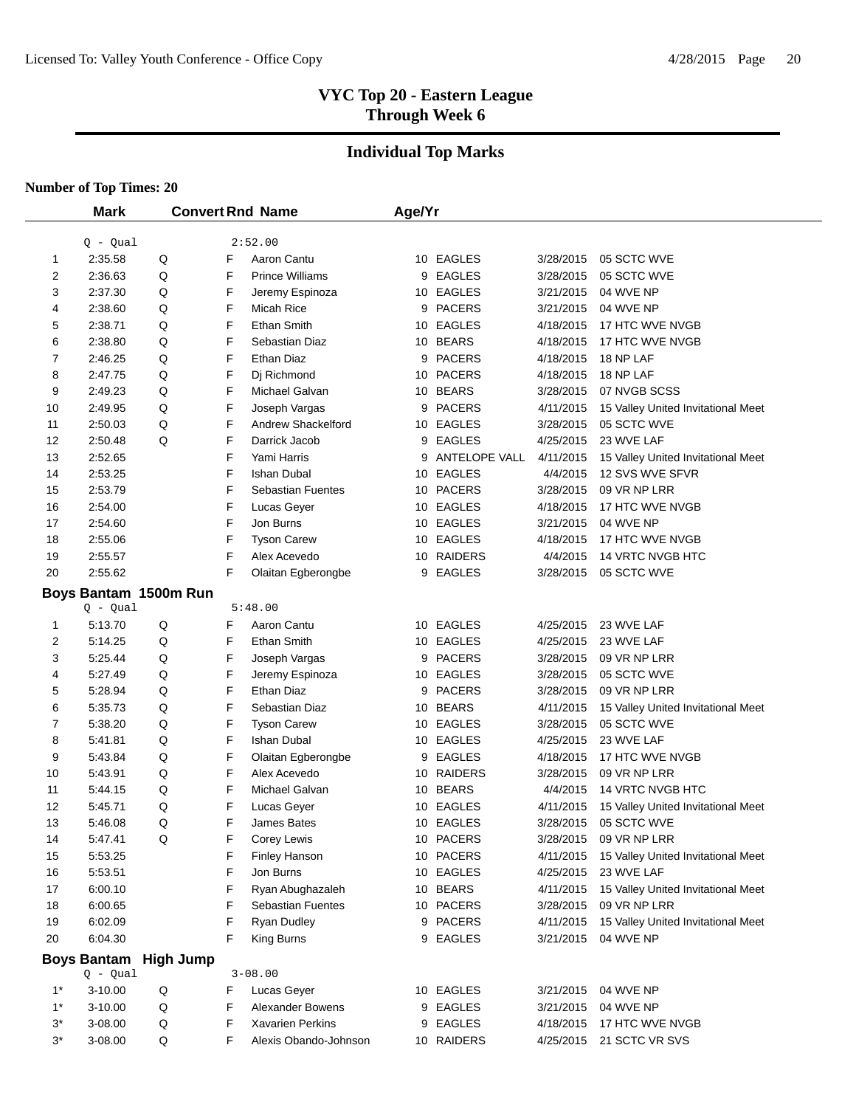# **Individual Top Marks**

|       | <b>Mark</b>        |                       | <b>Convert Rnd Name</b> |                          | Age/Yr |               |           |                                    |
|-------|--------------------|-----------------------|-------------------------|--------------------------|--------|---------------|-----------|------------------------------------|
|       | $Q - Qual$         |                       |                         | 2:52.00                  |        |               |           |                                    |
| 1     | 2:35.58            | Q                     | F                       | Aaron Cantu              |        | 10 EAGLES     | 3/28/2015 | 05 SCTC WVE                        |
| 2     | 2:36.63            | Q                     | F                       | <b>Prince Williams</b>   |        | 9 EAGLES      | 3/28/2015 | 05 SCTC WVE                        |
| 3     | 2:37.30            | Q                     | F                       | Jeremy Espinoza          |        | 10 EAGLES     | 3/21/2015 | 04 WVE NP                          |
| 4     | 2:38.60            | Q                     | F                       | Micah Rice               | 9      | <b>PACERS</b> | 3/21/2015 | 04 WVE NP                          |
| 5     | 2:38.71            | Q                     | F                       | <b>Ethan Smith</b>       |        | 10 EAGLES     | 4/18/2015 | 17 HTC WVE NVGB                    |
| 6     | 2:38.80            | Q                     | F                       | Sebastian Diaz           |        | 10 BEARS      | 4/18/2015 | 17 HTC WVE NVGB                    |
| 7     | 2:46.25            | Q                     | F                       | Ethan Diaz               | 9      | <b>PACERS</b> | 4/18/2015 | 18 NP LAF                          |
| 8     | 2:47.75            | Q                     | F                       | Di Richmond              |        | 10 PACERS     | 4/18/2015 | 18 NP LAF                          |
| 9     | 2:49.23            | Q                     | F                       | Michael Galvan           |        | 10 BEARS      | 3/28/2015 | 07 NVGB SCSS                       |
| 10    | 2:49.95            | Q                     | F                       | Joseph Vargas            | 9      | <b>PACERS</b> | 4/11/2015 | 15 Valley United Invitational Meet |
| 11    | 2:50.03            | Q                     | F                       | Andrew Shackelford       |        | 10 EAGLES     | 3/28/2015 | 05 SCTC WVE                        |
| 12    | 2:50.48            | Q                     | F                       | Darrick Jacob            | 9      | <b>EAGLES</b> | 4/25/2015 | 23 WVE LAF                         |
| 13    | 2:52.65            |                       | F                       | Yami Harris              | 9      | ANTELOPE VALL | 4/11/2015 | 15 Valley United Invitational Meet |
| 14    | 2:53.25            |                       | F                       | <b>Ishan Dubal</b>       | 10     | <b>EAGLES</b> | 4/4/2015  | 12 SVS WVE SFVR                    |
| 15    | 2:53.79            |                       | F                       | <b>Sebastian Fuentes</b> | 10     | <b>PACERS</b> | 3/28/2015 | 09 VR NP LRR                       |
| 16    | 2:54.00            |                       | F                       | Lucas Geyer              |        | 10 EAGLES     | 4/18/2015 | 17 HTC WVE NVGB                    |
| 17    | 2:54.60            |                       | F                       | Jon Burns                |        | 10 EAGLES     | 3/21/2015 | 04 WVE NP                          |
| 18    | 2:55.06            |                       | F                       | <b>Tyson Carew</b>       |        | 10 EAGLES     | 4/18/2015 | 17 HTC WVE NVGB                    |
| 19    | 2:55.57            |                       | F                       | Alex Acevedo             |        | 10 RAIDERS    | 4/4/2015  | 14 VRTC NVGB HTC                   |
| 20    | 2:55.62            |                       | F                       | Olaitan Egberongbe       | 9      | <b>EAGLES</b> | 3/28/2015 | 05 SCTC WVE                        |
|       |                    | Boys Bantam 1500m Run |                         |                          |        |               |           |                                    |
|       | $Q - Qual$         |                       |                         | 5:48.00                  |        |               |           |                                    |
| 1     | 5:13.70            | $\sf Q$               | F                       | Aaron Cantu              |        | 10 EAGLES     | 4/25/2015 | 23 WVE LAF                         |
| 2     | 5:14.25            | Q                     | F                       | <b>Ethan Smith</b>       | 10     | EAGLES        | 4/25/2015 | 23 WVE LAF                         |
| 3     | 5:25.44            | Q                     | F                       | Joseph Vargas            | 9      | <b>PACERS</b> | 3/28/2015 | 09 VR NP LRR                       |
| 4     | 5:27.49            | Q                     | F                       | Jeremy Espinoza          |        | 10 EAGLES     | 3/28/2015 | 05 SCTC WVE                        |
| 5     | 5:28.94            | Q                     | F                       | Ethan Diaz               | 9      | <b>PACERS</b> | 3/28/2015 | 09 VR NP LRR                       |
| 6     | 5:35.73            | Q                     | F                       | Sebastian Diaz           |        | 10 BEARS      | 4/11/2015 | 15 Valley United Invitational Meet |
| 7     | 5:38.20            | Q                     | F                       | <b>Tyson Carew</b>       |        | 10 EAGLES     | 3/28/2015 | 05 SCTC WVE                        |
| 8     | 5:41.81            | Q                     | F                       | Ishan Dubal              |        | 10 EAGLES     | 4/25/2015 | 23 WVE LAF                         |
| 9     | 5:43.84            | Q                     | F                       | Olaitan Egberongbe       | 9      | EAGLES        | 4/18/2015 | 17 HTC WVE NVGB                    |
| 10    | 5:43.91            | Q                     | F                       | Alex Acevedo             |        | 10 RAIDERS    | 3/28/2015 | 09 VR NP LRR                       |
| 11    | 5:44.15            | Q                     | F                       | Michael Galvan           | 10     | <b>BEARS</b>  | 4/4/2015  | 14 VRTC NVGB HTC                   |
| 12    | 5:45.71            | Q                     | F                       | Lucas Geyer              | 10     | EAGLES        | 4/11/2015 | 15 Valley United Invitational Meet |
| 13    | 5:46.08            | Q                     | F                       | James Bates              |        | 10 EAGLES     | 3/28/2015 | 05 SCTC WVE                        |
| 14    | 5:47.41            | Q                     | F                       | Corey Lewis              |        | 10 PACERS     | 3/28/2015 | 09 VR NP LRR                       |
| 15    | 5:53.25            |                       | F                       | Finley Hanson            |        | 10 PACERS     | 4/11/2015 | 15 Valley United Invitational Meet |
| 16    | 5:53.51            |                       | F                       | Jon Burns                |        | 10 EAGLES     | 4/25/2015 | 23 WVE LAF                         |
| 17    | 6:00.10            |                       | F                       | Ryan Abughazaleh         |        | 10 BEARS      | 4/11/2015 | 15 Valley United Invitational Meet |
| 18    | 6:00.65            |                       | F                       | Sebastian Fuentes        |        | 10 PACERS     | 3/28/2015 | 09 VR NP LRR                       |
| 19    | 6:02.09            |                       | F                       | Ryan Dudley              |        | 9 PACERS      | 4/11/2015 | 15 Valley United Invitational Meet |
| 20    | 6:04.30            |                       | F                       | King Burns               |        | 9 EAGLES      | 3/21/2015 | 04 WVE NP                          |
|       | <b>Boys Bantam</b> | <b>High Jump</b>      |                         |                          |        |               |           |                                    |
|       | $Q - Qual$         |                       |                         | $3 - 08.00$              |        |               |           |                                    |
| $1^*$ | 3-10.00            | Q                     | F                       | Lucas Geyer              |        | 10 EAGLES     | 3/21/2015 | 04 WVE NP                          |
| $1^*$ | 3-10.00            | Q                     | F                       | <b>Alexander Bowens</b>  |        | 9 EAGLES      | 3/21/2015 | 04 WVE NP                          |
| 3*    | 3-08.00            | Q                     | F                       | Xavarien Perkins         |        | 9 EAGLES      | 4/18/2015 | 17 HTC WVE NVGB                    |
| 3*    | 3-08.00            | Q                     | F                       | Alexis Obando-Johnson    |        | 10 RAIDERS    | 4/25/2015 | 21 SCTC VR SVS                     |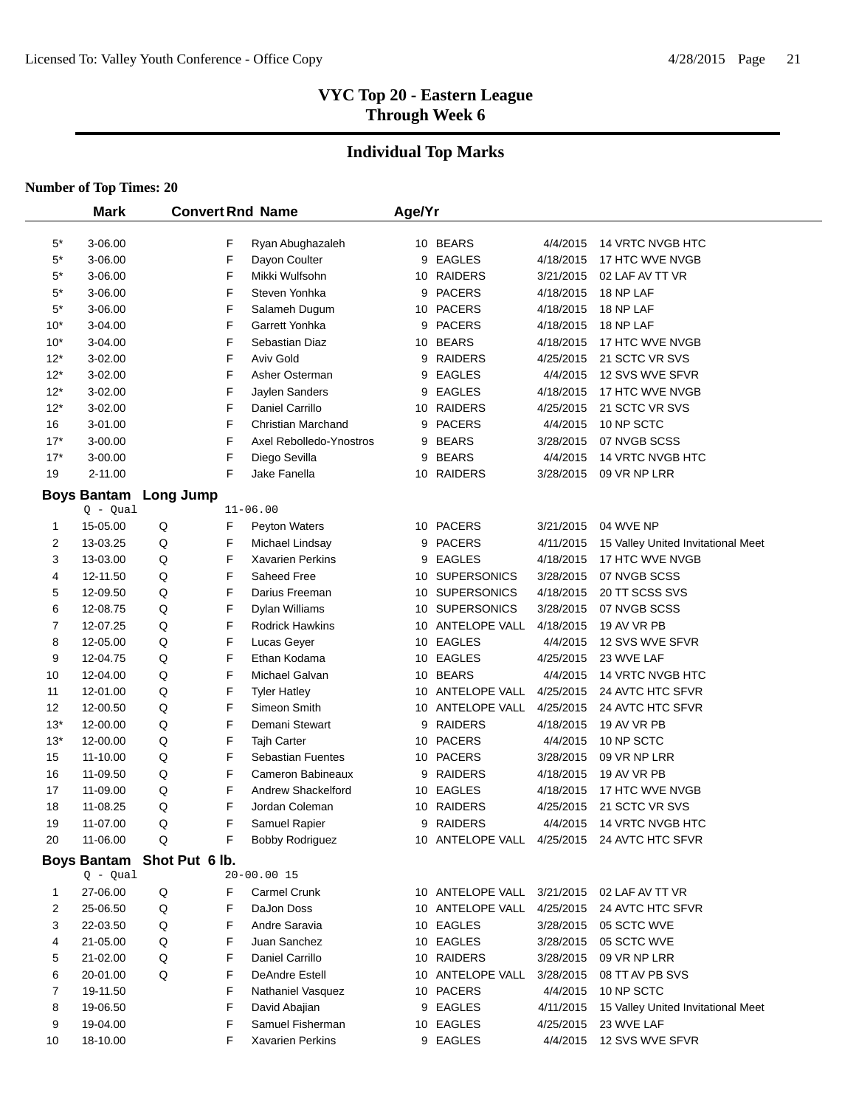# **Individual Top Marks**

|                | <b>Mark</b>                |           | <b>Convert Rnd Name</b> |                           | Age/Yr |                  |           |                                             |
|----------------|----------------------------|-----------|-------------------------|---------------------------|--------|------------------|-----------|---------------------------------------------|
|                |                            |           |                         |                           |        |                  |           |                                             |
| $5^*$          | 3-06.00                    |           | F                       | Ryan Abughazaleh          |        | 10 BEARS         | 4/4/2015  | 14 VRTC NVGB HTC                            |
| $5*$           | 3-06.00                    |           | F                       | Dayon Coulter             |        | 9 EAGLES         | 4/18/2015 | 17 HTC WVE NVGB                             |
| $5^*$          | 3-06.00                    |           | F                       | Mikki Wulfsohn            |        | 10 RAIDERS       | 3/21/2015 | 02 LAF AV TT VR                             |
| $5^*$          | 3-06.00                    |           | F                       | Steven Yonhka             | 9      | <b>PACERS</b>    | 4/18/2015 | 18 NP LAF                                   |
| 5*             | 3-06.00                    |           | F                       | Salameh Dugum             |        | 10 PACERS        | 4/18/2015 | 18 NP LAF                                   |
| $10*$          | 3-04.00                    |           | F                       | Garrett Yonhka            |        | 9 PACERS         | 4/18/2015 | 18 NP LAF                                   |
| $10*$          | 3-04.00                    |           | F                       | Sebastian Diaz            |        | 10 BEARS         | 4/18/2015 | 17 HTC WVE NVGB                             |
| $12*$          | 3-02.00                    |           | F                       | <b>Aviv Gold</b>          | 9      | <b>RAIDERS</b>   | 4/25/2015 | 21 SCTC VR SVS                              |
| $12*$          | 3-02.00                    |           | F                       | Asher Osterman            | 9      | <b>EAGLES</b>    | 4/4/2015  | 12 SVS WVE SFVR                             |
| $12*$          | 3-02.00                    |           | F                       | Jaylen Sanders            | 9      | <b>EAGLES</b>    | 4/18/2015 | 17 HTC WVE NVGB                             |
| $12*$          | 3-02.00                    |           | F                       | Daniel Carrillo           |        | 10 RAIDERS       | 4/25/2015 | 21 SCTC VR SVS                              |
| 16             | 3-01.00                    |           | F                       | <b>Christian Marchand</b> | 9      | <b>PACERS</b>    | 4/4/2015  | 10 NP SCTC                                  |
| $17*$          | 3-00.00                    |           | F                       | Axel Rebolledo-Ynostros   | 9      | <b>BEARS</b>     | 3/28/2015 | 07 NVGB SCSS                                |
| $17*$          | 3-00.00                    |           | F                       | Diego Sevilla             | 9      | <b>BEARS</b>     | 4/4/2015  | 14 VRTC NVGB HTC                            |
| 19             | 2-11.00                    |           | F                       | Jake Fanella              |        | 10 RAIDERS       | 3/28/2015 | 09 VR NP LRR                                |
|                | <b>Boys Bantam</b>         | Long Jump |                         |                           |        |                  |           |                                             |
|                | $Q - Qual$                 |           |                         | $11 - 06.00$              |        |                  |           |                                             |
| 1              | 15-05.00                   | Q         | F                       | Peyton Waters             |        | 10 PACERS        | 3/21/2015 | 04 WVE NP                                   |
| $\overline{2}$ | 13-03.25                   | Q         | F                       | Michael Lindsay           |        | 9 PACERS         | 4/11/2015 | 15 Valley United Invitational Meet          |
| 3              | 13-03.00                   | Q         | F                       | <b>Xavarien Perkins</b>   | 9      | <b>EAGLES</b>    | 4/18/2015 | 17 HTC WVE NVGB                             |
| 4              | 12-11.50                   | Q         | F                       | Saheed Free               |        | 10 SUPERSONICS   | 3/28/2015 | 07 NVGB SCSS                                |
| 5              | 12-09.50                   | Q         | F                       | Darius Freeman            |        | 10 SUPERSONICS   | 4/18/2015 | 20 TT SCSS SVS                              |
| 6              | 12-08.75                   | Q         | F                       | Dylan Williams            |        | 10 SUPERSONICS   | 3/28/2015 | 07 NVGB SCSS                                |
| 7              | 12-07.25                   | Q         | F                       | <b>Rodrick Hawkins</b>    |        | 10 ANTELOPE VALL | 4/18/2015 | 19 AV VR PB                                 |
| 8              | 12-05.00                   | Q         | F                       | Lucas Geyer               |        | 10 EAGLES        | 4/4/2015  | 12 SVS WVE SFVR                             |
| 9              | 12-04.75                   | Q         | F                       | Ethan Kodama              |        | 10 EAGLES        | 4/25/2015 | 23 WVE LAF                                  |
| 10             | 12-04.00                   | Q         | F                       | Michael Galvan            |        | 10 BEARS         | 4/4/2015  | 14 VRTC NVGB HTC                            |
| 11             | 12-01.00                   | Q         | F                       | <b>Tyler Hatley</b>       |        | 10 ANTELOPE VALL | 4/25/2015 | 24 AVTC HTC SFVR                            |
| 12             | 12-00.50                   | Q         | F                       | Simeon Smith              |        | 10 ANTELOPE VALL | 4/25/2015 | 24 AVTC HTC SFVR                            |
| $13*$          | 12-00.00                   | Q         | F                       | Demani Stewart            | 9      | RAIDERS          | 4/18/2015 | 19 AV VR PB                                 |
| $13*$          | 12-00.00                   | Q         | F                       | <b>Tajh Carter</b>        |        | 10 PACERS        | 4/4/2015  | 10 NP SCTC                                  |
| 15             | 11-10.00                   | Q         | F                       | <b>Sebastian Fuentes</b>  |        | 10 PACERS        | 3/28/2015 | 09 VR NP LRR                                |
| 16             | 11-09.50                   | Q         | F                       | Cameron Babineaux         |        | 9 RAIDERS        | 4/18/2015 | 19 AV VR PB                                 |
| 17             | 11-09.00                   | Q         | F                       | <b>Andrew Shackelford</b> |        | 10 EAGLES        | 4/18/2015 | 17 HTC WVE NVGB                             |
| 18             | 11-08.25                   | Q         | F                       | Jordan Coleman            |        | 10 RAIDERS       | 4/25/2015 | 21 SCTC VR SVS                              |
| 19             | 11-07.00                   | Q         | F                       | Samuel Rapier             |        | 9 RAIDERS        | 4/4/2015  | 14 VRTC NVGB HTC                            |
| 20             | 11-06.00                   | Q         | F                       | <b>Bobby Rodriguez</b>    |        |                  |           | 10 ANTELOPE VALL 4/25/2015 24 AVTC HTC SFVR |
|                | Boys Bantam Shot Put 6 lb. |           |                         |                           |        |                  |           |                                             |
|                | $Q - Qual$                 |           |                         | 20-00.00 15               |        |                  |           |                                             |
| 1              | 27-06.00                   | Q         | F                       | Carmel Crunk              |        | 10 ANTELOPE VALL | 3/21/2015 | 02 LAF AV TT VR                             |
| 2              | 25-06.50                   | Q         | F                       | DaJon Doss                |        | 10 ANTELOPE VALL | 4/25/2015 | 24 AVTC HTC SFVR                            |
| 3              | 22-03.50                   | Q         | F                       | Andre Saravia             |        | 10 EAGLES        | 3/28/2015 | 05 SCTC WVE                                 |
| 4              | 21-05.00                   | Q         | F                       | Juan Sanchez              |        | 10 EAGLES        | 3/28/2015 | 05 SCTC WVE                                 |
| 5              | 21-02.00                   | Q         | F                       | Daniel Carrillo           |        | 10 RAIDERS       | 3/28/2015 | 09 VR NP LRR                                |
| 6              | 20-01.00                   | Q         | F                       | <b>DeAndre Estell</b>     |        | 10 ANTELOPE VALL | 3/28/2015 | 08 TT AV PB SVS                             |
| 7              | 19-11.50                   |           | F                       | Nathaniel Vasquez         |        | 10 PACERS        | 4/4/2015  | 10 NP SCTC                                  |
| 8              | 19-06.50                   |           | F                       | David Abajian             |        | 9 EAGLES         | 4/11/2015 | 15 Valley United Invitational Meet          |
| 9              | 19-04.00                   |           | F                       | Samuel Fisherman          |        | 10 EAGLES        | 4/25/2015 | 23 WVE LAF                                  |
| 10             | 18-10.00                   |           | F                       | <b>Xavarien Perkins</b>   |        | 9 EAGLES         | 4/4/2015  | 12 SVS WVE SFVR                             |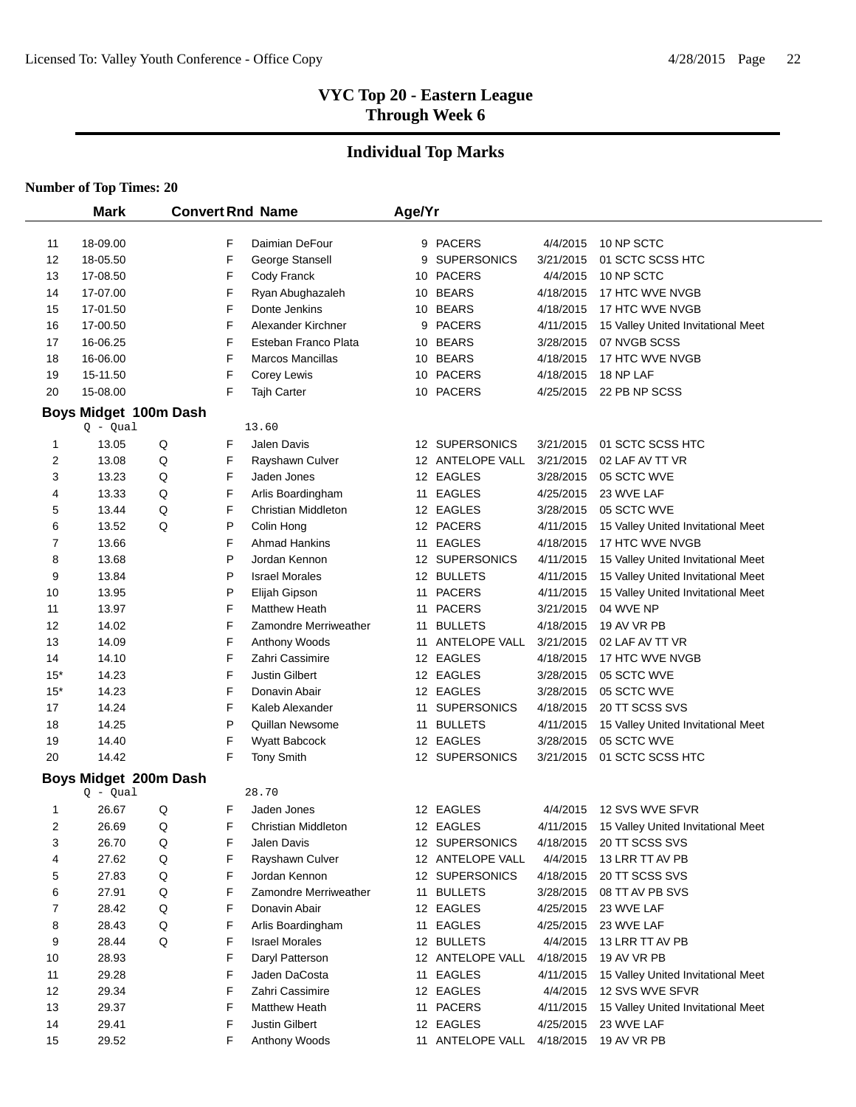# **Individual Top Marks**

|                | <b>Mark</b>                         |         |        | <b>Convert Rnd Name</b>           | Age/Yr |                           |                        |                                                    |
|----------------|-------------------------------------|---------|--------|-----------------------------------|--------|---------------------------|------------------------|----------------------------------------------------|
|                |                                     |         |        |                                   |        |                           |                        |                                                    |
| 11             | 18-09.00                            |         | F      | Daimian DeFour                    |        | 9 PACERS                  | 4/4/2015               | 10 NP SCTC                                         |
| 12             | 18-05.50                            |         | F      | George Stansell                   | 9      | <b>SUPERSONICS</b>        | 3/21/2015              | 01 SCTC SCSS HTC                                   |
| 13             | 17-08.50                            |         | F      | Cody Franck                       |        | 10 PACERS                 | 4/4/2015               | 10 NP SCTC                                         |
| 14             | 17-07.00                            |         | F      | Ryan Abughazaleh<br>Donte Jenkins |        | 10 BEARS                  | 4/18/2015              | 17 HTC WVE NVGB                                    |
| 15             | 17-01.50                            |         | F<br>F | Alexander Kirchner                |        | 10 BEARS<br><b>PACERS</b> | 4/18/2015              | 17 HTC WVE NVGB                                    |
| 16             | 17-00.50                            |         | F      | Esteban Franco Plata              | 9      | 10 BEARS                  | 4/11/2015              | 15 Valley United Invitational Meet<br>07 NVGB SCSS |
| 17<br>18       | 16-06.25<br>16-06.00                |         | F      | <b>Marcos Mancillas</b>           |        | 10 BEARS                  | 3/28/2015<br>4/18/2015 | 17 HTC WVE NVGB                                    |
| 19             | 15-11.50                            |         | F      | Corey Lewis                       | 10     | <b>PACERS</b>             | 4/18/2015              | 18 NP LAF                                          |
| 20             | 15-08.00                            |         | F      | Tajh Carter                       | 10     | <b>PACERS</b>             | 4/25/2015              | 22 PB NP SCSS                                      |
|                |                                     |         |        |                                   |        |                           |                        |                                                    |
|                | Boys Midget 100m Dash<br>$Q - Qual$ |         |        | 13.60                             |        |                           |                        |                                                    |
| 1              | 13.05                               | $\sf Q$ | F      | <b>Jalen Davis</b>                |        | 12 SUPERSONICS            | 3/21/2015              | 01 SCTC SCSS HTC                                   |
| 2              | 13.08                               | Q       | F      | Rayshawn Culver                   |        | 12 ANTELOPE VALL          | 3/21/2015              | 02 LAF AV TT VR                                    |
| 3              | 13.23                               | Q       | F      | Jaden Jones                       |        | 12 EAGLES                 | 3/28/2015              | 05 SCTC WVE                                        |
| 4              | 13.33                               | Q       | F      | Arlis Boardingham                 |        | 11 EAGLES                 | 4/25/2015              | 23 WVE LAF                                         |
| 5              | 13.44                               | Q       | F      | Christian Middleton               |        | 12 EAGLES                 | 3/28/2015              | 05 SCTC WVE                                        |
| 6              | 13.52                               | Q       | P      | Colin Hong                        |        | 12 PACERS                 | 4/11/2015              | 15 Valley United Invitational Meet                 |
| 7              | 13.66                               |         | F      | <b>Ahmad Hankins</b>              |        | 11 EAGLES                 | 4/18/2015              | 17 HTC WVE NVGB                                    |
| 8              | 13.68                               |         | P      | Jordan Kennon                     |        | 12 SUPERSONICS            | 4/11/2015              | 15 Valley United Invitational Meet                 |
| 9              | 13.84                               |         | P      | <b>Israel Morales</b>             |        | 12 BULLETS                | 4/11/2015              | 15 Valley United Invitational Meet                 |
| 10             | 13.95                               |         | P      | Elijah Gipson                     | 11     | <b>PACERS</b>             | 4/11/2015              | 15 Valley United Invitational Meet                 |
| 11             | 13.97                               |         | F      | <b>Matthew Heath</b>              | 11     | <b>PACERS</b>             | 3/21/2015              | 04 WVE NP                                          |
| 12             | 14.02                               |         | F      | Zamondre Merriweather             | 11     | <b>BULLETS</b>            | 4/18/2015              | 19 AV VR PB                                        |
| 13             | 14.09                               |         | F      | Anthony Woods                     |        | 11 ANTELOPE VALL          | 3/21/2015              | 02 LAF AV TT VR                                    |
| 14             | 14.10                               |         | F      | Zahri Cassimire                   |        | 12 EAGLES                 | 4/18/2015              | 17 HTC WVE NVGB                                    |
| $15*$          | 14.23                               |         | F      | Justin Gilbert                    |        | 12 EAGLES                 | 3/28/2015              | 05 SCTC WVE                                        |
| $15*$          | 14.23                               |         | F      | Donavin Abair                     |        | 12 EAGLES                 | 3/28/2015              | 05 SCTC WVE                                        |
| 17             | 14.24                               |         | F      | Kaleb Alexander                   |        | 11 SUPERSONICS            | 4/18/2015              | 20 TT SCSS SVS                                     |
| 18             | 14.25                               |         | P      | <b>Quillan Newsome</b>            |        | 11 BULLETS                | 4/11/2015              | 15 Valley United Invitational Meet                 |
| 19             | 14.40                               |         | F      | <b>Wyatt Babcock</b>              |        | 12 EAGLES                 | 3/28/2015              | 05 SCTC WVE                                        |
| 20             | 14.42                               |         | F      | <b>Tony Smith</b>                 |        | 12 SUPERSONICS            | 3/21/2015              | 01 SCTC SCSS HTC                                   |
|                | Boys Midget 200m Dash               |         |        |                                   |        |                           |                        |                                                    |
|                | $Q - Qual$                          |         |        | 28.70                             |        |                           |                        |                                                    |
| 1              | 26.67                               | Q       | F      | Jaden Jones                       |        | 12 EAGLES                 | 4/4/2015               | 12 SVS WVE SFVR                                    |
| $\overline{2}$ | 26.69                               | Q       | F      | Christian Middleton               |        | 12 EAGLES                 | 4/11/2015              | 15 Valley United Invitational Meet                 |
| 3              | 26.70                               | Q       | F      | Jalen Davis                       |        | 12 SUPERSONICS            | 4/18/2015              | 20 TT SCSS SVS                                     |
| 4              | 27.62                               | Q       | F      | Rayshawn Culver                   |        | 12 ANTELOPE VALL          | 4/4/2015               | 13 LRR TT AV PB                                    |
| 5              | 27.83                               | Q       | F      | Jordan Kennon                     |        | 12 SUPERSONICS            | 4/18/2015              | 20 TT SCSS SVS                                     |
| 6              | 27.91                               | Q       | F      | Zamondre Merriweather             |        | 11 BULLETS                | 3/28/2015              | 08 TT AV PB SVS                                    |
| 7              | 28.42                               | Q       | F      | Donavin Abair                     |        | 12 EAGLES                 | 4/25/2015              | 23 WVE LAF                                         |
| 8              | 28.43                               | Q       | F      | Arlis Boardingham                 |        | 11 EAGLES                 | 4/25/2015              | 23 WVE LAF                                         |
| 9              | 28.44                               | Q       | F      | <b>Israel Morales</b>             |        | 12 BULLETS                | 4/4/2015               | 13 LRR TT AV PB                                    |
| 10             | 28.93                               |         | F      | Daryl Patterson                   |        | 12 ANTELOPE VALL          | 4/18/2015              | 19 AV VR PB                                        |
| 11             | 29.28                               |         | F      | Jaden DaCosta                     |        | 11 EAGLES                 | 4/11/2015              | 15 Valley United Invitational Meet                 |
| 12             | 29.34                               |         | F      | Zahri Cassimire                   |        | 12 EAGLES                 | 4/4/2015               | 12 SVS WVE SFVR                                    |
| 13             | 29.37                               |         | F      | Matthew Heath                     |        | 11 PACERS                 | 4/11/2015              | 15 Valley United Invitational Meet                 |
| 14             | 29.41                               |         | F      | Justin Gilbert                    |        | 12 EAGLES                 | 4/25/2015              | 23 WVE LAF                                         |
| 15             | 29.52                               |         | F      | Anthony Woods                     |        | 11 ANTELOPE VALL          | 4/18/2015              | 19 AV VR PB                                        |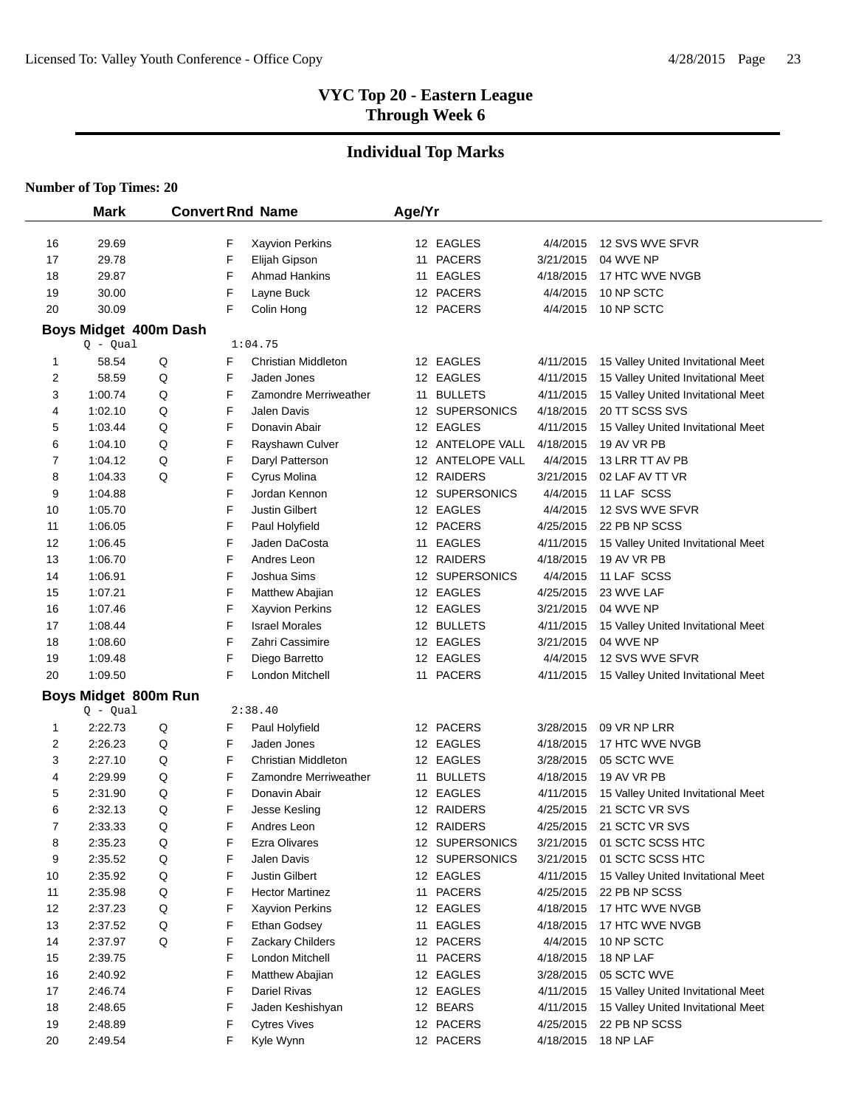# **Individual Top Marks**

|                | <b>Mark</b>           |   |   | <b>Convert Rnd Name</b>    | Age/Yr |                  |           |                                    |
|----------------|-----------------------|---|---|----------------------------|--------|------------------|-----------|------------------------------------|
|                |                       |   |   |                            |        |                  |           |                                    |
| 16             | 29.69                 |   | F | Xayvion Perkins            |        | 12 EAGLES        | 4/4/2015  | 12 SVS WVE SFVR                    |
| 17             | 29.78                 |   | F | Elijah Gipson              |        | 11 PACERS        | 3/21/2015 | 04 WVE NP                          |
| 18             | 29.87                 |   | F | <b>Ahmad Hankins</b>       |        | 11 EAGLES        | 4/18/2015 | 17 HTC WVE NVGB                    |
| 19             | 30.00                 |   | F | Layne Buck                 |        | 12 PACERS        | 4/4/2015  | 10 NP SCTC                         |
| 20             | 30.09                 |   | F | Colin Hong                 |        | 12 PACERS        | 4/4/2015  | 10 NP SCTC                         |
|                | Boys Midget 400m Dash |   |   |                            |        |                  |           |                                    |
|                | $Q - Qual$            |   |   | 1:04.75                    |        |                  |           |                                    |
| 1              | 58.54                 | Q | F | Christian Middleton        |        | 12 EAGLES        | 4/11/2015 | 15 Valley United Invitational Meet |
| 2              | 58.59                 | Q | F | Jaden Jones                |        | 12 EAGLES        | 4/11/2015 | 15 Valley United Invitational Meet |
| 3              | 1:00.74               | Q | F | Zamondre Merriweather      |        | 11 BULLETS       | 4/11/2015 | 15 Valley United Invitational Meet |
| 4              | 1:02.10               | Q | F | <b>Jalen Davis</b>         |        | 12 SUPERSONICS   | 4/18/2015 | 20 TT SCSS SVS                     |
| 5              | 1:03.44               | Q | F | Donavin Abair              |        | 12 EAGLES        | 4/11/2015 | 15 Valley United Invitational Meet |
| 6              | 1:04.10               | Q | F | Rayshawn Culver            |        | 12 ANTELOPE VALL | 4/18/2015 | 19 AV VR PB                        |
| 7              | 1:04.12               | Q | F | Daryl Patterson            |        | 12 ANTELOPE VALL | 4/4/2015  | 13 LRR TT AV PB                    |
| 8              | 1:04.33               | Q | F | Cyrus Molina               |        | 12 RAIDERS       | 3/21/2015 | 02 LAF AV TT VR                    |
| 9              | 1:04.88               |   | F | Jordan Kennon              |        | 12 SUPERSONICS   | 4/4/2015  | 11 LAF SCSS                        |
| 10             | 1:05.70               |   | F | Justin Gilbert             |        | 12 EAGLES        | 4/4/2015  | 12 SVS WVE SFVR                    |
| 11             | 1:06.05               |   | F | Paul Holyfield             |        | 12 PACERS        | 4/25/2015 | 22 PB NP SCSS                      |
| 12             | 1:06.45               |   | F | Jaden DaCosta              |        | 11 EAGLES        | 4/11/2015 | 15 Valley United Invitational Meet |
| 13             | 1:06.70               |   | F | Andres Leon                |        | 12 RAIDERS       | 4/18/2015 | 19 AV VR PB                        |
| 14             | 1:06.91               |   | F | Joshua Sims                |        | 12 SUPERSONICS   | 4/4/2015  | 11 LAF SCSS                        |
| 15             | 1:07.21               |   | F | Matthew Abajian            |        | 12 EAGLES        | 4/25/2015 | 23 WVE LAF                         |
| 16             | 1:07.46               |   | F | Xayvion Perkins            |        | 12 EAGLES        | 3/21/2015 | 04 WVE NP                          |
| 17             | 1:08.44               |   | F | <b>Israel Morales</b>      |        | 12 BULLETS       | 4/11/2015 | 15 Valley United Invitational Meet |
| 18             | 1:08.60               |   | F | Zahri Cassimire            |        | 12 EAGLES        | 3/21/2015 | 04 WVE NP                          |
| 19             | 1:09.48               |   | F | Diego Barretto             |        | 12 EAGLES        | 4/4/2015  | 12 SVS WVE SFVR                    |
| 20             | 1:09.50               |   | F | London Mitchell            |        | 11 PACERS        | 4/11/2015 | 15 Valley United Invitational Meet |
|                | Boys Midget 800m Run  |   |   |                            |        |                  |           |                                    |
|                | $Q - Qual$            |   |   | 2:38.40                    |        |                  |           |                                    |
| 1              | 2:22.73               | Q | F | Paul Holyfield             |        | 12 PACERS        | 3/28/2015 | 09 VR NP LRR                       |
| 2              | 2:26.23               | Q | F | Jaden Jones                |        | 12 EAGLES        | 4/18/2015 | 17 HTC WVE NVGB                    |
| 3              | 2:27.10               | Q | F | <b>Christian Middleton</b> |        | 12 EAGLES        | 3/28/2015 | 05 SCTC WVE                        |
| 4              | 2:29.99               | Q | F | Zamondre Merriweather      |        | 11 BULLETS       | 4/18/2015 | 19 AV VR PB                        |
| 5              | 2:31.90               | Q | F | Donavin Abair              |        | 12 EAGLES        | 4/11/2015 | 15 Valley United Invitational Meet |
| 6              | 2:32.13               | Q | F | Jesse Kesling              |        | 12 RAIDERS       | 4/25/2015 | 21 SCTC VR SVS                     |
| $\overline{7}$ | 2:33.33               | Q | F | Andres Leon                |        | 12 RAIDERS       | 4/25/2015 | 21 SCTC VR SVS                     |
| 8              | 2:35.23               | Q | F | <b>Ezra Olivares</b>       |        | 12 SUPERSONICS   | 3/21/2015 | 01 SCTC SCSS HTC                   |
| 9              | 2:35.52               | Q | F | Jalen Davis                |        | 12 SUPERSONICS   | 3/21/2015 | 01 SCTC SCSS HTC                   |
| 10             | 2:35.92               | Q | F | Justin Gilbert             |        | 12 EAGLES        | 4/11/2015 | 15 Valley United Invitational Meet |
| 11             | 2:35.98               | Q | F | <b>Hector Martinez</b>     |        | 11 PACERS        | 4/25/2015 | 22 PB NP SCSS                      |
| 12             | 2:37.23               | Q | F | Xayvion Perkins            |        | 12 EAGLES        | 4/18/2015 | 17 HTC WVE NVGB                    |
| 13             | 2:37.52               | Q | F | Ethan Godsey               |        | 11 EAGLES        | 4/18/2015 | 17 HTC WVE NVGB                    |
| 14             | 2:37.97               | Q | F | Zackary Childers           |        | 12 PACERS        | 4/4/2015  | 10 NP SCTC                         |
| 15             | 2:39.75               |   | F | London Mitchell            |        | 11 PACERS        | 4/18/2015 | 18 NP LAF                          |
| 16             | 2:40.92               |   | F | Matthew Abajian            |        | 12 EAGLES        | 3/28/2015 | 05 SCTC WVE                        |
| 17             | 2:46.74               |   | F | Dariel Rivas               |        | 12 EAGLES        | 4/11/2015 | 15 Valley United Invitational Meet |
| 18             | 2:48.65               |   | F | Jaden Keshishyan           |        | 12 BEARS         | 4/11/2015 | 15 Valley United Invitational Meet |
| 19             | 2:48.89               |   | F | <b>Cytres Vives</b>        |        | 12 PACERS        | 4/25/2015 | 22 PB NP SCSS                      |
| 20             | 2:49.54               |   | F | Kyle Wynn                  |        | 12 PACERS        | 4/18/2015 | 18 NP LAF                          |
|                |                       |   |   |                            |        |                  |           |                                    |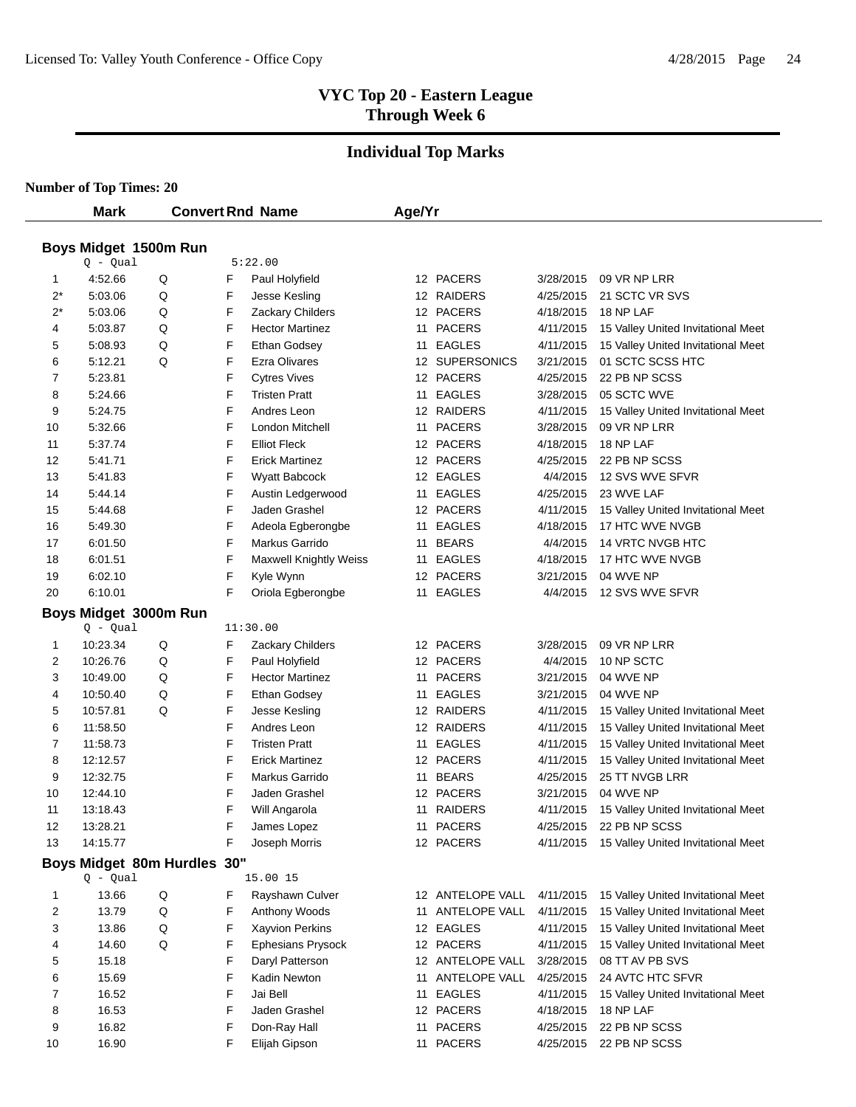# **Individual Top Marks**

**Number of Top Times: 20**

 $\overline{\phantom{0}}$ 

|       | <b>Mark</b>           |                             |   | <b>Convert Rnd Name</b>       | Age/Yr |                  |           |                                              |
|-------|-----------------------|-----------------------------|---|-------------------------------|--------|------------------|-----------|----------------------------------------------|
|       |                       |                             |   |                               |        |                  |           |                                              |
|       | Boys Midget 1500m Run |                             |   |                               |        |                  |           |                                              |
|       | $Q - Qual$            |                             |   | 5:22.00                       |        |                  |           |                                              |
| 1     | 4:52.66               | Q                           | F | Paul Holyfield                |        | 12 PACERS        | 3/28/2015 | 09 VR NP LRR                                 |
| $2^*$ | 5:03.06               | Q                           | F | Jesse Kesling                 |        | 12 RAIDERS       | 4/25/2015 | 21 SCTC VR SVS                               |
| $2^*$ | 5:03.06               | Q                           | F | Zackary Childers              |        | 12 PACERS        | 4/18/2015 | 18 NP LAF                                    |
| 4     | 5:03.87               | Q                           | F | <b>Hector Martinez</b>        | 11     | <b>PACERS</b>    | 4/11/2015 | 15 Valley United Invitational Meet           |
| 5     | 5:08.93               | Q                           | F | <b>Ethan Godsey</b>           | 11     | <b>EAGLES</b>    | 4/11/2015 | 15 Valley United Invitational Meet           |
| 6     | 5:12.21               | Q                           | F | <b>Ezra Olivares</b>          |        | 12 SUPERSONICS   | 3/21/2015 | 01 SCTC SCSS HTC                             |
| 7     | 5:23.81               |                             | F | <b>Cytres Vives</b>           |        | 12 PACERS        | 4/25/2015 | 22 PB NP SCSS                                |
| 8     | 5:24.66               |                             | F | <b>Tristen Pratt</b>          |        | 11 EAGLES        | 3/28/2015 | 05 SCTC WVE                                  |
| 9     | 5:24.75               |                             | F | Andres Leon                   |        | 12 RAIDERS       | 4/11/2015 | 15 Valley United Invitational Meet           |
| 10    | 5:32.66               |                             | F | London Mitchell               |        | 11 PACERS        | 3/28/2015 | 09 VR NP LRR                                 |
| 11    | 5:37.74               |                             | F | <b>Elliot Fleck</b>           |        | 12 PACERS        | 4/18/2015 | 18 NP LAF                                    |
| 12    | 5:41.71               |                             | F | <b>Erick Martinez</b>         |        | 12 PACERS        | 4/25/2015 | 22 PB NP SCSS                                |
| 13    | 5:41.83               |                             | F | Wyatt Babcock                 |        | 12 EAGLES        | 4/4/2015  | 12 SVS WVE SFVR                              |
| 14    | 5:44.14               |                             | F | Austin Ledgerwood             |        | 11 EAGLES        | 4/25/2015 | 23 WVE LAF                                   |
| 15    | 5:44.68               |                             | F | Jaden Grashel                 |        | 12 PACERS        | 4/11/2015 | 15 Valley United Invitational Meet           |
| 16    | 5:49.30               |                             | F | Adeola Egberongbe             |        | 11 EAGLES        | 4/18/2015 | 17 HTC WVE NVGB                              |
| 17    | 6:01.50               |                             | F | Markus Garrido                |        | 11 BEARS         | 4/4/2015  | 14 VRTC NVGB HTC                             |
| 18    | 6:01.51               |                             | F | <b>Maxwell Knightly Weiss</b> |        | 11 EAGLES        | 4/18/2015 | 17 HTC WVE NVGB                              |
| 19    | 6:02.10               |                             | F | Kyle Wynn                     |        | 12 PACERS        | 3/21/2015 | 04 WVE NP                                    |
| 20    | 6:10.01               |                             | F | Oriola Egberongbe             | 11     | <b>EAGLES</b>    | 4/4/2015  | 12 SVS WVE SFVR                              |
|       | Boys Midget 3000m Run |                             |   |                               |        |                  |           |                                              |
|       | $Q - Qual$            |                             |   | 11:30.00                      |        |                  |           |                                              |
| 1     | 10:23.34              | Q                           | F | Zackary Childers              |        | 12 PACERS        | 3/28/2015 | 09 VR NP LRR                                 |
| 2     | 10:26.76              | Q                           | F | Paul Holyfield                |        | 12 PACERS        | 4/4/2015  | 10 NP SCTC                                   |
| 3     | 10:49.00              | Q                           | F | <b>Hector Martinez</b>        |        | 11 PACERS        | 3/21/2015 | 04 WVE NP                                    |
| 4     | 10:50.40              | Q                           | F | <b>Ethan Godsey</b>           |        | 11 EAGLES        | 3/21/2015 | 04 WVE NP                                    |
| 5     | 10:57.81              | Q                           | F | Jesse Kesling                 |        | 12 RAIDERS       | 4/11/2015 | 15 Valley United Invitational Meet           |
| 6     | 11:58.50              |                             | F | Andres Leon                   |        | 12 RAIDERS       | 4/11/2015 | 15 Valley United Invitational Meet           |
| 7     | 11:58.73              |                             | F | <b>Tristen Pratt</b>          |        | 11 EAGLES        | 4/11/2015 | 15 Valley United Invitational Meet           |
| 8     | 12:12.57              |                             | F | <b>Erick Martinez</b>         |        | 12 PACERS        | 4/11/2015 | 15 Valley United Invitational Meet           |
| 9     | 12:32.75              |                             | F | Markus Garrido                |        | 11 BEARS         | 4/25/2015 | 25 TT NVGB LRR                               |
| 10    | 12:44.10              |                             | F | Jaden Grashel                 |        | 12 PACERS        | 3/21/2015 | 04 WVE NP                                    |
| 11    | 13:18.43              |                             | F | Will Angarola                 | 11     | <b>RAIDERS</b>   | 4/11/2015 | 15 Valley United Invitational Meet           |
| 12    | 13:28.21              |                             | F | James Lopez                   | 11     | <b>PACERS</b>    | 4/25/2015 | 22 PB NP SCSS                                |
| 13    | 14:15.77              |                             | F | Joseph Morris                 |        | 12 PACERS        |           | 4/11/2015 15 Valley United Invitational Meet |
|       |                       | Boys Midget 80m Hurdles 30" |   |                               |        |                  |           |                                              |
|       | $Q - Qual$            |                             |   | 15.00 15                      |        |                  |           |                                              |
| 1     | 13.66                 | Q                           | F | Rayshawn Culver               |        | 12 ANTELOPE VALL | 4/11/2015 | 15 Valley United Invitational Meet           |
| 2     | 13.79                 | Q                           | F | Anthony Woods                 |        | 11 ANTELOPE VALL | 4/11/2015 | 15 Valley United Invitational Meet           |
| 3     | 13.86                 | Q                           | F | Xayvion Perkins               |        | 12 EAGLES        | 4/11/2015 | 15 Valley United Invitational Meet           |
| 4     | 14.60                 | Q                           | F | <b>Ephesians Prysock</b>      |        | 12 PACERS        | 4/11/2015 | 15 Valley United Invitational Meet           |
| 5     | 15.18                 |                             | F | Daryl Patterson               |        | 12 ANTELOPE VALL | 3/28/2015 | 08 TT AV PB SVS                              |
| 6     | 15.69                 |                             | F | Kadin Newton                  |        | 11 ANTELOPE VALL | 4/25/2015 | 24 AVTC HTC SFVR                             |
| 7     | 16.52                 |                             | F | Jai Bell                      |        | 11 EAGLES        | 4/11/2015 | 15 Valley United Invitational Meet           |
| 8     | 16.53                 |                             | F | Jaden Grashel                 |        | 12 PACERS        | 4/18/2015 | 18 NP LAF                                    |
| 9     | 16.82                 |                             | F | Don-Ray Hall                  |        | 11 PACERS        | 4/25/2015 | 22 PB NP SCSS                                |
| 10    | 16.90                 |                             | F | Elijah Gipson                 |        | 11 PACERS        | 4/25/2015 | 22 PB NP SCSS                                |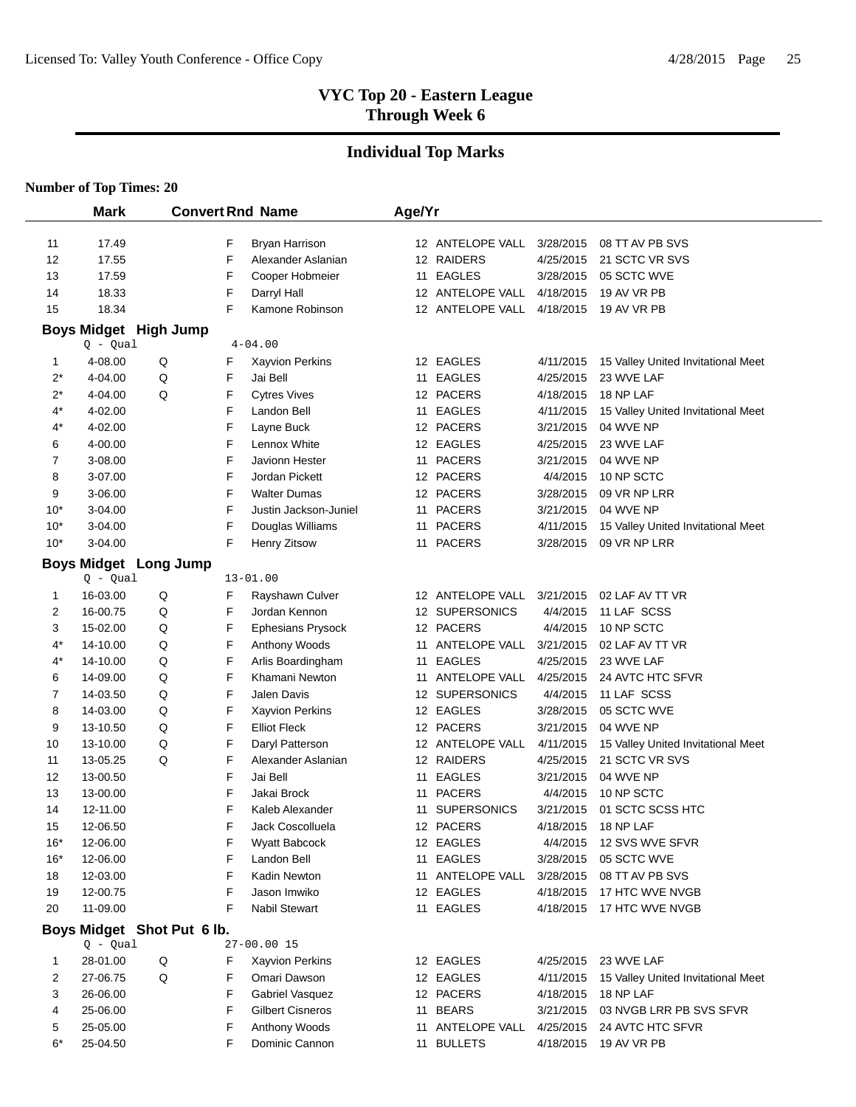# **Individual Top Marks**

|          | <b>Mark</b>          |                              |        | <b>Convert Rnd Name</b>                | Age/Yr |                               |                        |                                                 |
|----------|----------------------|------------------------------|--------|----------------------------------------|--------|-------------------------------|------------------------|-------------------------------------------------|
|          |                      |                              |        |                                        |        |                               |                        |                                                 |
| 11       | 17.49                |                              | F      | Bryan Harrison                         |        | 12 ANTELOPE VALL              | 3/28/2015              | 08 TT AV PB SVS                                 |
| 12       | 17.55                |                              | F      | Alexander Aslanian                     |        | 12 RAIDERS                    | 4/25/2015              | 21 SCTC VR SVS                                  |
| 13       | 17.59                |                              | F      | Cooper Hobmeier                        |        | 11 EAGLES                     | 3/28/2015              | 05 SCTC WVE                                     |
| 14       | 18.33                |                              | F      | Darryl Hall                            |        | 12 ANTELOPE VALL              | 4/18/2015              | 19 AV VR PB                                     |
| 15       | 18.34                |                              | F      | Kamone Robinson                        |        | 12 ANTELOPE VALL              | 4/18/2015              | 19 AV VR PB                                     |
|          |                      | <b>Boys Midget High Jump</b> |        |                                        |        |                               |                        |                                                 |
|          | $Q - Qual$           |                              |        | $4 - 04.00$                            |        |                               |                        |                                                 |
| 1        | 4-08.00              | Q                            | F      | Xayvion Perkins                        |        | 12 EAGLES                     | 4/11/2015              | 15 Valley United Invitational Meet              |
| $2^*$    | 4-04.00              | Q                            | F      | Jai Bell                               |        | 11 EAGLES                     | 4/25/2015              | 23 WVE LAF                                      |
| $2^*$    | 4-04.00              | Q                            | F      | <b>Cytres Vives</b>                    |        | 12 PACERS                     | 4/18/2015              | 18 NP LAF                                       |
| $4^*$    | 4-02.00              |                              | F      | Landon Bell                            |        | 11 EAGLES                     | 4/11/2015              | 15 Valley United Invitational Meet              |
| 4*       | 4-02.00              |                              | F      | Layne Buck                             |        | 12 PACERS                     | 3/21/2015              | 04 WVE NP                                       |
| 6        | 4-00.00              |                              | F      | Lennox White                           |        | 12 EAGLES                     | 4/25/2015              | 23 WVE LAF                                      |
| 7        | 3-08.00              |                              | F      | Javionn Hester                         |        | 11 PACERS                     | 3/21/2015              | 04 WVE NP                                       |
| 8        | 3-07.00              |                              | F      | Jordan Pickett                         |        | 12 PACERS                     | 4/4/2015               | 10 NP SCTC                                      |
| 9        | 3-06.00              |                              | F      | <b>Walter Dumas</b>                    |        | 12 PACERS                     | 3/28/2015              | 09 VR NP LRR                                    |
| $10*$    | 3-04.00              |                              | F      | Justin Jackson-Juniel                  |        | 11 PACERS                     | 3/21/2015              | 04 WVE NP                                       |
| $10*$    | 3-04.00              |                              | F      | Douglas Williams                       |        | 11 PACERS                     | 4/11/2015              | 15 Valley United Invitational Meet              |
| $10*$    | 3-04.00              |                              | F      | Henry Zitsow                           |        | 11 PACERS                     | 3/28/2015              | 09 VR NP LRR                                    |
|          |                      | <b>Boys Midget Long Jump</b> |        |                                        |        |                               |                        |                                                 |
|          | $Q - Qual$           |                              |        | $13 - 01.00$                           |        |                               |                        |                                                 |
| 1        | 16-03.00             | Q                            | F      | Rayshawn Culver                        |        | 12 ANTELOPE VALL              | 3/21/2015              | 02 LAF AV TT VR                                 |
| 2        | 16-00.75             | Q                            | F      | Jordan Kennon                          |        | 12 SUPERSONICS                | 4/4/2015               | 11 LAF SCSS                                     |
| 3        | 15-02.00             | Q                            | F      | <b>Ephesians Prysock</b>               |        | 12 PACERS                     | 4/4/2015               | 10 NP SCTC                                      |
| 4*       | 14-10.00             | Q                            | F      | Anthony Woods                          |        | 11 ANTELOPE VALL              | 3/21/2015              | 02 LAF AV TT VR                                 |
| $4^*$    | 14-10.00             | Q                            | F      | Arlis Boardingham                      |        | 11 EAGLES                     | 4/25/2015              | 23 WVE LAF                                      |
| 6        | 14-09.00             | Q                            | F      | Khamani Newton                         |        | 11 ANTELOPE VALL              | 4/25/2015              | 24 AVTC HTC SFVR                                |
| 7        | 14-03.50             | Q                            | F      | Jalen Davis                            |        | 12 SUPERSONICS                | 4/4/2015               | 11 LAF SCSS                                     |
| 8        | 14-03.00             | Q                            | F      | Xayvion Perkins                        |        | 12 EAGLES                     | 3/28/2015              | 05 SCTC WVE                                     |
| 9        | 13-10.50             | Q                            | F      | <b>Elliot Fleck</b>                    |        | 12 PACERS                     | 3/21/2015              | 04 WVE NP                                       |
| 10       | 13-10.00             | Q                            | F      | Daryl Patterson                        |        | 12 ANTELOPE VALL              | 4/11/2015              | 15 Valley United Invitational Meet              |
| 11       | 13-05.25             | Q                            | F      | Alexander Aslanian                     |        | 12 RAIDERS                    | 4/25/2015              | 21 SCTC VR SVS                                  |
| 12       | 13-00.50             |                              | F      | Jai Bell                               | 11     | <b>EAGLES</b>                 | 3/21/2015              | 04 WVE NP                                       |
| 13       | 13-00.00             |                              | F      | Jakai Brock                            | 11     | <b>PACERS</b>                 | 4/4/2015               | 10 NP SCTC                                      |
| 14       | 12-11.00             |                              | F      | Kaleb Alexander                        | 11     | <b>SUPERSONICS</b>            | 3/21/2015              | 01 SCTC SCSS HTC                                |
| 15       | 12-06.50             |                              | F      | Jack Coscolluela                       |        | 12 PACERS                     | 4/18/2015              | 18 NP LAF                                       |
| $16*$    | 12-06.00             |                              | F      | Wyatt Babcock                          |        | 12 EAGLES                     | 4/4/2015               | 12 SVS WVE SFVR                                 |
| $16*$    | 12-06.00             |                              | F      | Landon Bell                            |        | 11 EAGLES                     | 3/28/2015              | 05 SCTC WVE                                     |
| 18       | 12-03.00             |                              | F<br>F | Kadin Newton                           |        | 11 ANTELOPE VALL<br>12 EAGLES | 3/28/2015              | 08 TT AV PB SVS                                 |
| 19<br>20 | 12-00.75<br>11-09.00 |                              | F      | Jason Imwiko<br>Nabil Stewart          |        |                               | 4/18/2015              | 17 HTC WVE NVGB<br>17 HTC WVE NVGB              |
|          |                      |                              |        |                                        |        | 11 EAGLES                     | 4/18/2015              |                                                 |
|          | $Q - Qual$           | Boys Midget Shot Put 6 lb.   |        | 27-00.00 15                            |        |                               |                        |                                                 |
|          |                      |                              |        |                                        |        |                               |                        |                                                 |
| 1        | 28-01.00<br>27-06.75 | Q<br>Q                       | F<br>F | <b>Xayvion Perkins</b><br>Omari Dawson |        | 12 EAGLES                     | 4/25/2015              | 23 WVE LAF                                      |
| 2<br>3   | 26-06.00             |                              | F      | Gabriel Vasquez                        |        | 12 EAGLES<br>12 PACERS        | 4/11/2015<br>4/18/2015 | 15 Valley United Invitational Meet<br>18 NP LAF |
| 4        | 25-06.00             |                              | F      | <b>Gilbert Cisneros</b>                |        | 11 BEARS                      |                        | 03 NVGB LRR PB SVS SFVR                         |
| 5        | 25-05.00             |                              | F      | Anthony Woods                          |        | 11 ANTELOPE VALL              | 3/21/2015<br>4/25/2015 | 24 AVTC HTC SFVR                                |
| $6*$     | 25-04.50             |                              | F      | Dominic Cannon                         |        | 11 BULLETS                    | 4/18/2015              | 19 AV VR PB                                     |
|          |                      |                              |        |                                        |        |                               |                        |                                                 |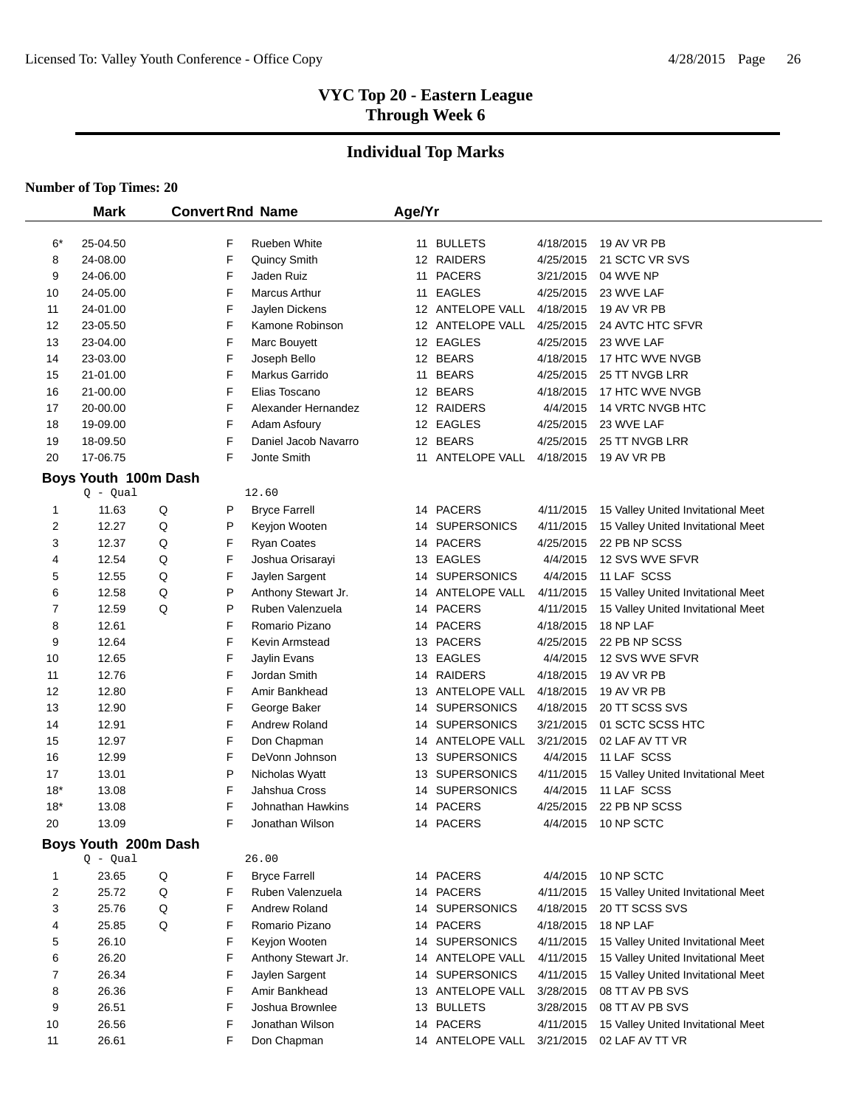# **Individual Top Marks**

|          | <b>Mark</b>          |                      |        | <b>Convert Rnd Name</b>            | Age/Yr |                          |                        |                                    |
|----------|----------------------|----------------------|--------|------------------------------------|--------|--------------------------|------------------------|------------------------------------|
|          |                      |                      |        |                                    |        |                          |                        |                                    |
| 6*<br>8  | 25-04.50<br>24-08.00 |                      | F<br>F | Rueben White                       |        | 11 BULLETS<br>12 RAIDERS | 4/18/2015<br>4/25/2015 | 19 AV VR PB<br>21 SCTC VR SVS      |
|          |                      |                      | F      | Quincy Smith                       |        |                          |                        |                                    |
| 9<br>10  | 24-06.00<br>24-05.00 |                      | F      | Jaden Ruiz<br><b>Marcus Arthur</b> |        | 11 PACERS<br>11 EAGLES   | 3/21/2015<br>4/25/2015 | 04 WVE NP<br>23 WVE LAF            |
|          | 24-01.00             |                      | F      |                                    |        | 12 ANTELOPE VALL         | 4/18/2015              | 19 AV VR PB                        |
| 11<br>12 | 23-05.50             |                      | F      | Jaylen Dickens<br>Kamone Robinson  |        | 12 ANTELOPE VALL         | 4/25/2015              | 24 AVTC HTC SFVR                   |
| 13       | 23-04.00             |                      | F      | Marc Bouyett                       |        | 12 EAGLES                | 4/25/2015              | 23 WVE LAF                         |
| 14       | 23-03.00             |                      | F      | Joseph Bello                       |        | 12 BEARS                 | 4/18/2015              | 17 HTC WVE NVGB                    |
| 15       | 21-01.00             |                      | F      | Markus Garrido                     |        | 11 BEARS                 | 4/25/2015              | 25 TT NVGB LRR                     |
| 16       | 21-00.00             |                      | F      | Elias Toscano                      |        | 12 BEARS                 | 4/18/2015              | 17 HTC WVE NVGB                    |
| 17       | 20-00.00             |                      | F      | Alexander Hernandez                |        | 12 RAIDERS               | 4/4/2015               | 14 VRTC NVGB HTC                   |
| 18       | 19-09.00             |                      | F      | Adam Asfoury                       |        | 12 EAGLES                | 4/25/2015              | 23 WVE LAF                         |
| 19       | 18-09.50             |                      | F      | Daniel Jacob Navarro               |        | 12 BEARS                 | 4/25/2015              | 25 TT NVGB LRR                     |
| 20       | 17-06.75             |                      | F      | Jonte Smith                        | 11     | ANTELOPE VALL            | 4/18/2015              | 19 AV VR PB                        |
|          |                      |                      |        |                                    |        |                          |                        |                                    |
|          | $Q - Qual$           | Boys Youth 100m Dash |        | 12.60                              |        |                          |                        |                                    |
| 1        | 11.63                | Q                    | P      | <b>Bryce Farrell</b>               |        | 14 PACERS                | 4/11/2015              | 15 Valley United Invitational Meet |
| 2        | 12.27                | Q                    | P      | Keyjon Wooten                      |        | 14 SUPERSONICS           | 4/11/2015              | 15 Valley United Invitational Meet |
| 3        | 12.37                | Q                    | F      | Ryan Coates                        |        | 14 PACERS                | 4/25/2015              | 22 PB NP SCSS                      |
| 4        | 12.54                | Q                    | F      | Joshua Orisarayi                   |        | 13 EAGLES                | 4/4/2015               | 12 SVS WVE SFVR                    |
| 5        | 12.55                | Q                    | F      | Jaylen Sargent                     |        | 14 SUPERSONICS           | 4/4/2015               | 11 LAF SCSS                        |
| 6        | 12.58                | Q                    | P      | Anthony Stewart Jr.                |        | 14 ANTELOPE VALL         | 4/11/2015              | 15 Valley United Invitational Meet |
| 7        | 12.59                | Q                    | P      | Ruben Valenzuela                   |        | 14 PACERS                | 4/11/2015              | 15 Valley United Invitational Meet |
| 8        | 12.61                |                      | F      | Romario Pizano                     |        | 14 PACERS                | 4/18/2015              | 18 NP LAF                          |
| 9        | 12.64                |                      | F      | Kevin Armstead                     |        | 13 PACERS                | 4/25/2015              | 22 PB NP SCSS                      |
| 10       | 12.65                |                      | F      | Jaylin Evans                       |        | 13 EAGLES                | 4/4/2015               | 12 SVS WVE SFVR                    |
| 11       | 12.76                |                      | F      | Jordan Smith                       |        | 14 RAIDERS               | 4/18/2015              | 19 AV VR PB                        |
| 12       | 12.80                |                      | F      | Amir Bankhead                      |        | 13 ANTELOPE VALL         | 4/18/2015              | 19 AV VR PB                        |
| 13       | 12.90                |                      | F      | George Baker                       |        | 14 SUPERSONICS           | 4/18/2015              | 20 TT SCSS SVS                     |
| 14       | 12.91                |                      | F      | Andrew Roland                      |        | 14 SUPERSONICS           | 3/21/2015              | 01 SCTC SCSS HTC                   |
| 15       | 12.97                |                      | F      | Don Chapman                        |        | 14 ANTELOPE VALL         | 3/21/2015              | 02 LAF AV TT VR                    |
| 16       | 12.99                |                      | F      | DeVonn Johnson                     |        | 13 SUPERSONICS           | 4/4/2015               | 11 LAF SCSS                        |
| 17       | 13.01                |                      | P      | Nicholas Wyatt                     |        | 13 SUPERSONICS           | 4/11/2015              | 15 Valley United Invitational Meet |
| $18*$    | 13.08                |                      | F      | Jahshua Cross                      |        | 14 SUPERSONICS           | 4/4/2015               | 11 LAF SCSS                        |
| $18*$    | 13.08                |                      | F      | Johnathan Hawkins                  |        | 14 PACERS                | 4/25/2015              | 22 PB NP SCSS                      |
| 20       | 13.09                |                      | F      | Jonathan Wilson                    |        | 14 PACERS                | 4/4/2015               | 10 NP SCTC                         |
|          |                      | Boys Youth 200m Dash |        |                                    |        |                          |                        |                                    |
|          | $Q - Qual$           |                      |        | 26.00                              |        |                          |                        |                                    |
| 1        | 23.65                | Q                    | F      | <b>Bryce Farrell</b>               |        | 14 PACERS                | 4/4/2015               | 10 NP SCTC                         |
| 2        | 25.72                | Q                    | F      | Ruben Valenzuela                   |        | 14 PACERS                | 4/11/2015              | 15 Valley United Invitational Meet |
| 3        | 25.76                | Q                    | F      | Andrew Roland                      |        | 14 SUPERSONICS           | 4/18/2015              | 20 TT SCSS SVS                     |
| 4        | 25.85                | Q                    | F      | Romario Pizano                     |        | 14 PACERS                | 4/18/2015              | 18 NP LAF                          |
| 5        | 26.10                |                      | F      | Keyjon Wooten                      |        | 14 SUPERSONICS           | 4/11/2015              | 15 Valley United Invitational Meet |
| 6        | 26.20                |                      | F      | Anthony Stewart Jr.                |        | 14 ANTELOPE VALL         | 4/11/2015              | 15 Valley United Invitational Meet |
| 7        | 26.34                |                      | F      | Jaylen Sargent                     |        | 14 SUPERSONICS           | 4/11/2015              | 15 Valley United Invitational Meet |
| 8        | 26.36                |                      | F      | Amir Bankhead                      |        | 13 ANTELOPE VALL         | 3/28/2015              | 08 TT AV PB SVS                    |
| 9        | 26.51                |                      | F      | Joshua Brownlee                    |        | 13 BULLETS               | 3/28/2015              | 08 TT AV PB SVS                    |
| 10       | 26.56                |                      | F      | Jonathan Wilson                    |        | 14 PACERS                | 4/11/2015              | 15 Valley United Invitational Meet |
| 11       | 26.61                |                      | F      | Don Chapman                        |        | 14 ANTELOPE VALL         | 3/21/2015              | 02 LAF AV TT VR                    |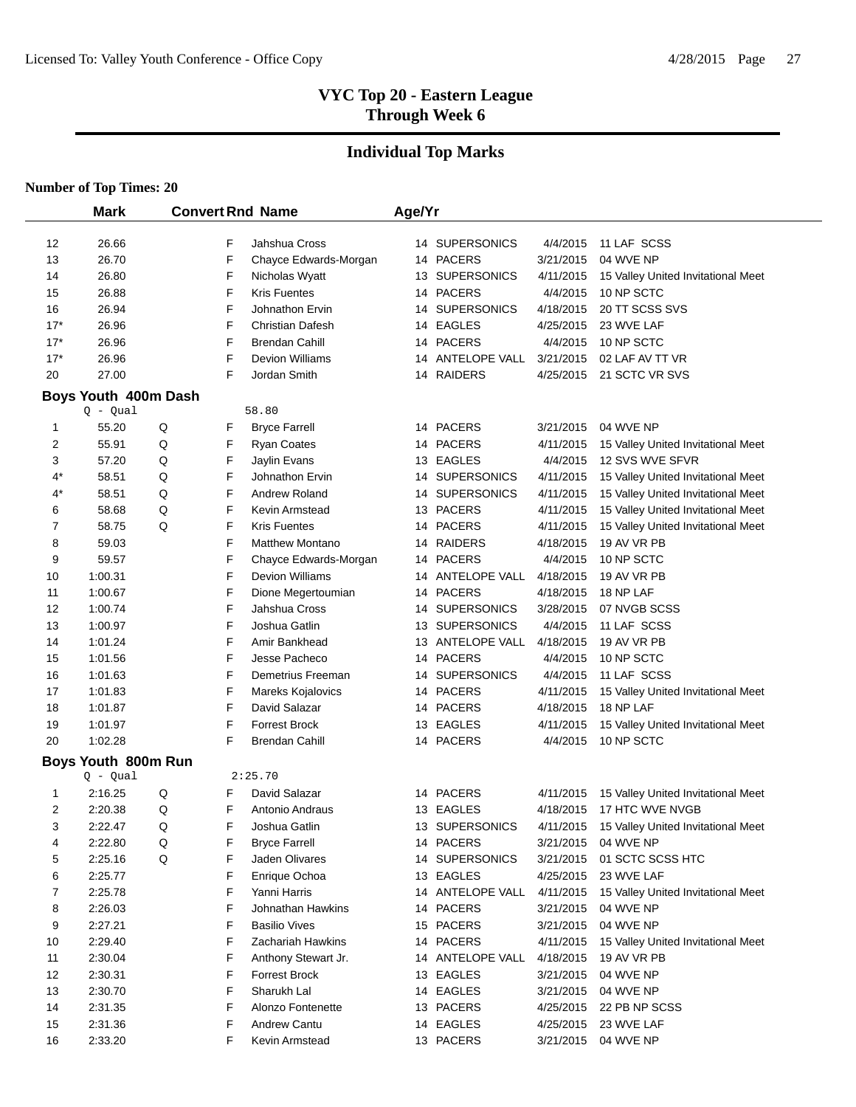# **Individual Top Marks**

|       | <b>Mark</b>                        |   |   | <b>Convert Rnd Name</b> | Age/Yr |                  |           |                                    |
|-------|------------------------------------|---|---|-------------------------|--------|------------------|-----------|------------------------------------|
| 12    | 26.66                              |   | F | Jahshua Cross           |        | 14 SUPERSONICS   | 4/4/2015  | 11 LAF SCSS                        |
| 13    | 26.70                              |   | F | Chayce Edwards-Morgan   |        | 14 PACERS        | 3/21/2015 | 04 WVE NP                          |
| 14    | 26.80                              |   | F | Nicholas Wyatt          |        | 13 SUPERSONICS   | 4/11/2015 | 15 Valley United Invitational Meet |
| 15    | 26.88                              |   | F | <b>Kris Fuentes</b>     |        | 14 PACERS        | 4/4/2015  | 10 NP SCTC                         |
| 16    | 26.94                              |   | F | Johnathon Ervin         |        | 14 SUPERSONICS   | 4/18/2015 | 20 TT SCSS SVS                     |
| $17*$ | 26.96                              |   | F | Christian Dafesh        |        | 14 EAGLES        | 4/25/2015 | 23 WVE LAF                         |
| $17*$ | 26.96                              |   | F | <b>Brendan Cahill</b>   |        | 14 PACERS        | 4/4/2015  | 10 NP SCTC                         |
| $17*$ | 26.96                              |   | F | <b>Devion Williams</b>  |        | 14 ANTELOPE VALL | 3/21/2015 | 02 LAF AV TT VR                    |
| 20    | 27.00                              |   | F | Jordan Smith            |        | 14 RAIDERS       | 4/25/2015 | 21 SCTC VR SVS                     |
|       |                                    |   |   |                         |        |                  |           |                                    |
|       | Boys Youth 400m Dash<br>$Q - Qual$ |   |   | 58.80                   |        |                  |           |                                    |
| 1     | 55.20                              | Q | F | <b>Bryce Farrell</b>    |        | 14 PACERS        | 3/21/2015 | 04 WVE NP                          |
| 2     | 55.91                              | Q | F | <b>Ryan Coates</b>      |        | 14 PACERS        | 4/11/2015 | 15 Valley United Invitational Meet |
| 3     | 57.20                              | Q | F | Jaylin Evans            |        | 13 EAGLES        | 4/4/2015  | 12 SVS WVE SFVR                    |
| 4*    | 58.51                              | Q | F | Johnathon Ervin         |        | 14 SUPERSONICS   | 4/11/2015 | 15 Valley United Invitational Meet |
| 4*    | 58.51                              | Q | F | Andrew Roland           |        | 14 SUPERSONICS   | 4/11/2015 | 15 Valley United Invitational Meet |
| 6     | 58.68                              | Q | F | Kevin Armstead          |        | 13 PACERS        | 4/11/2015 | 15 Valley United Invitational Meet |
| 7     | 58.75                              | Q | F | <b>Kris Fuentes</b>     |        | 14 PACERS        | 4/11/2015 | 15 Valley United Invitational Meet |
| 8     | 59.03                              |   | F | <b>Matthew Montano</b>  |        | 14 RAIDERS       | 4/18/2015 | 19 AV VR PB                        |
| 9     | 59.57                              |   | F | Chayce Edwards-Morgan   |        | 14 PACERS        | 4/4/2015  | 10 NP SCTC                         |
| 10    | 1:00.31                            |   | F | Devion Williams         |        | 14 ANTELOPE VALL | 4/18/2015 | 19 AV VR PB                        |
| 11    | 1:00.67                            |   | F | Dione Megertoumian      |        | 14 PACERS        | 4/18/2015 | 18 NP LAF                          |
| 12    | 1:00.74                            |   | F | Jahshua Cross           |        | 14 SUPERSONICS   | 3/28/2015 | 07 NVGB SCSS                       |
| 13    | 1:00.97                            |   | F | Joshua Gatlin           |        | 13 SUPERSONICS   | 4/4/2015  | 11 LAF SCSS                        |
| 14    | 1:01.24                            |   | F | Amir Bankhead           |        | 13 ANTELOPE VALL | 4/18/2015 | 19 AV VR PB                        |
| 15    | 1:01.56                            |   | F | Jesse Pacheco           |        | 14 PACERS        | 4/4/2015  | 10 NP SCTC                         |
| 16    | 1:01.63                            |   | F | Demetrius Freeman       |        | 14 SUPERSONICS   | 4/4/2015  | 11 LAF SCSS                        |
| 17    | 1:01.83                            |   | F | Mareks Kojalovics       |        | 14 PACERS        | 4/11/2015 | 15 Valley United Invitational Meet |
| 18    | 1:01.87                            |   | F | David Salazar           |        | 14 PACERS        | 4/18/2015 | 18 NP LAF                          |
| 19    | 1:01.97                            |   | F | <b>Forrest Brock</b>    |        | 13 EAGLES        | 4/11/2015 | 15 Valley United Invitational Meet |
| 20    | 1:02.28                            |   | F | Brendan Cahill          |        | 14 PACERS        | 4/4/2015  | 10 NP SCTC                         |
|       | Boys Youth 800m Run                |   |   |                         |        |                  |           |                                    |
|       | $Q - Qual$                         |   |   | 2:25.70                 |        |                  |           |                                    |
| 1     | 2:16.25                            | Q | F | David Salazar           |        | 14 PACERS        | 4/11/2015 | 15 Valley United Invitational Meet |
| 2     | 2:20.38                            | Q | F | Antonio Andraus         |        | 13 EAGLES        | 4/18/2015 | 17 HTC WVE NVGB                    |
| 3     | 2:22.47                            | Q | F | Joshua Gatlin           |        | 13 SUPERSONICS   | 4/11/2015 | 15 Valley United Invitational Meet |
| 4     | 2:22.80                            | Q | F | <b>Bryce Farrell</b>    |        | 14 PACERS        |           | 3/21/2015  04 WVE NP               |
| 5     | 2:25.16                            | Q | F | Jaden Olivares          |        | 14 SUPERSONICS   | 3/21/2015 | 01 SCTC SCSS HTC                   |
| 6     | 2:25.77                            |   | F | Enrique Ochoa           |        | 13 EAGLES        | 4/25/2015 | 23 WVE LAF                         |
| 7     | 2:25.78                            |   | F | Yanni Harris            |        | 14 ANTELOPE VALL | 4/11/2015 | 15 Valley United Invitational Meet |
| 8     | 2:26.03                            |   | F | Johnathan Hawkins       |        | 14 PACERS        | 3/21/2015 | 04 WVE NP                          |
| 9     | 2:27.21                            |   | F | <b>Basilio Vives</b>    |        | 15 PACERS        | 3/21/2015 | 04 WVE NP                          |
| 10    | 2:29.40                            |   | F | Zachariah Hawkins       |        | 14 PACERS        | 4/11/2015 | 15 Valley United Invitational Meet |
| 11    | 2:30.04                            |   | F | Anthony Stewart Jr.     |        | 14 ANTELOPE VALL | 4/18/2015 | 19 AV VR PB                        |
| 12    | 2:30.31                            |   | F | <b>Forrest Brock</b>    |        | 13 EAGLES        | 3/21/2015 | 04 WVE NP                          |
| 13    | 2:30.70                            |   | F | Sharukh Lal             |        | 14 EAGLES        | 3/21/2015 | 04 WVE NP                          |
| 14    | 2:31.35                            |   | F | Alonzo Fontenette       |        | 13 PACERS        | 4/25/2015 | 22 PB NP SCSS                      |
| 15    | 2:31.36                            |   | F | <b>Andrew Cantu</b>     |        | 14 EAGLES        | 4/25/2015 | 23 WVE LAF                         |
| 16    | 2:33.20                            |   | F | Kevin Armstead          |        | 13 PACERS        | 3/21/2015 | 04 WVE NP                          |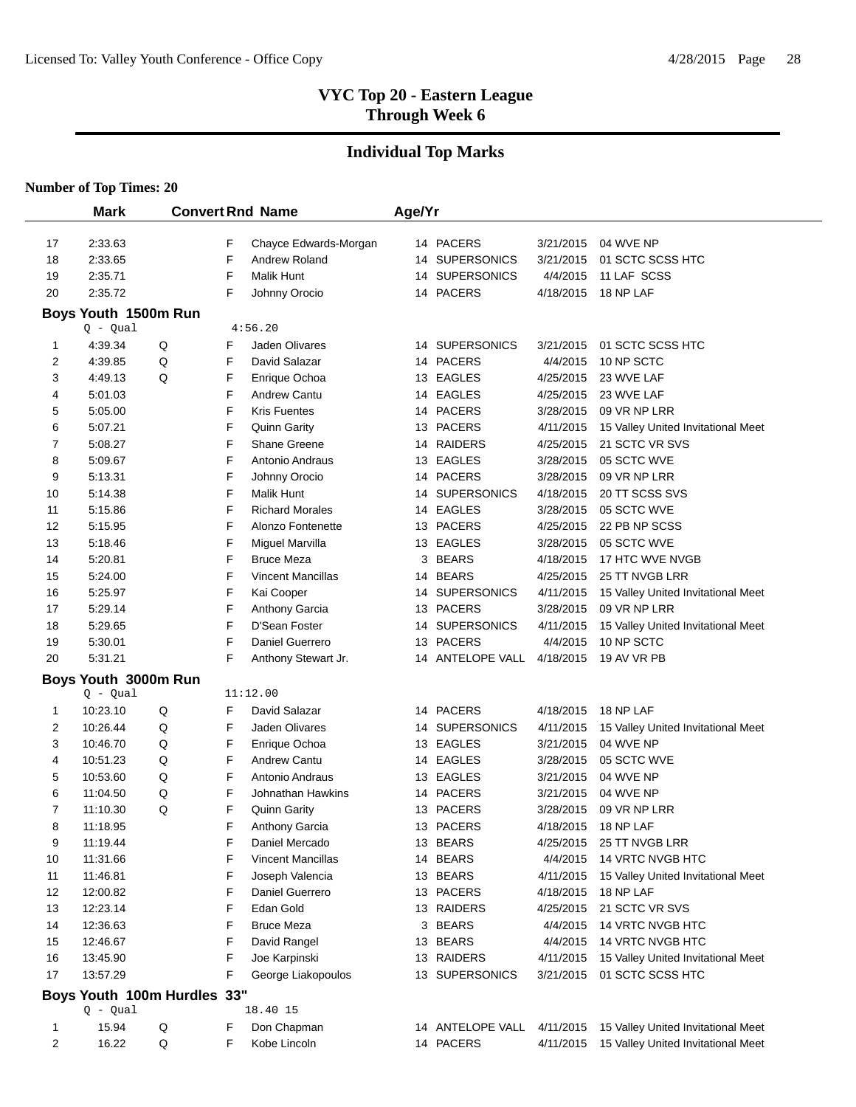# **Individual Top Marks**

|          | <b>Mark</b>                 |   |        | <b>Convert Rnd Name</b>             | Age/Yr |                                 |                        |                                                        |
|----------|-----------------------------|---|--------|-------------------------------------|--------|---------------------------------|------------------------|--------------------------------------------------------|
|          |                             |   |        |                                     |        |                                 |                        |                                                        |
| 17       | 2:33.63                     |   | F<br>F | Chayce Edwards-Morgan               |        | 14 PACERS                       | 3/21/2015              | 04 WVE NP                                              |
| 18       | 2:33.65                     |   | F      | Andrew Roland                       | 14     | <b>SUPERSONICS</b>              | 3/21/2015              | 01 SCTC SCSS HTC                                       |
| 19<br>20 | 2:35.71<br>2:35.72          |   | F      | <b>Malik Hunt</b>                   | 14     | <b>SUPERSONICS</b><br>14 PACERS | 4/4/2015<br>4/18/2015  | 11 LAF SCSS<br>18 NP LAF                               |
|          |                             |   |        | Johnny Orocio                       |        |                                 |                        |                                                        |
|          | Boys Youth 1500m Run        |   |        |                                     |        |                                 |                        |                                                        |
| 1        | $Q - Qual$<br>4:39.34       | Q | F      | 4:56.20<br>Jaden Olivares           |        | 14 SUPERSONICS                  | 3/21/2015              | 01 SCTC SCSS HTC                                       |
| 2        | 4:39.85                     | Q | F      | David Salazar                       |        | 14 PACERS                       | 4/4/2015               | 10 NP SCTC                                             |
| 3        | 4:49.13                     | Q | F      | Enrique Ochoa                       |        | 13 EAGLES                       | 4/25/2015              | 23 WVE LAF                                             |
| 4        | 5:01.03                     |   | F      | <b>Andrew Cantu</b>                 |        | 14 EAGLES                       | 4/25/2015              | 23 WVE LAF                                             |
| 5        | 5:05.00                     |   | F      | <b>Kris Fuentes</b>                 |        | 14 PACERS                       | 3/28/2015              | 09 VR NP LRR                                           |
| 6        | 5:07.21                     |   | F      | <b>Quinn Garity</b>                 |        | 13 PACERS                       | 4/11/2015              | 15 Valley United Invitational Meet                     |
| 7        | 5:08.27                     |   | F      | <b>Shane Greene</b>                 |        | 14 RAIDERS                      | 4/25/2015              | 21 SCTC VR SVS                                         |
| 8        | 5:09.67                     |   | F      | Antonio Andraus                     |        | 13 EAGLES                       | 3/28/2015              | 05 SCTC WVE                                            |
| 9        | 5:13.31                     |   | F      | Johnny Orocio                       |        | 14 PACERS                       | 3/28/2015              | 09 VR NP LRR                                           |
| 10       | 5:14.38                     |   | F      | <b>Malik Hunt</b>                   | 14     | <b>SUPERSONICS</b>              | 4/18/2015              | 20 TT SCSS SVS                                         |
| 11       | 5:15.86                     |   | F      | <b>Richard Morales</b>              |        | 14 EAGLES                       | 3/28/2015              | 05 SCTC WVE                                            |
| 12       | 5:15.95                     |   | F      | Alonzo Fontenette                   |        | 13 PACERS                       | 4/25/2015              | 22 PB NP SCSS                                          |
| 13       | 5:18.46                     |   | F      | Miguel Marvilla                     |        | 13 EAGLES                       | 3/28/2015              | 05 SCTC WVE                                            |
| 14       | 5:20.81                     |   | F      | <b>Bruce Meza</b>                   | 3      | <b>BEARS</b>                    | 4/18/2015              | 17 HTC WVE NVGB                                        |
| 15       | 5:24.00                     |   | F      | <b>Vincent Mancillas</b>            |        | 14 BEARS                        | 4/25/2015              | 25 TT NVGB LRR                                         |
| 16       | 5:25.97                     |   | F      | Kai Cooper                          | 14     | <b>SUPERSONICS</b>              | 4/11/2015              | 15 Valley United Invitational Meet                     |
| 17       | 5:29.14                     |   | F      | Anthony Garcia                      |        | 13 PACERS                       | 3/28/2015              | 09 VR NP LRR                                           |
| 18       | 5:29.65                     |   | F      | D'Sean Foster                       | 14     | <b>SUPERSONICS</b>              | 4/11/2015              | 15 Valley United Invitational Meet                     |
| 19       | 5:30.01                     |   | F      | Daniel Guerrero                     |        | 13 PACERS                       | 4/4/2015               | 10 NP SCTC                                             |
| 20       | 5:31.21                     |   | F      | Anthony Stewart Jr.                 | 14     | ANTELOPE VALL                   | 4/18/2015              | 19 AV VR PB                                            |
|          | Boys Youth 3000m Run        |   |        |                                     |        |                                 |                        |                                                        |
|          | $Q - Qual$                  |   |        | 11:12.00                            |        |                                 |                        |                                                        |
| 1        | 10:23.10                    | Q | F      | David Salazar                       |        | 14 PACERS                       | 4/18/2015              | 18 NP LAF                                              |
| 2        | 10:26.44                    | Q | F      | Jaden Olivares                      | 14     | <b>SUPERSONICS</b>              | 4/11/2015              | 15 Valley United Invitational Meet                     |
| 3        | 10:46.70                    | Q | F      | Enrique Ochoa                       |        | 13 EAGLES                       | 3/21/2015              | 04 WVE NP                                              |
| 4        | 10:51.23                    | Q | F      | Andrew Cantu                        |        | 14 EAGLES                       | 3/28/2015              | 05 SCTC WVE                                            |
| 5        | 10:53.60                    | Q | F      | Antonio Andraus                     |        | 13 EAGLES                       | 3/21/2015              | 04 WVE NP                                              |
| 6        | 11:04.50                    | Q | F      | Johnathan Hawkins                   |        | 14 PACERS                       | 3/21/2015              | 04 WVE NP                                              |
| 7        | 11:10.30                    | Q | F      | <b>Quinn Garity</b>                 | 13     | <b>PACERS</b>                   | 3/28/2015              | 09 VR NP LRR                                           |
| 8        | 11:18.95                    |   | F      | <b>Anthony Garcia</b>               |        | 13 PACERS                       | 4/18/2015              | 18 NP LAF                                              |
| 9        | 11:19.44                    |   | F      | Daniel Mercado                      |        | 13 BEARS                        | 4/25/2015              | 25 TT NVGB LRR                                         |
| 10       | 11:31.66                    |   | F      | Vincent Mancillas                   |        | 14 BEARS                        | 4/4/2015               | 14 VRTC NVGB HTC                                       |
| 11       | 11:46.81                    |   | F      | Joseph Valencia                     |        | 13 BEARS                        | 4/11/2015              | 15 Valley United Invitational Meet                     |
| 12       | 12:00.82                    |   | F      | Daniel Guerrero                     |        | 13 PACERS                       | 4/18/2015              | 18 NP LAF                                              |
| 13       | 12:23.14                    |   | F      | Edan Gold                           |        | 13 RAIDERS                      | 4/25/2015              | 21 SCTC VR SVS                                         |
| 14       | 12:36.63                    |   | F      | <b>Bruce Meza</b>                   |        | 3 BEARS                         | 4/4/2015               | 14 VRTC NVGB HTC                                       |
| 15       | 12:46.67                    |   | F      | David Rangel                        |        | 13 BEARS                        | 4/4/2015               | 14 VRTC NVGB HTC                                       |
| 16<br>17 | 13:45.90<br>13:57.29        |   | F<br>F | Joe Karpinski<br>George Liakopoulos |        | 13 RAIDERS                      | 4/11/2015<br>3/21/2015 | 15 Valley United Invitational Meet<br>01 SCTC SCSS HTC |
|          |                             |   |        |                                     |        | 13 SUPERSONICS                  |                        |                                                        |
|          | Boys Youth 100m Hurdles 33" |   |        |                                     |        |                                 |                        |                                                        |
|          | Q - Qual                    |   |        | 18.40 15                            |        |                                 |                        |                                                        |
| 1        | 15.94                       | Q | F      | Don Chapman                         |        | 14 ANTELOPE VALL                | 4/11/2015              | 15 Valley United Invitational Meet                     |
| 2        | 16.22                       | Q | F      | Kobe Lincoln                        |        | 14 PACERS                       | 4/11/2015              | 15 Valley United Invitational Meet                     |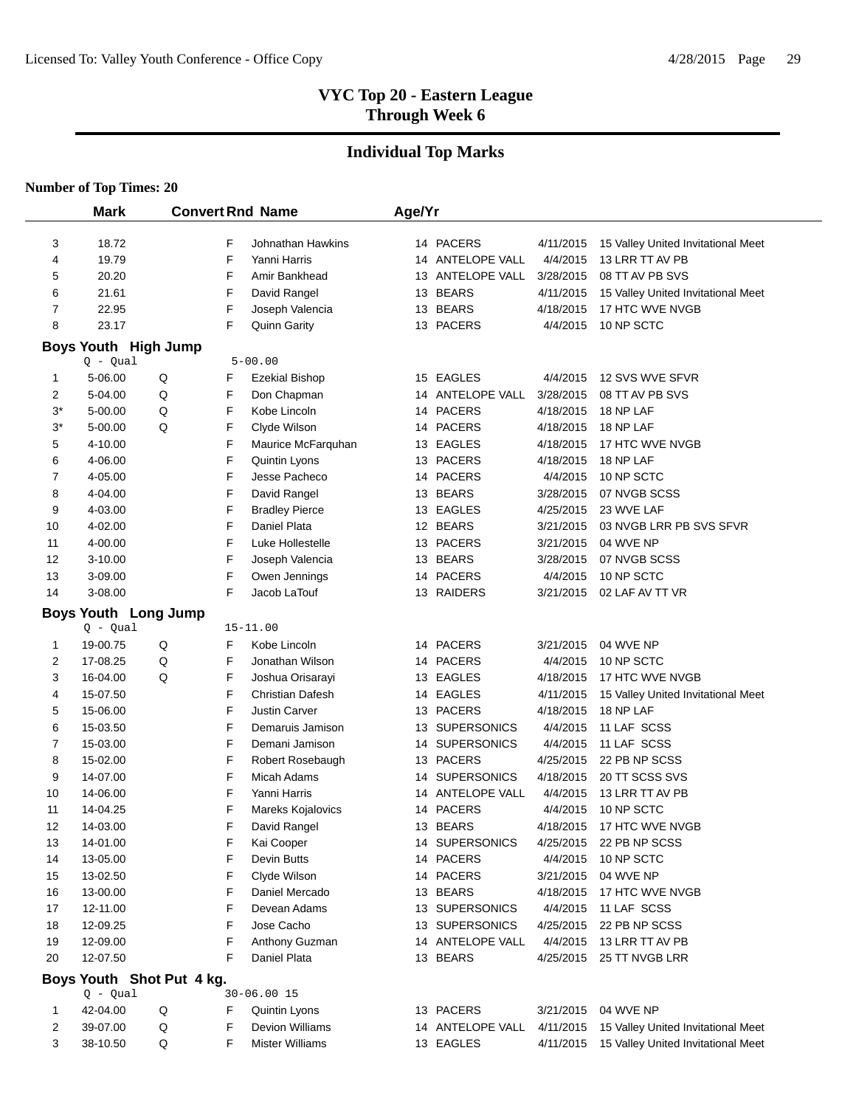# **Individual Top Marks**

|          | <b>Mark</b>                 |                           |        | <b>Convert Rnd Name</b>        | Age/Yr |                                    |                       |                                              |
|----------|-----------------------------|---------------------------|--------|--------------------------------|--------|------------------------------------|-----------------------|----------------------------------------------|
| 3        | 18.72                       |                           | F      | Johnathan Hawkins              |        | 14 PACERS                          | 4/11/2015             | 15 Valley United Invitational Meet           |
| 4        | 19.79                       |                           | F      | Yanni Harris                   |        | 14 ANTELOPE VALL                   | 4/4/2015              | 13 LRR TT AV PB                              |
| 5        | 20.20                       |                           | F      | Amir Bankhead                  |        | 13 ANTELOPE VALL                   | 3/28/2015             | 08 TT AV PB SVS                              |
| 6        | 21.61                       |                           | F      | David Rangel                   |        | 13 BEARS                           | 4/11/2015             | 15 Valley United Invitational Meet           |
| 7        | 22.95                       |                           | F      | Joseph Valencia                |        | 13 BEARS                           | 4/18/2015             | 17 HTC WVE NVGB                              |
| 8        | 23.17                       |                           | F      | <b>Quinn Garity</b>            |        | 13 PACERS                          | 4/4/2015              | 10 NP SCTC                                   |
|          | <b>Boys Youth High Jump</b> |                           |        |                                |        |                                    |                       |                                              |
|          | $Q - Qual$                  |                           |        | $5 - 00.00$                    |        |                                    |                       |                                              |
| 1        | 5-06.00                     | Q                         | F      | Ezekial Bishop                 |        | 15 EAGLES                          | 4/4/2015              | 12 SVS WVE SFVR                              |
| 2        | 5-04.00                     | Q                         | F      | Don Chapman                    |        | 14 ANTELOPE VALL                   | 3/28/2015             | 08 TT AV PB SVS                              |
| $3^*$    | 5-00.00                     | Q                         | F      | Kobe Lincoln                   |        | 14 PACERS                          | 4/18/2015             | 18 NP LAF                                    |
| $3^*$    | 5-00.00                     | Q                         | F      | Clyde Wilson                   |        | 14 PACERS                          | 4/18/2015             | 18 NP LAF                                    |
| 5        | 4-10.00                     |                           | F      | Maurice McFarquhan             |        | 13 EAGLES                          | 4/18/2015             | 17 HTC WVE NVGB                              |
| 6        | 4-06.00                     |                           | F      | Quintin Lyons                  |        | 13 PACERS                          | 4/18/2015             | 18 NP LAF                                    |
| 7        | 4-05.00                     |                           | F      | Jesse Pacheco                  |        | 14 PACERS                          | 4/4/2015              | 10 NP SCTC                                   |
| 8        | 4-04.00                     |                           | F      | David Rangel                   |        | 13 BEARS                           | 3/28/2015             | 07 NVGB SCSS                                 |
| 9        | 4-03.00                     |                           | F      | <b>Bradley Pierce</b>          |        | 13 EAGLES                          | 4/25/2015             | 23 WVE LAF                                   |
| 10       | 4-02.00                     |                           | F      | Daniel Plata                   |        | 12 BEARS                           | 3/21/2015             | 03 NVGB LRR PB SVS SFVR                      |
| 11       | 4-00.00                     |                           | F      | Luke Hollestelle               |        | 13 PACERS                          | 3/21/2015             | 04 WVE NP                                    |
| 12       | 3-10.00                     |                           | F      | Joseph Valencia                |        | 13 BEARS                           | 3/28/2015             | 07 NVGB SCSS                                 |
| 13       | 3-09.00                     |                           | F      | Owen Jennings                  |        | 14 PACERS                          | 4/4/2015              | 10 NP SCTC                                   |
| 14       | 3-08.00                     |                           | F      | Jacob LaTouf                   |        | 13 RAIDERS                         | 3/21/2015             | 02 LAF AV TT VR                              |
|          | <b>Boys Youth Long Jump</b> |                           |        |                                |        |                                    |                       |                                              |
|          | $Q - Qual$                  |                           |        | $15 - 11.00$                   |        |                                    |                       |                                              |
| 1        | 19-00.75                    | Q                         | F      | Kobe Lincoln                   |        | 14 PACERS                          | 3/21/2015             | 04 WVE NP                                    |
| 2        | 17-08.25                    | Q                         | F      | Jonathan Wilson                |        | 14 PACERS                          | 4/4/2015              | 10 NP SCTC                                   |
| 3        | 16-04.00                    | Q                         | F      | Joshua Orisarayi               |        | 13 EAGLES                          | 4/18/2015             | 17 HTC WVE NVGB                              |
| 4        | 15-07.50                    |                           | F      | <b>Christian Dafesh</b>        |        | 14 EAGLES                          | 4/11/2015             | 15 Valley United Invitational Meet           |
| 5        | 15-06.00                    |                           | F      | <b>Justin Carver</b>           |        | 13 PACERS                          | 4/18/2015             | 18 NP LAF                                    |
| 6        | 15-03.50                    |                           | F      | Demaruis Jamison               |        | 13 SUPERSONICS                     | 4/4/2015              | 11 LAF SCSS                                  |
| 7        | 15-03.00                    |                           | F      | Demani Jamison                 |        | 14 SUPERSONICS                     | 4/4/2015              | 11 LAF SCSS                                  |
| 8        | 15-02.00                    |                           | F      | Robert Rosebaugh               |        | 13 PACERS                          | 4/25/2015             | 22 PB NP SCSS                                |
| 9        | 14-07.00                    |                           | F      | <b>Micah Adams</b>             |        | 14 SUPERSONICS                     | 4/18/2015             | 20 TT SCSS SVS                               |
| 10       | 14-06.00                    |                           | F      | Yanni Harris                   |        | 14 ANTELOPE VALL                   | 4/4/2015              | 13 LRR TT AV PB                              |
| 11       | 14-04.25                    |                           | F      | Mareks Kojalovics              |        | 14 PACERS                          | 4/4/2015              | 10 NP SCTC                                   |
| 12       | 14-03.00                    |                           | F      | David Rangel                   |        | 13 BEARS                           | 4/18/2015             | 17 HTC WVE NVGB                              |
| 13       | 14-01.00                    |                           | F      | Kai Cooper                     |        | 14 SUPERSONICS                     | 4/25/2015             | 22 PB NP SCSS                                |
| 14       | 13-05.00                    |                           | F      | Devin Butts                    |        | 14 PACERS                          | 4/4/2015              | 10 NP SCTC                                   |
| 15       | 13-02.50                    |                           | F      | Clyde Wilson                   |        | 14 PACERS                          | 3/21/2015             | 04 WVE NP                                    |
| 16       | 13-00.00                    |                           | F      | Daniel Mercado                 |        | 13 BEARS                           | 4/18/2015             | 17 HTC WVE NVGB                              |
| 17       | 12-11.00                    |                           | F      | Devean Adams                   |        | 13 SUPERSONICS                     | 4/4/2015<br>4/25/2015 | 11 LAF SCSS                                  |
| 18       | 12-09.25<br>12-09.00        |                           | F<br>F | Jose Cacho                     |        | 13 SUPERSONICS<br>14 ANTELOPE VALL | 4/4/2015              | 22 PB NP SCSS<br>13 LRR TT AV PB             |
| 19<br>20 | 12-07.50                    |                           | F      | Anthony Guzman<br>Daniel Plata |        | 13 BEARS                           | 4/25/2015             | 25 TT NVGB LRR                               |
|          |                             |                           |        |                                |        |                                    |                       |                                              |
|          |                             | Boys Youth Shot Put 4 kg. |        |                                |        |                                    |                       |                                              |
|          | $Q - Qual$                  |                           |        | $30 - 06.00$ 15                |        |                                    |                       |                                              |
| 1        | 42-04.00                    | Q                         | F      | Quintin Lyons                  |        | 13 PACERS                          | 3/21/2015             | 04 WVE NP                                    |
| 2        | 39-07.00                    | Q                         | F      | Devion Williams                |        | 14 ANTELOPE VALL                   | 4/11/2015             | 15 Valley United Invitational Meet           |
| 3        | 38-10.50                    | Q                         | F      | <b>Mister Williams</b>         |        | 13 EAGLES                          |                       | 4/11/2015 15 Valley United Invitational Meet |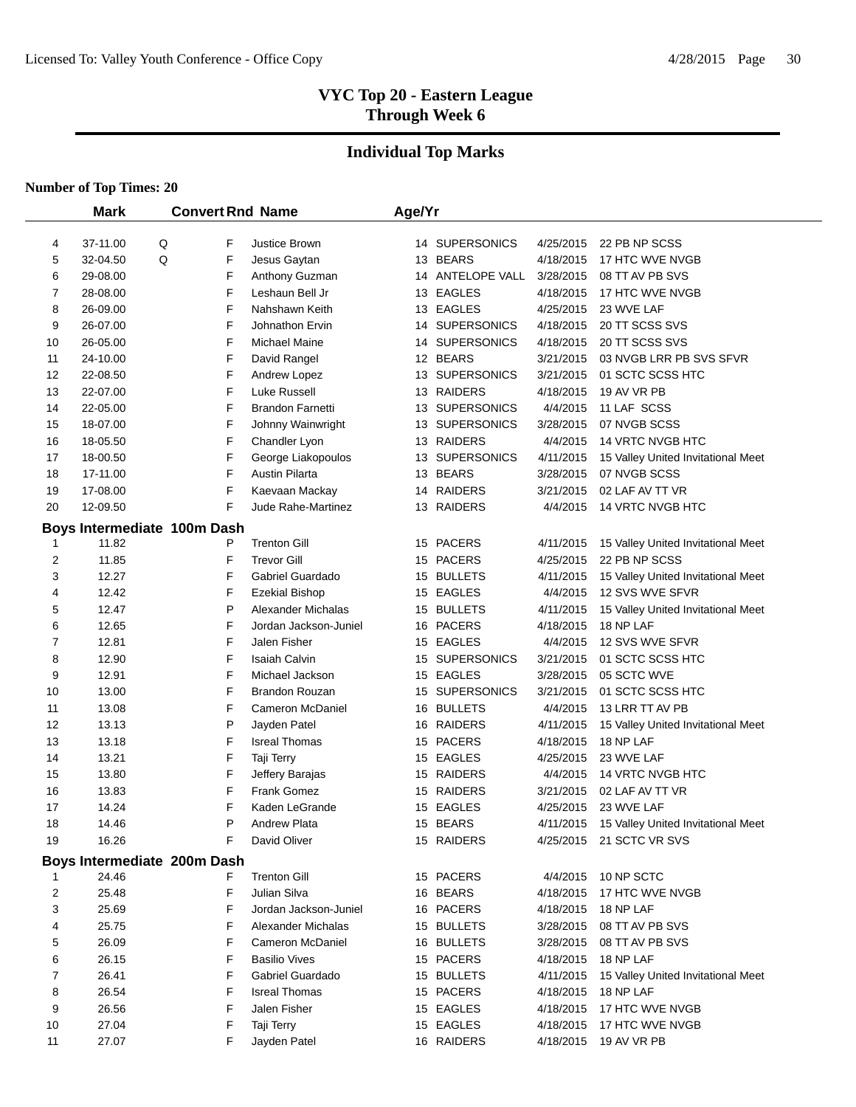# **Individual Top Marks**

|          | <b>Mark</b>                 |   |             | <b>Convert Rnd Name</b>                     | Age/Yr |                                  |                        |                                                       |
|----------|-----------------------------|---|-------------|---------------------------------------------|--------|----------------------------------|------------------------|-------------------------------------------------------|
|          |                             |   |             |                                             |        |                                  |                        |                                                       |
| 4        | 37-11.00                    | Q | F           | Justice Brown                               |        | 14 SUPERSONICS                   | 4/25/2015              | 22 PB NP SCSS                                         |
| 5        | 32-04.50                    | Q | F           | Jesus Gaytan                                |        | 13 BEARS                         | 4/18/2015              | 17 HTC WVE NVGB                                       |
| 6        | 29-08.00                    |   | F<br>F      | Anthony Guzman                              |        | 14 ANTELOPE VALL                 | 3/28/2015              | 08 TT AV PB SVS                                       |
| 7        | 28-08.00                    |   |             | Leshaun Bell Jr                             |        | 13 EAGLES                        | 4/18/2015              | 17 HTC WVE NVGB                                       |
| 8        | 26-09.00                    |   | F<br>F      | Nahshawn Keith                              |        | 13 EAGLES                        | 4/25/2015              | 23 WVE LAF                                            |
| 9        | 26-07.00                    |   | F           | Johnathon Ervin                             |        | 14 SUPERSONICS<br>14 SUPERSONICS | 4/18/2015              | 20 TT SCSS SVS                                        |
| 10       | 26-05.00<br>24-10.00        |   | F           | Michael Maine                               |        | 12 BEARS                         | 4/18/2015<br>3/21/2015 | 20 TT SCSS SVS<br>03 NVGB LRR PB SVS SFVR             |
| 11<br>12 | 22-08.50                    |   | F           | David Rangel                                |        | 13 SUPERSONICS                   | 3/21/2015              | 01 SCTC SCSS HTC                                      |
| 13       | 22-07.00                    |   | F           | Andrew Lopez<br>Luke Russell                |        | 13 RAIDERS                       | 4/18/2015              | 19 AV VR PB                                           |
| 14       | 22-05.00                    |   | F           | <b>Brandon Farnetti</b>                     |        | 13 SUPERSONICS                   | 4/4/2015               | 11 LAF SCSS                                           |
| 15       | 18-07.00                    |   | F           | Johnny Wainwright                           |        | 13 SUPERSONICS                   | 3/28/2015              | 07 NVGB SCSS                                          |
| 16       | 18-05.50                    |   | F           | Chandler Lyon                               |        | 13 RAIDERS                       | 4/4/2015               | 14 VRTC NVGB HTC                                      |
| 17       | 18-00.50                    |   | F           | George Liakopoulos                          |        | 13 SUPERSONICS                   | 4/11/2015              | 15 Valley United Invitational Meet                    |
| 18       | 17-11.00                    |   | F           | <b>Austin Pilarta</b>                       |        | 13 BEARS                         | 3/28/2015              | 07 NVGB SCSS                                          |
| 19       | 17-08.00                    |   | F           | Kaevaan Mackay                              |        | 14 RAIDERS                       | 3/21/2015              | 02 LAF AV TT VR                                       |
| 20       | 12-09.50                    |   | F           | Jude Rahe-Martinez                          |        | 13 RAIDERS                       | 4/4/2015               | 14 VRTC NVGB HTC                                      |
|          |                             |   |             |                                             |        |                                  |                        |                                                       |
|          | Boys Intermediate 100m Dash |   |             | <b>Trenton Gill</b>                         |        |                                  |                        |                                                       |
| 1        | 11.82                       |   | P           | <b>Trevor Gill</b>                          |        | 15 PACERS<br>15 PACERS           | 4/11/2015              | 15 Valley United Invitational Meet<br>22 PB NP SCSS   |
| 2        | 11.85                       |   | F<br>F      |                                             |        |                                  | 4/25/2015              |                                                       |
| 3<br>4   | 12.27<br>12.42              |   | F           | Gabriel Guardado                            |        | 15 BULLETS<br>15 EAGLES          | 4/11/2015<br>4/4/2015  | 15 Valley United Invitational Meet<br>12 SVS WVE SFVR |
| 5        | 12.47                       |   | P           | <b>Ezekial Bishop</b><br>Alexander Michalas |        | 15 BULLETS                       | 4/11/2015              | 15 Valley United Invitational Meet                    |
| 6        | 12.65                       |   | $\mathsf F$ | Jordan Jackson-Juniel                       |        | 16 PACERS                        | 4/18/2015              | 18 NP LAF                                             |
| 7        | 12.81                       |   | F           | Jalen Fisher                                |        | 15 EAGLES                        | 4/4/2015               | 12 SVS WVE SFVR                                       |
| 8        | 12.90                       |   | F           | <b>Isaiah Calvin</b>                        |        | 15 SUPERSONICS                   | 3/21/2015              | 01 SCTC SCSS HTC                                      |
| 9        | 12.91                       |   | F           | Michael Jackson                             |        | 15 EAGLES                        | 3/28/2015              | 05 SCTC WVE                                           |
| 10       | 13.00                       |   | F           | <b>Brandon Rouzan</b>                       |        | 15 SUPERSONICS                   | 3/21/2015              | 01 SCTC SCSS HTC                                      |
| 11       | 13.08                       |   | F           | Cameron McDaniel                            |        | 16 BULLETS                       | 4/4/2015               | 13 LRR TT AV PB                                       |
| 12       | 13.13                       |   | P           | Jayden Patel                                |        | 16 RAIDERS                       | 4/11/2015              | 15 Valley United Invitational Meet                    |
| 13       | 13.18                       |   | F           | <b>Isreal Thomas</b>                        |        | 15 PACERS                        | 4/18/2015              | 18 NP LAF                                             |
| 14       | 13.21                       |   | F           | Taji Terry                                  |        | 15 EAGLES                        | 4/25/2015              | 23 WVE LAF                                            |
| 15       | 13.80                       |   | F           | Jeffery Barajas                             |        | 15 RAIDERS                       | 4/4/2015               | <b>14 VRTC NVGB HTC</b>                               |
| 16       | 13.83                       |   | F           | <b>Frank Gomez</b>                          |        | 15 RAIDERS                       | 3/21/2015              | 02 LAF AV TT VR                                       |
| 17       | 14.24                       |   | F           | Kaden LeGrande                              |        | 15 EAGLES                        | 4/25/2015              | 23 WVE LAF                                            |
| 18       | 14.46                       |   | P           | <b>Andrew Plata</b>                         |        | 15 BEARS                         | 4/11/2015              | 15 Valley United Invitational Meet                    |
| 19       | 16.26                       |   | F           | David Oliver                                |        | 15 RAIDERS                       |                        | 4/25/2015 21 SCTC VR SVS                              |
|          | Boys Intermediate 200m Dash |   |             |                                             |        |                                  |                        |                                                       |
|          | 24.46                       |   | F           | <b>Trenton Gill</b>                         |        | 15 PACERS                        | 4/4/2015               | 10 NP SCTC                                            |
| 2        | 25.48                       |   | F           | Julian Silva                                |        | 16 BEARS                         | 4/18/2015              | 17 HTC WVE NVGB                                       |
| 3        | 25.69                       |   | F           | Jordan Jackson-Juniel                       |        | 16 PACERS                        | 4/18/2015              | 18 NP LAF                                             |
| 4        | 25.75                       |   | F           | Alexander Michalas                          |        | 15 BULLETS                       | 3/28/2015              | 08 TT AV PB SVS                                       |
| 5        | 26.09                       |   | F           | Cameron McDaniel                            |        | 16 BULLETS                       | 3/28/2015              | 08 TT AV PB SVS                                       |
| 6        | 26.15                       |   | F           | <b>Basilio Vives</b>                        |        | 15 PACERS                        | 4/18/2015              | 18 NP LAF                                             |
| 7        | 26.41                       |   | F           | Gabriel Guardado                            |        | 15 BULLETS                       | 4/11/2015              | 15 Valley United Invitational Meet                    |
| 8        | 26.54                       |   | F           | <b>Isreal Thomas</b>                        |        | 15 PACERS                        | 4/18/2015              | 18 NP LAF                                             |
| 9        | 26.56                       |   | F           | Jalen Fisher                                |        | 15 EAGLES                        | 4/18/2015              | 17 HTC WVE NVGB                                       |
| 10       | 27.04                       |   | F           | Taji Terry                                  |        | 15 EAGLES                        | 4/18/2015              | 17 HTC WVE NVGB                                       |
| 11       | 27.07                       |   | F           | Jayden Patel                                |        | 16 RAIDERS                       | 4/18/2015              | 19 AV VR PB                                           |
|          |                             |   |             |                                             |        |                                  |                        |                                                       |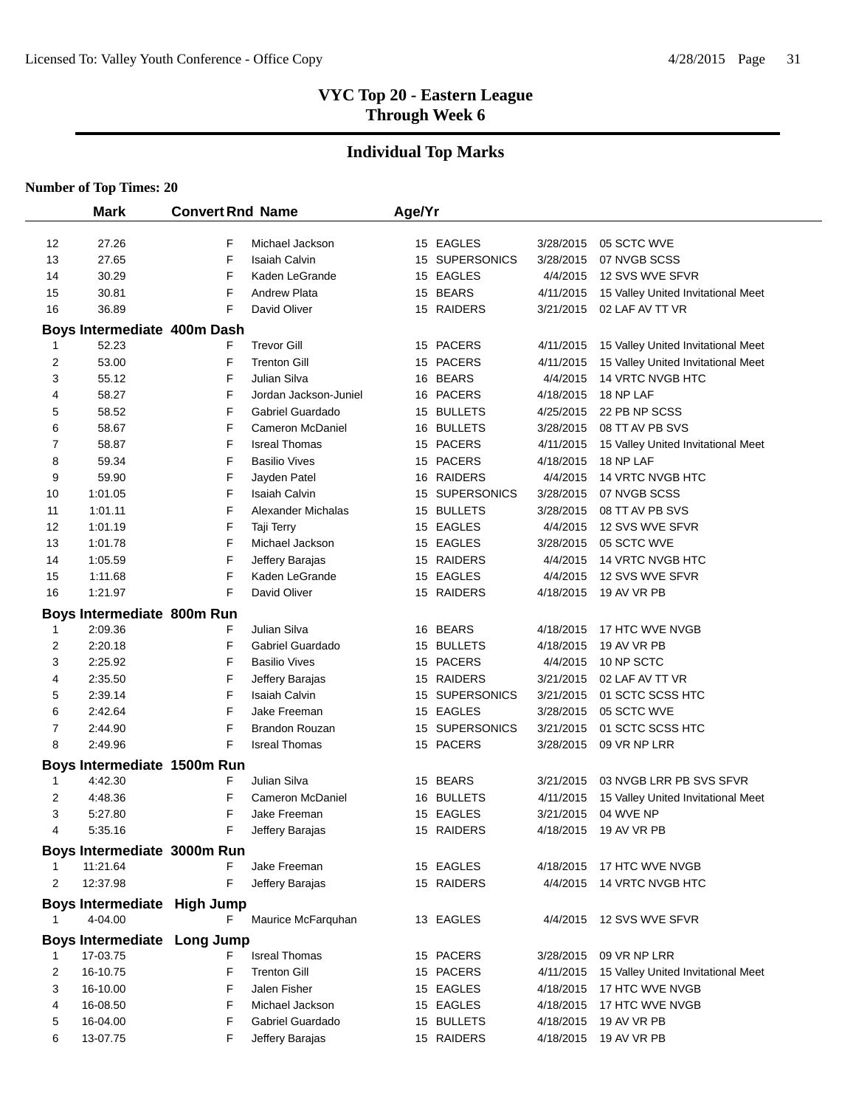# **Individual Top Marks**

|                | <b>Mark</b>                            | <b>Convert Rnd Name</b> |                         | Age/Yr |                |           |                                    |
|----------------|----------------------------------------|-------------------------|-------------------------|--------|----------------|-----------|------------------------------------|
| 12             | 27.26                                  | F                       | Michael Jackson         |        | 15 EAGLES      | 3/28/2015 | 05 SCTC WVE                        |
| 13             | 27.65                                  | F                       | <b>Isaiah Calvin</b>    |        | 15 SUPERSONICS | 3/28/2015 | 07 NVGB SCSS                       |
| 14             | 30.29                                  | F                       | Kaden LeGrande          |        | 15 EAGLES      | 4/4/2015  | 12 SVS WVE SFVR                    |
| 15             | 30.81                                  | F                       | <b>Andrew Plata</b>     |        | 15 BEARS       | 4/11/2015 | 15 Valley United Invitational Meet |
| 16             | 36.89                                  | F                       | David Oliver            |        | 15 RAIDERS     | 3/21/2015 | 02 LAF AV TT VR                    |
|                | Boys Intermediate 400m Dash            |                         |                         |        |                |           |                                    |
|                | 52.23                                  | F                       | <b>Trevor Gill</b>      |        | 15 PACERS      | 4/11/2015 | 15 Valley United Invitational Meet |
| $\overline{2}$ | 53.00                                  | F                       | <b>Trenton Gill</b>     |        | 15 PACERS      | 4/11/2015 | 15 Valley United Invitational Meet |
| 3              | 55.12                                  | F                       | Julian Silva            |        | 16 BEARS       | 4/4/2015  | 14 VRTC NVGB HTC                   |
| 4              | 58.27                                  | F                       | Jordan Jackson-Juniel   |        | 16 PACERS      | 4/18/2015 | 18 NP LAF                          |
| 5              | 58.52                                  | F                       | Gabriel Guardado        |        | 15 BULLETS     | 4/25/2015 | 22 PB NP SCSS                      |
| 6              | 58.67                                  | F                       | <b>Cameron McDaniel</b> |        | 16 BULLETS     | 3/28/2015 | 08 TT AV PB SVS                    |
| 7              | 58.87                                  | F                       | <b>Isreal Thomas</b>    |        | 15 PACERS      | 4/11/2015 | 15 Valley United Invitational Meet |
| 8              | 59.34                                  | F                       | <b>Basilio Vives</b>    |        | 15 PACERS      | 4/18/2015 | 18 NP LAF                          |
| 9              | 59.90                                  | F                       | Jayden Patel            |        | 16 RAIDERS     | 4/4/2015  | 14 VRTC NVGB HTC                   |
| 10             | 1:01.05                                | F                       | <b>Isaiah Calvin</b>    |        | 15 SUPERSONICS | 3/28/2015 | 07 NVGB SCSS                       |
| 11             | 1:01.11                                | F                       | Alexander Michalas      |        | 15 BULLETS     | 3/28/2015 | 08 TT AV PB SVS                    |
| 12             | 1:01.19                                | F                       | Taji Terry              |        | 15 EAGLES      | 4/4/2015  | 12 SVS WVE SFVR                    |
| 13             | 1:01.78                                | F                       | Michael Jackson         |        | 15 EAGLES      | 3/28/2015 | 05 SCTC WVE                        |
| 14             | 1:05.59                                | F                       | Jeffery Barajas         |        | 15 RAIDERS     | 4/4/2015  | <b>14 VRTC NVGB HTC</b>            |
| 15             | 1:11.68                                | F                       | Kaden LeGrande          |        | 15 EAGLES      | 4/4/2015  | 12 SVS WVE SFVR                    |
| 16             | 1:21.97                                | F                       | David Oliver            |        | 15 RAIDERS     | 4/18/2015 | 19 AV VR PB                        |
|                | Boys Intermediate 800m Run             |                         |                         |        |                |           |                                    |
| 1              | 2:09.36                                | F                       | Julian Silva            |        | 16 BEARS       | 4/18/2015 | 17 HTC WVE NVGB                    |
| 2              | 2:20.18                                | F                       | Gabriel Guardado        |        | 15 BULLETS     | 4/18/2015 | 19 AV VR PB                        |
| 3              | 2:25.92                                | F                       | <b>Basilio Vives</b>    |        | 15 PACERS      | 4/4/2015  | 10 NP SCTC                         |
| 4              | 2:35.50                                | F                       | Jeffery Barajas         |        | 15 RAIDERS     | 3/21/2015 | 02 LAF AV TT VR                    |
| 5              | 2:39.14                                | F                       | <b>Isaiah Calvin</b>    |        | 15 SUPERSONICS | 3/21/2015 | 01 SCTC SCSS HTC                   |
| 6              | 2:42.64                                | F                       | Jake Freeman            |        | 15 EAGLES      | 3/28/2015 | 05 SCTC WVE                        |
| 7              | 2:44.90                                | F                       | <b>Brandon Rouzan</b>   |        | 15 SUPERSONICS | 3/21/2015 | 01 SCTC SCSS HTC                   |
| 8              | 2:49.96                                | F                       | <b>Isreal Thomas</b>    |        | 15 PACERS      | 3/28/2015 | 09 VR NP LRR                       |
|                | Boys Intermediate 1500m Run            |                         |                         |        |                |           |                                    |
| 1              | 4:42.30                                | F                       | Julian Silva            |        | 15 BEARS       | 3/21/2015 | 03 NVGB LRR PB SVS SFVR            |
| 2              | 4:48.36                                | F                       | Cameron McDaniel        |        | 16 BULLETS     | 4/11/2015 | 15 Valley United Invitational Meet |
| 3              | 5:27.80                                | F                       | Jake Freeman            |        | 15 EAGLES      | 3/21/2015 | 04 WVE NP                          |
| 4              | 5:35.16                                | F                       | Jeffery Barajas         |        | 15 RAIDERS     |           | 4/18/2015 19 AV VR PB              |
|                | Boys Intermediate 3000m Run            |                         |                         |        |                |           |                                    |
|                | 11:21.64                               | F                       | Jake Freeman            |        | 15 EAGLES      |           | 4/18/2015 17 HTC WVE NVGB          |
| 2              | 12:37.98                               | F                       | Jeffery Barajas         |        | 15 RAIDERS     |           | 4/4/2015 14 VRTC NVGB HTC          |
| 1              | Boys Intermediate High Jump<br>4-04.00 | F                       | Maurice McFarquhan      |        | 13 EAGLES      |           | 4/4/2015 12 SVS WVE SFVR           |
|                | Boys Intermediate Long Jump            |                         |                         |        |                |           |                                    |
| 1              | 17-03.75                               | F                       | <b>Isreal Thomas</b>    |        | 15 PACERS      | 3/28/2015 | 09 VR NP LRR                       |
| 2              | 16-10.75                               | F                       | <b>Trenton Gill</b>     |        | 15 PACERS      | 4/11/2015 | 15 Valley United Invitational Meet |
| 3              | 16-10.00                               | F                       | Jalen Fisher            |        | 15 EAGLES      | 4/18/2015 | 17 HTC WVE NVGB                    |
| 4              | 16-08.50                               | F                       | Michael Jackson         |        | 15 EAGLES      | 4/18/2015 | 17 HTC WVE NVGB                    |
| 5              | 16-04.00                               | F                       | Gabriel Guardado        |        | 15 BULLETS     | 4/18/2015 | 19 AV VR PB                        |
| 6              | 13-07.75                               | F                       | Jeffery Barajas         |        | 15 RAIDERS     | 4/18/2015 | 19 AV VR PB                        |
|                |                                        |                         |                         |        |                |           |                                    |